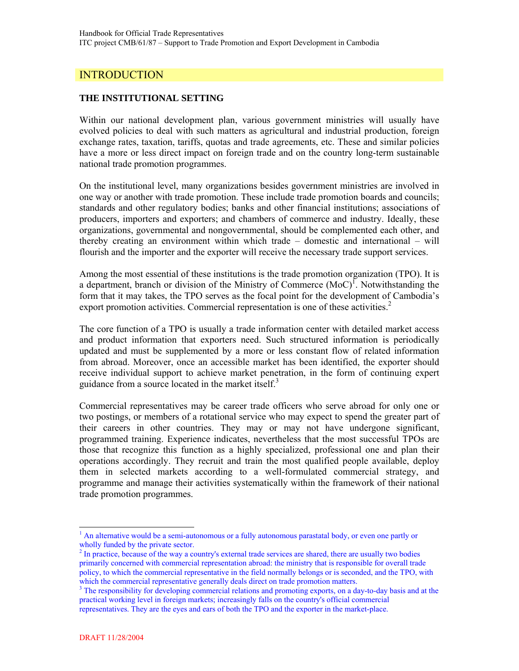## **INTRODUCTION**

#### **THE INSTITUTIONAL SETTING**

Within our national development plan, various government ministries will usually have evolved policies to deal with such matters as agricultural and industrial production, foreign exchange rates, taxation, tariffs, quotas and trade agreements, etc. These and similar policies have a more or less direct impact on foreign trade and on the country long-term sustainable national trade promotion programmes.

On the institutional level, many organizations besides government ministries are involved in one way or another with trade promotion. These include trade promotion boards and councils; standards and other regulatory bodies; banks and other financial institutions; associations of producers, importers and exporters; and chambers of commerce and industry. Ideally, these organizations, governmental and nongovernmental, should be complemented each other, and thereby creating an environment within which trade – domestic and international – will flourish and the importer and the exporter will receive the necessary trade support services.

Among the most essential of these institutions is the trade promotion organization (TPO). It is a department, branch or division of the Ministry of Commerce  $(MoC)^T$ . Notwithstanding the form that it may takes, the TPO serves as the focal point for the development of Cambodia's export promotion activities. Commercial representation is one of these activities.<sup>2</sup>

The core function of a TPO is usually a trade information center with detailed market access and product information that exporters need. Such structured information is periodically updated and must be supplemented by a more or less constant flow of related information from abroad. Moreover, once an accessible market has been identified, the exporter should receive individual support to achieve market penetration, in the form of continuing expert guidance from a source located in the market itself.<sup>3</sup>

Commercial representatives may be career trade officers who serve abroad for only one or two postings, or members of a rotational service who may expect to spend the greater part of their careers in other countries. They may or may not have undergone significant, programmed training. Experience indicates, nevertheless that the most successful TPOs are those that recognize this function as a highly specialized, professional one and plan their operations accordingly. They recruit and train the most qualified people available, deploy them in selected markets according to a well-formulated commercial strategy, and programme and manage their activities systematically within the framework of their national trade promotion programmes.

<sup>&</sup>lt;sup>1</sup> An alternative would be a semi-autonomous or a fully autonomous parastatal body, or even one partly or wholly funded by the private sector.

<sup>2</sup> In practice, because of the way a country's external trade services are shared, there are usually two bodies primarily concerned with commercial representation abroad: the ministry that is responsible for overall trade policy, to which the commercial representative in the field normally belongs or is seconded, and the TPO, with which the commercial representative generally deals direct on trade promotion matters.

 $3$  The responsibility for developing commercial relations and promoting exports, on a day-to-day basis and at the practical working level in foreign markets; increasingly falls on the country's official commercial representatives. They are the eyes and ears of both the TPO and the exporter in the market-place.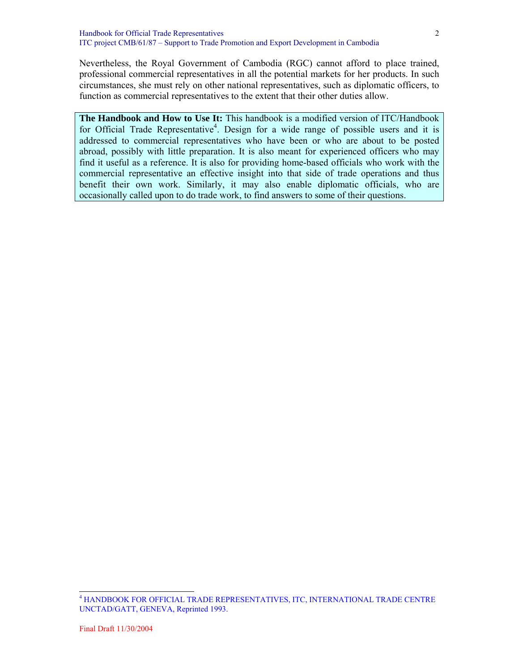Nevertheless, the Royal Government of Cambodia (RGC) cannot afford to place trained, professional commercial representatives in all the potential markets for her products. In such circumstances, she must rely on other national representatives, such as diplomatic officers, to function as commercial representatives to the extent that their other duties allow.

**The Handbook and How to Use It:** This handbook is a modified version of ITC/Handbook for Official Trade Representative<sup>4</sup>. Design for a wide range of possible users and it is addressed to commercial representatives who have been or who are about to be posted abroad, possibly with little preparation. It is also meant for experienced officers who may find it useful as a reference. It is also for providing home-based officials who work with the commercial representative an effective insight into that side of trade operations and thus benefit their own work. Similarly, it may also enable diplomatic officials, who are occasionally called upon to do trade work, to find answers to some of their questions.

<sup>4</sup> HANDBOOK FOR OFFICIAL TRADE REPRESENTATIVES, ITC, INTERNATIONAL TRADE CENTRE UNCTAD/GATT, GENEVA, Reprinted 1993.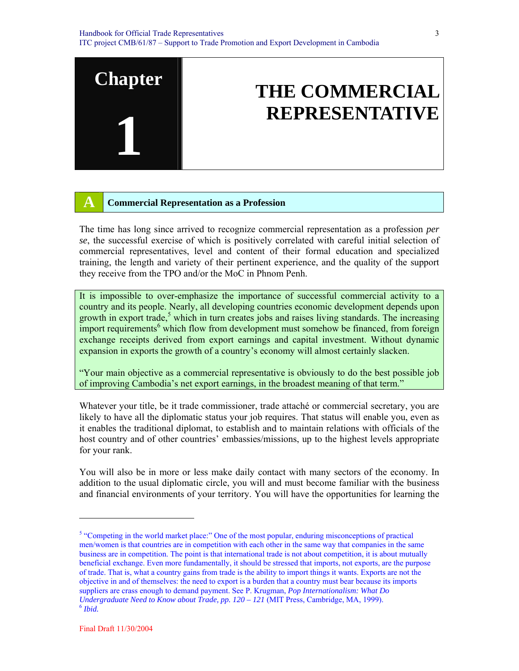# **THE COMMERCIAL REPRESENTATIVE**

#### **A Commercial Representation as a Profession**

**Chapter** 

**1**

The time has long since arrived to recognize commercial representation as a profession *per se*, the successful exercise of which is positively correlated with careful initial selection of commercial representatives, level and content of their formal education and specialized training, the length and variety of their pertinent experience, and the quality of the support they receive from the TPO and/or the MoC in Phnom Penh.

It is impossible to over-emphasize the importance of successful commercial activity to a country and its people. Nearly, all developing countries economic development depends upon growth in export trade,<sup>5</sup> which in turn creates jobs and raises living standards. The increasing import requirements<sup>6</sup> which flow from development must somehow be financed, from foreign exchange receipts derived from export earnings and capital investment. Without dynamic expansion in exports the growth of a country's economy will almost certainly slacken.

"Your main objective as a commercial representative is obviously to do the best possible job of improving Cambodia's net export earnings, in the broadest meaning of that term."

Whatever your title, be it trade commissioner, trade attaché or commercial secretary, you are likely to have all the diplomatic status your job requires. That status will enable you, even as it enables the traditional diplomat, to establish and to maintain relations with officials of the host country and of other countries' embassies/missions, up to the highest levels appropriate for your rank.

You will also be in more or less make daily contact with many sectors of the economy. In addition to the usual diplomatic circle, you will and must become familiar with the business and financial environments of your territory. You will have the opportunities for learning the

<sup>&</sup>lt;sup>5</sup> "Competing in the world market place:" One of the most popular, enduring misconceptions of practical men/women is that countries are in competition with each other in the same way that companies in the same business are in competition. The point is that international trade is not about competition, it is about mutually beneficial exchange. Even more fundamentally, it should be stressed that imports, not exports, are the purpose of trade. That is, what a country gains from trade is the ability to import things it wants. Exports are not the objective in and of themselves: the need to export is a burden that a country must bear because its imports suppliers are crass enough to demand payment. See P. Krugman, *Pop Internationalism: What Do Undergraduate Need to Know about Trade, pp. 120 – 121* (MIT Press, Cambridge, MA, 1999). <sup>6</sup> *Ibid.*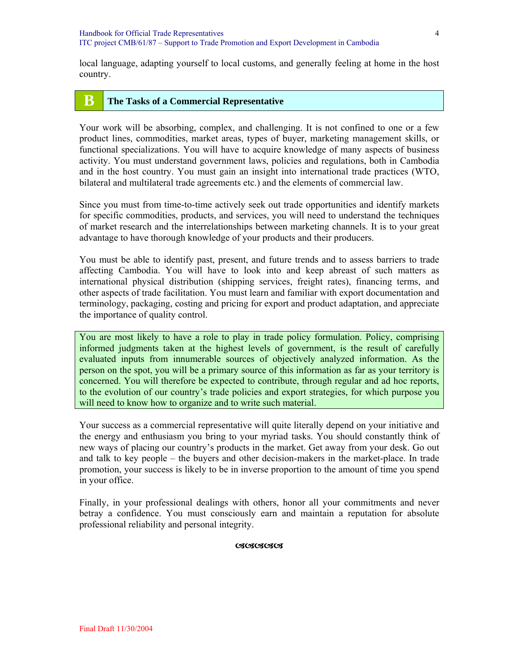#### **B The Tasks of a Commercial Representative**

Your work will be absorbing, complex, and challenging. It is not confined to one or a few product lines, commodities, market areas, types of buyer, marketing management skills, or functional specializations. You will have to acquire knowledge of many aspects of business activity. You must understand government laws, policies and regulations, both in Cambodia and in the host country. You must gain an insight into international trade practices (WTO, bilateral and multilateral trade agreements etc.) and the elements of commercial law.

Since you must from time-to-time actively seek out trade opportunities and identify markets for specific commodities, products, and services, you will need to understand the techniques of market research and the interrelationships between marketing channels. It is to your great advantage to have thorough knowledge of your products and their producers.

You must be able to identify past, present, and future trends and to assess barriers to trade affecting Cambodia. You will have to look into and keep abreast of such matters as international physical distribution (shipping services, freight rates), financing terms, and other aspects of trade facilitation. You must learn and familiar with export documentation and terminology, packaging, costing and pricing for export and product adaptation, and appreciate the importance of quality control.

You are most likely to have a role to play in trade policy formulation. Policy, comprising informed judgments taken at the highest levels of government, is the result of carefully evaluated inputs from innumerable sources of objectively analyzed information. As the person on the spot, you will be a primary source of this information as far as your territory is concerned. You will therefore be expected to contribute, through regular and ad hoc reports, to the evolution of our country's trade policies and export strategies, for which purpose you will need to know how to organize and to write such material.

Your success as a commercial representative will quite literally depend on your initiative and the energy and enthusiasm you bring to your myriad tasks. You should constantly think of new ways of placing our country's products in the market. Get away from your desk. Go out and talk to key people – the buyers and other decision-makers in the market-place. In trade promotion, your success is likely to be in inverse proportion to the amount of time you spend in your office.

Finally, in your professional dealings with others, honor all your commitments and never betray a confidence. You must consciously earn and maintain a reputation for absolute professional reliability and personal integrity.

#### **OSOSOSOS**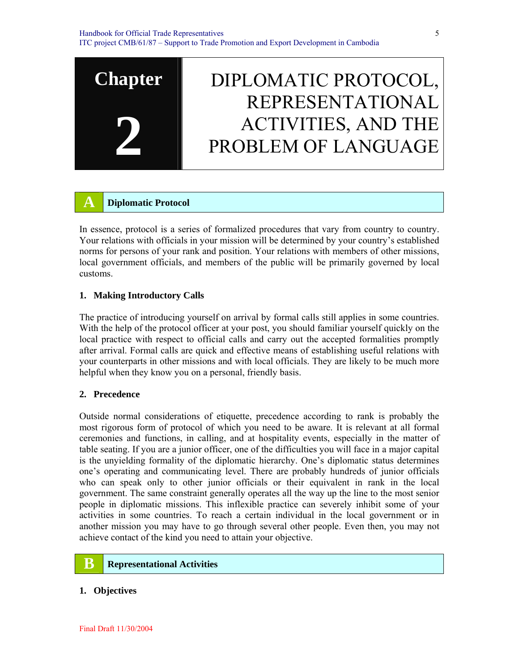

#### **A Diplomatic Protocol**

In essence, protocol is a series of formalized procedures that vary from country to country. Your relations with officials in your mission will be determined by your country's established norms for persons of your rank and position. Your relations with members of other missions, local government officials, and members of the public will be primarily governed by local customs.

#### **1. Making Introductory Calls**

The practice of introducing yourself on arrival by formal calls still applies in some countries. With the help of the protocol officer at your post, you should familiar yourself quickly on the local practice with respect to official calls and carry out the accepted formalities promptly after arrival. Formal calls are quick and effective means of establishing useful relations with your counterparts in other missions and with local officials. They are likely to be much more helpful when they know you on a personal, friendly basis.

#### **2. Precedence**

Outside normal considerations of etiquette, precedence according to rank is probably the most rigorous form of protocol of which you need to be aware. It is relevant at all formal ceremonies and functions, in calling, and at hospitality events, especially in the matter of table seating. If you are a junior officer, one of the difficulties you will face in a major capital is the unyielding formality of the diplomatic hierarchy. One's diplomatic status determines one's operating and communicating level. There are probably hundreds of junior officials who can speak only to other junior officials or their equivalent in rank in the local government. The same constraint generally operates all the way up the line to the most senior people in diplomatic missions. This inflexible practice can severely inhibit some of your activities in some countries. To reach a certain individual in the local government or in another mission you may have to go through several other people. Even then, you may not achieve contact of the kind you need to attain your objective.

## **B Representational Activities**

#### **1. Objectives**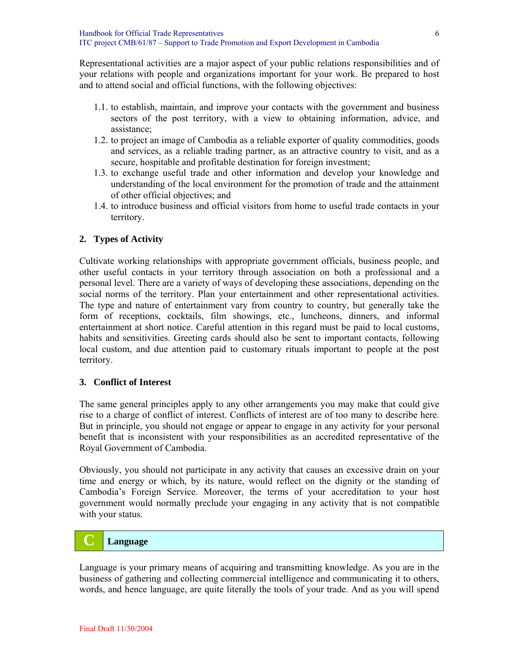Representational activities are a major aspect of your public relations responsibilities and of your relations with people and organizations important for your work. Be prepared to host and to attend social and official functions, with the following objectives:

- 1.1. to establish, maintain, and improve your contacts with the government and business sectors of the post territory, with a view to obtaining information, advice, and assistance;
- 1.2. to project an image of Cambodia as a reliable exporter of quality commodities, goods and services, as a reliable trading partner, as an attractive country to visit, and as a secure, hospitable and profitable destination for foreign investment;
- 1.3. to exchange useful trade and other information and develop your knowledge and understanding of the local environment for the promotion of trade and the attainment of other official objectives; and
- 1.4. to introduce business and official visitors from home to useful trade contacts in your territory.

#### **2. Types of Activity**

Cultivate working relationships with appropriate government officials, business people, and other useful contacts in your territory through association on both a professional and a personal level. There are a variety of ways of developing these associations, depending on the social norms of the territory. Plan your entertainment and other representational activities. The type and nature of entertainment vary from country to country, but generally take the form of receptions, cocktails, film showings, etc., luncheons, dinners, and informal entertainment at short notice. Careful attention in this regard must be paid to local customs, habits and sensitivities. Greeting cards should also be sent to important contacts, following local custom, and due attention paid to customary rituals important to people at the post territory.

#### **3. Conflict of Interest**

The same general principles apply to any other arrangements you may make that could give rise to a charge of conflict of interest. Conflicts of interest are of too many to describe here. But in principle, you should not engage or appear to engage in any activity for your personal benefit that is inconsistent with your responsibilities as an accredited representative of the Royal Government of Cambodia.

Obviously, you should not participate in any activity that causes an excessive drain on your time and energy or which, by its nature, would reflect on the dignity or the standing of Cambodia's Foreign Service. Moreover, the terms of your accreditation to your host government would normally preclude your engaging in any activity that is not compatible with your status.

#### **C Language**

Language is your primary means of acquiring and transmitting knowledge. As you are in the business of gathering and collecting commercial intelligence and communicating it to others, words, and hence language, are quite literally the tools of your trade. And as you will spend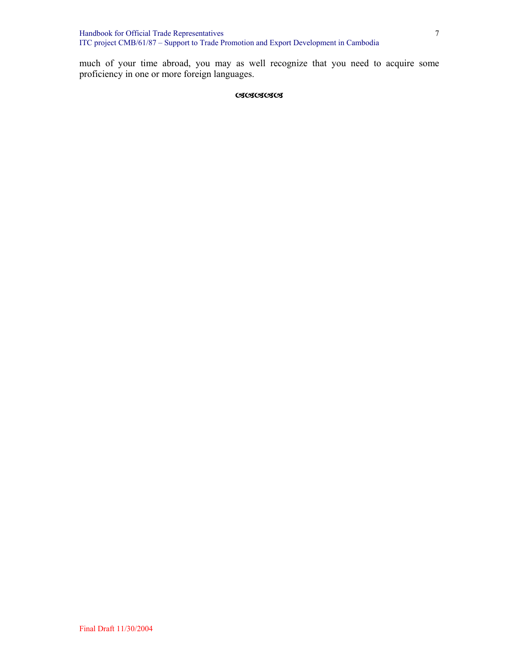Handbook for Official Trade Representatives ITC project CMB/61/87 – Support to Trade Promotion and Export Development in Cambodia

much of your time abroad, you may as well recognize that you need to acquire some proficiency in one or more foreign languages.

#### DDDDD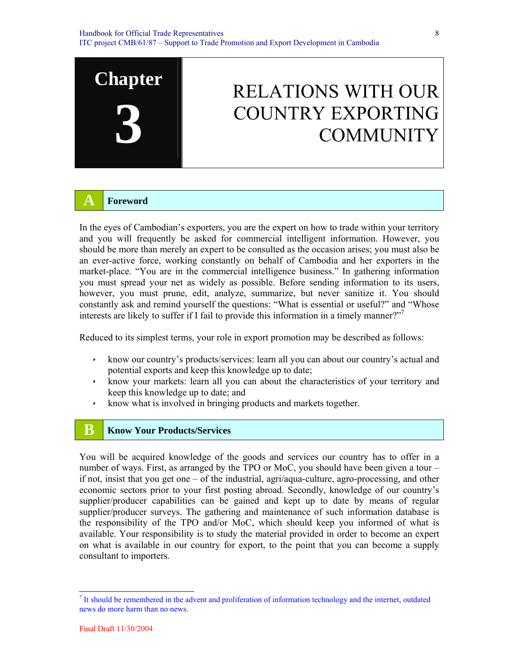

## RELATIONS WITH OUR COUNTRY EXPORTING **COMMUNITY**

#### **A Foreword**

In the eyes of Cambodian's exporters, you are the expert on how to trade within your territory and you will frequently be asked for commercial intelligent information. However, you should be more than merely an expert to be consulted as the occasion arises; you must also be an ever-active force, working constantly on behalf of Cambodia and her exporters in the market-place. "You are in the commercial intelligence business." In gathering information you must spread your net as widely as possible. Before sending information to its users, however, you must prune, edit, analyze, summarize, but never sanitize it. You should constantly ask and remind yourself the questions: "What is essential or useful?" and "Whose interests are likely to suffer if I fail to provide this information in a timely manner? $\mathbb{Z}^7$ 

Reduced to its simplest terms, your role in export promotion may be described as follows:

- $\cdot$  know our country's products/services: learn all you can about our country's actual and potential exports and keep this knowledge up to date;
- $\rightarrow$  know your markets: learn all you can about the characteristics of your territory and keep this knowledge up to date; and
- $\cdot$  know what is involved in bringing products and markets together.

## **B Know Your Products/Services**

You will be acquired knowledge of the goods and services our country has to offer in a number of ways. First, as arranged by the TPO or MoC, you should have been given a tour – if not, insist that you get one – of the industrial, agri/aqua-culture, agro-processing, and other economic sectors prior to your first posting abroad. Secondly, knowledge of our country's supplier/producer capabilities can be gained and kept up to date by means of regular supplier/producer surveys. The gathering and maintenance of such information database is the responsibility of the TPO and/or MoC, which should keep you informed of what is available. Your responsibility is to study the material provided in order to become an expert on what is available in our country for export, to the point that you can become a supply consultant to importers.

 $<sup>7</sup>$  It should be remembered in the advent and proliferation of information technology and the internet, outdated</sup> news do more harm than no news.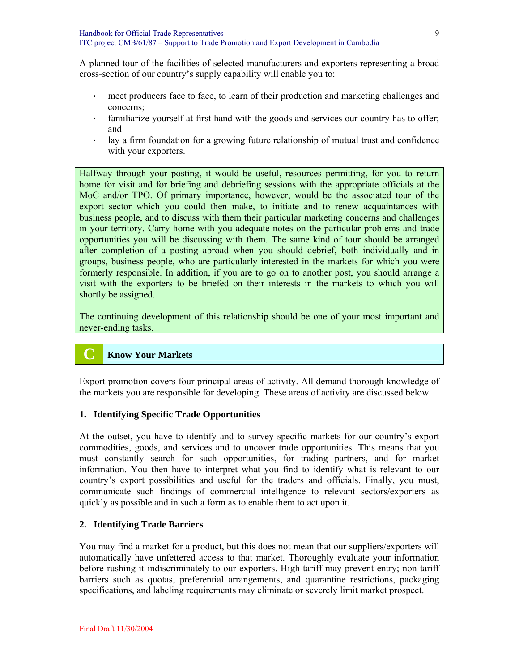A planned tour of the facilities of selected manufacturers and exporters representing a broad cross-section of our country's supply capability will enable you to:

- is meet producers face to face, to learn of their production and marketing challenges and concerns;
- $\cdot$  familiarize yourself at first hand with the goods and services our country has to offer; and
- $\cdot$  lay a firm foundation for a growing future relationship of mutual trust and confidence with your exporters.

Halfway through your posting, it would be useful, resources permitting, for you to return home for visit and for briefing and debriefing sessions with the appropriate officials at the MoC and/or TPO. Of primary importance, however, would be the associated tour of the export sector which you could then make, to initiate and to renew acquaintances with business people, and to discuss with them their particular marketing concerns and challenges in your territory. Carry home with you adequate notes on the particular problems and trade opportunities you will be discussing with them. The same kind of tour should be arranged after completion of a posting abroad when you should debrief, both individually and in groups, business people, who are particularly interested in the markets for which you were formerly responsible. In addition, if you are to go on to another post, you should arrange a visit with the exporters to be briefed on their interests in the markets to which you will shortly be assigned.

The continuing development of this relationship should be one of your most important and never-ending tasks.

## **C Know Your Markets**

Export promotion covers four principal areas of activity. All demand thorough knowledge of the markets you are responsible for developing. These areas of activity are discussed below.

#### **1. Identifying Specific Trade Opportunities**

At the outset, you have to identify and to survey specific markets for our country's export commodities, goods, and services and to uncover trade opportunities. This means that you must constantly search for such opportunities, for trading partners, and for market information. You then have to interpret what you find to identify what is relevant to our country's export possibilities and useful for the traders and officials. Finally, you must, communicate such findings of commercial intelligence to relevant sectors/exporters as quickly as possible and in such a form as to enable them to act upon it.

#### **2. Identifying Trade Barriers**

You may find a market for a product, but this does not mean that our suppliers/exporters will automatically have unfettered access to that market. Thoroughly evaluate your information before rushing it indiscriminately to our exporters. High tariff may prevent entry; non-tariff barriers such as quotas, preferential arrangements, and quarantine restrictions, packaging specifications, and labeling requirements may eliminate or severely limit market prospect.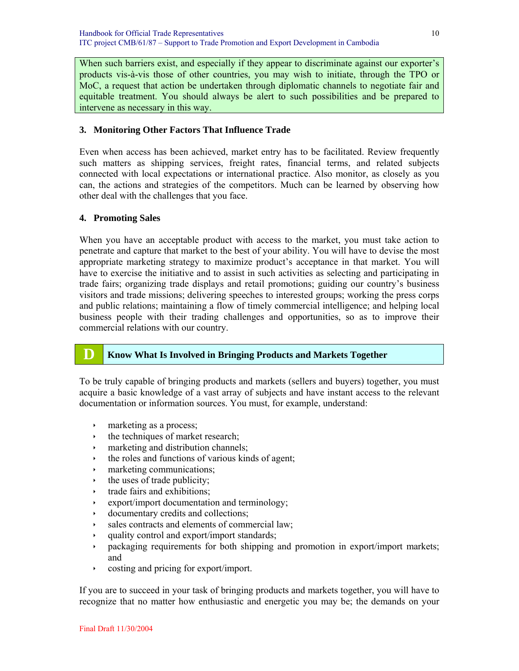When such barriers exist, and especially if they appear to discriminate against our exporter's products vis-à-vis those of other countries, you may wish to initiate, through the TPO or MoC, a request that action be undertaken through diplomatic channels to negotiate fair and equitable treatment. You should always be alert to such possibilities and be prepared to intervene as necessary in this way.

#### **3. Monitoring Other Factors That Influence Trade**

Even when access has been achieved, market entry has to be facilitated. Review frequently such matters as shipping services, freight rates, financial terms, and related subjects connected with local expectations or international practice. Also monitor, as closely as you can, the actions and strategies of the competitors. Much can be learned by observing how other deal with the challenges that you face.

#### **4. Promoting Sales**

When you have an acceptable product with access to the market, you must take action to penetrate and capture that market to the best of your ability. You will have to devise the most appropriate marketing strategy to maximize product's acceptance in that market. You will have to exercise the initiative and to assist in such activities as selecting and participating in trade fairs; organizing trade displays and retail promotions; guiding our country's business visitors and trade missions; delivering speeches to interested groups; working the press corps and public relations; maintaining a flow of timely commercial intelligence; and helping local business people with their trading challenges and opportunities, so as to improve their commercial relations with our country.

## **D Know What Is Involved in Bringing Products and Markets Together**

To be truly capable of bringing products and markets (sellers and buyers) together, you must acquire a basic knowledge of a vast array of subjects and have instant access to the relevant documentation or information sources. You must, for example, understand:

- $\cdot$  marketing as a process;
- $\cdot$  the techniques of market research;
- $\cdot$  marketing and distribution channels;
- $\cdot$  the roles and functions of various kinds of agent;
- $arrow$  marketing communications;
- $\cdot$  the uses of trade publicity;
- $\cdot$  trade fairs and exhibitions;
- $\rightarrow$  export/import documentation and terminology;
- $\rightarrow$  documentary credits and collections;
- $\cdot$  sales contracts and elements of commercial law;
- quality control and export/import standards;
- $\rightarrow$  packaging requirements for both shipping and promotion in export/import markets; and
- $\cdot$  costing and pricing for export/import.

If you are to succeed in your task of bringing products and markets together, you will have to recognize that no matter how enthusiastic and energetic you may be; the demands on your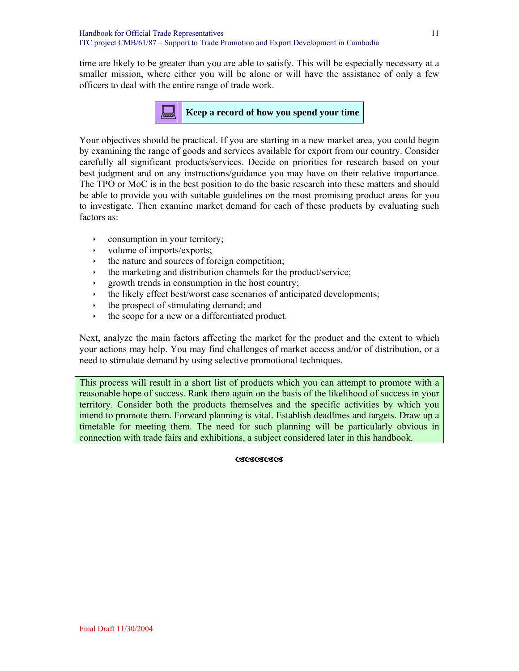time are likely to be greater than you are able to satisfy. This will be especially necessary at a smaller mission, where either you will be alone or will have the assistance of only a few officers to deal with the entire range of trade work.



Your objectives should be practical. If you are starting in a new market area, you could begin by examining the range of goods and services available for export from our country. Consider carefully all significant products/services. Decide on priorities for research based on your best judgment and on any instructions/guidance you may have on their relative importance. The TPO or MoC is in the best position to do the basic research into these matters and should be able to provide you with suitable guidelines on the most promising product areas for you to investigate. Then examine market demand for each of these products by evaluating such factors as:

- $\cdot$  consumption in your territory;
- $\rightarrow$  volume of imports/exports;
- $\cdot$  the nature and sources of foreign competition;
- $\cdot$  the marketing and distribution channels for the product/service;
- $\rightarrow$  growth trends in consumption in the host country;
- $\cdot$  the likely effect best/worst case scenarios of anticipated developments;
- $\cdot$  the prospect of stimulating demand; and
- $\cdot$  the scope for a new or a differentiated product.

Next, analyze the main factors affecting the market for the product and the extent to which your actions may help. You may find challenges of market access and/or of distribution, or a need to stimulate demand by using selective promotional techniques.

This process will result in a short list of products which you can attempt to promote with a reasonable hope of success. Rank them again on the basis of the likelihood of success in your territory. Consider both the products themselves and the specific activities by which you intend to promote them. Forward planning is vital. Establish deadlines and targets. Draw up a timetable for meeting them. The need for such planning will be particularly obvious in connection with trade fairs and exhibitions, a subject considered later in this handbook.

**OROROROR**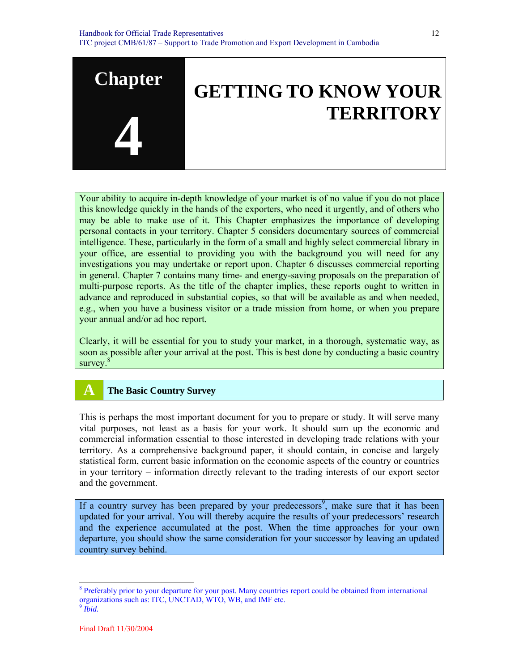

Your ability to acquire in-depth knowledge of your market is of no value if you do not place this knowledge quickly in the hands of the exporters, who need it urgently, and of others who may be able to make use of it. This Chapter emphasizes the importance of developing personal contacts in your territory. Chapter 5 considers documentary sources of commercial intelligence. These, particularly in the form of a small and highly select commercial library in your office, are essential to providing you with the background you will need for any investigations you may undertake or report upon. Chapter 6 discusses commercial reporting in general. Chapter 7 contains many time- and energy-saving proposals on the preparation of multi-purpose reports. As the title of the chapter implies, these reports ought to written in advance and reproduced in substantial copies, so that will be available as and when needed, e.g., when you have a business visitor or a trade mission from home, or when you prepare your annual and/or ad hoc report.

Clearly, it will be essential for you to study your market, in a thorough, systematic way, as soon as possible after your arrival at the post. This is best done by conducting a basic country survey.<sup>8</sup>

## **A The Basic Country Survey**

This is perhaps the most important document for you to prepare or study. It will serve many vital purposes, not least as a basis for your work. It should sum up the economic and commercial information essential to those interested in developing trade relations with your territory. As a comprehensive background paper, it should contain, in concise and largely statistical form, current basic information on the economic aspects of the country or countries in your territory – information directly relevant to the trading interests of our export sector and the government.

If a country survey has been prepared by your predecessors<sup>9</sup>, make sure that it has been updated for your arrival. You will thereby acquire the results of your predecessors' research and the experience accumulated at the post. When the time approaches for your own departure, you should show the same consideration for your successor by leaving an updated country survey behind.

<sup>&</sup>lt;sup>8</sup> Preferably prior to your departure for your post. Many countries report could be obtained from international organizations such as: ITC, UNCTAD, WTO, WB, and IMF etc.

<sup>9</sup> *Ibid.*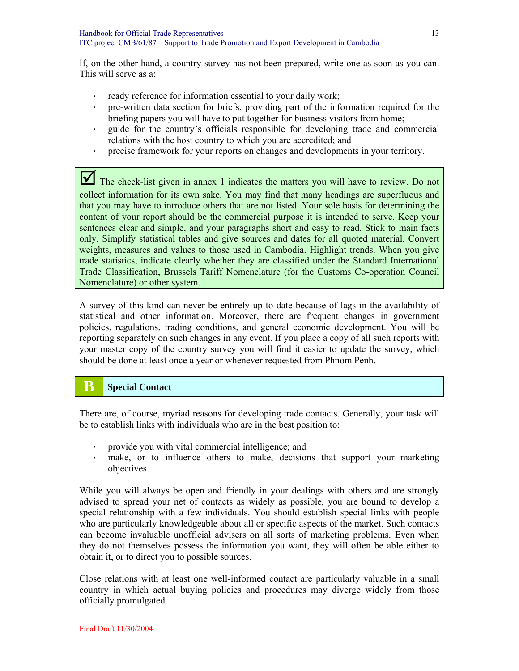If, on the other hand, a country survey has not been prepared, write one as soon as you can. This will serve as a:

- $\rightarrow$  ready reference for information essential to your daily work;
- ighthrow pre-written data section for briefs, providing part of the information required for the briefing papers you will have to put together for business visitors from home;
- $\rightarrow$  guide for the country's officials responsible for developing trade and commercial relations with the host country to which you are accredited; and
- ightharpoonup for your reports on changes and developments in your territory.

The check-list given in annex 1 indicates the matters you will have to review. Do not collect information for its own sake. You may find that many headings are superfluous and that you may have to introduce others that are not listed. Your sole basis for determining the content of your report should be the commercial purpose it is intended to serve. Keep your sentences clear and simple, and your paragraphs short and easy to read. Stick to main facts only. Simplify statistical tables and give sources and dates for all quoted material. Convert weights, measures and values to those used in Cambodia. Highlight trends. When you give trade statistics, indicate clearly whether they are classified under the Standard International Trade Classification, Brussels Tariff Nomenclature (for the Customs Co-operation Council Nomenclature) or other system.

A survey of this kind can never be entirely up to date because of lags in the availability of statistical and other information. Moreover, there are frequent changes in government policies, regulations, trading conditions, and general economic development. You will be reporting separately on such changes in any event. If you place a copy of all such reports with your master copy of the country survey you will find it easier to update the survey, which should be done at least once a year or whenever requested from Phnom Penh.

## **B Special Contact**

There are, of course, myriad reasons for developing trade contacts. Generally, your task will be to establish links with individuals who are in the best position to:

- $\rightarrow$  provide you with vital commercial intelligence; and
- $\rightarrow$  make, or to influence others to make, decisions that support your marketing objectives.

While you will always be open and friendly in your dealings with others and are strongly advised to spread your net of contacts as widely as possible, you are bound to develop a special relationship with a few individuals. You should establish special links with people who are particularly knowledgeable about all or specific aspects of the market. Such contacts can become invaluable unofficial advisers on all sorts of marketing problems. Even when they do not themselves possess the information you want, they will often be able either to obtain it, or to direct you to possible sources.

Close relations with at least one well-informed contact are particularly valuable in a small country in which actual buying policies and procedures may diverge widely from those officially promulgated.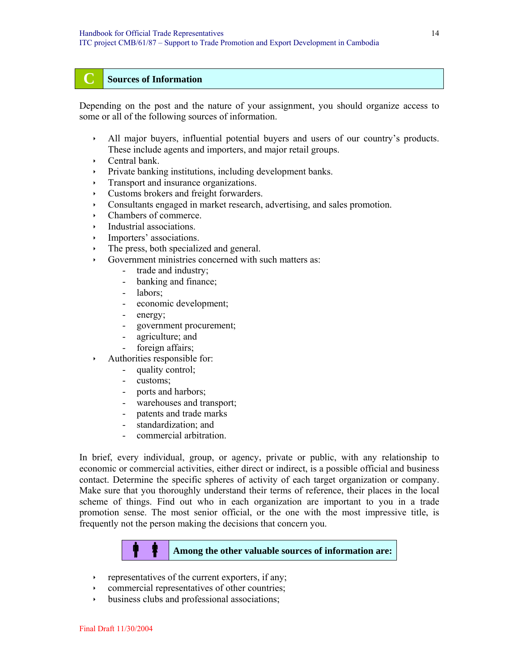#### **C Sources of Information**

Depending on the post and the nature of your assignment, you should organize access to some or all of the following sources of information.

- In All major buyers, influential potential buyers and users of our country's products. These include agents and importers, and major retail groups.
- $\cdot$  Central bank.
- Private banking institutions, including development banks.
- $\cdot$  Transport and insurance organizations.
- $\cdot$  Customs brokers and freight forwarders.
- Consultants engaged in market research, advertising, and sales promotion.
- $\cdot$  Chambers of commerce.
- $\cdot$  Industrial associations.
- Importers' associations.
- The press, both specialized and general.
- $\rightarrow$  Government ministries concerned with such matters as:
	- trade and industry;
	- banking and finance;
	- labors;
	- economic development;
	- energy;
	- government procurement;
	- agriculture; and
	- foreign affairs;
- Authorities responsible for:
	- quality control;
	- customs;
	- ports and harbors;
	- warehouses and transport;
	- patents and trade marks
	- standardization; and
	- commercial arbitration.

In brief, every individual, group, or agency, private or public, with any relationship to economic or commercial activities, either direct or indirect, is a possible official and business contact. Determine the specific spheres of activity of each target organization or company. Make sure that you thoroughly understand their terms of reference, their places in the local scheme of things. Find out who in each organization are important to you in a trade promotion sense. The most senior official, or the one with the most impressive title, is frequently not the person making the decisions that concern you.



- $\cdot$  representatives of the current exporters, if any;
- commercial representatives of other countries;
- business clubs and professional associations;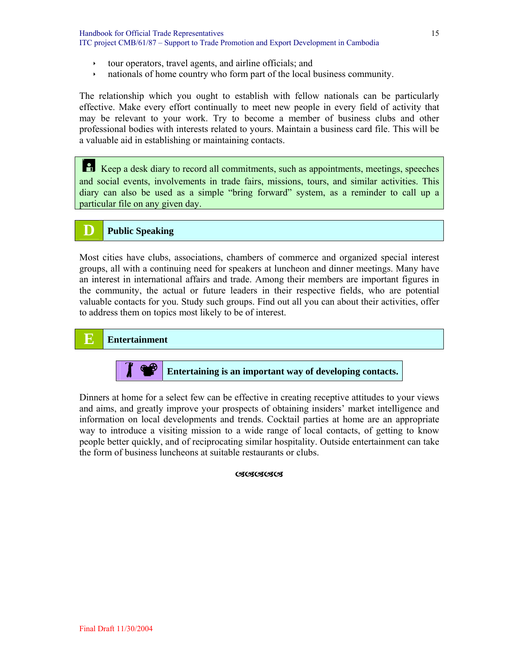- $\cdot$  tour operators, travel agents, and airline officials; and
- $\cdot$  nationals of home country who form part of the local business community.

The relationship which you ought to establish with fellow nationals can be particularly effective. Make every effort continually to meet new people in every field of activity that may be relevant to your work. Try to become a member of business clubs and other professional bodies with interests related to yours. Maintain a business card file. This will be a valuable aid in establishing or maintaining contacts.

¯ Keep a desk diary to record all commitments, such as appointments, meetings, speeches and social events, involvements in trade fairs, missions, tours, and similar activities. This diary can also be used as a simple "bring forward" system, as a reminder to call up a particular file on any given day.

#### **D Public Speaking**

Most cities have clubs, associations, chambers of commerce and organized special interest groups, all with a continuing need for speakers at luncheon and dinner meetings. Many have an interest in international affairs and trade. Among their members are important figures in the community, the actual or future leaders in their respective fields, who are potential valuable contacts for you. Study such groups. Find out all you can about their activities, offer to address them on topics most likely to be of interest.



Entertaining is an important way of developing contacts.

Dinners at home for a select few can be effective in creating receptive attitudes to your views and aims, and greatly improve your prospects of obtaining insiders' market intelligence and information on local developments and trends. Cocktail parties at home are an appropriate way to introduce a visiting mission to a wide range of local contacts, of getting to know people better quickly, and of reciprocating similar hospitality. Outside entertainment can take the form of business luncheons at suitable restaurants or clubs.

**OSOSOSOS**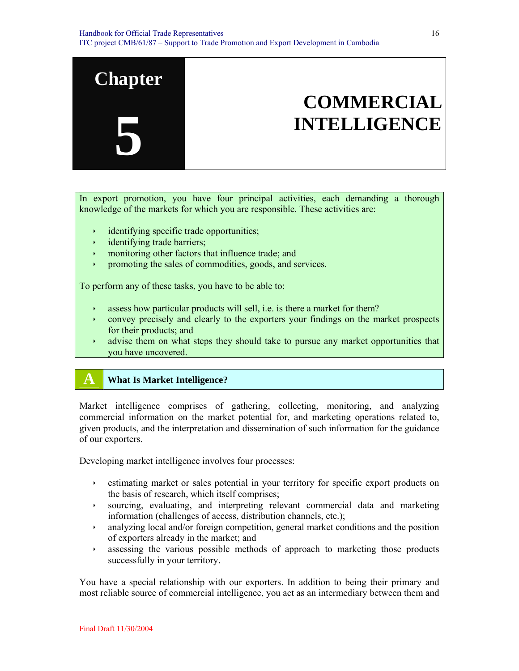

In export promotion, you have four principal activities, each demanding a thorough knowledge of the markets for which you are responsible. These activities are:

- identifying specific trade opportunities;
- $\cdot$  identifying trade barriers;
- monitoring other factors that influence trade; and
- $\rightarrow$  promoting the sales of commodities, goods, and services.

To perform any of these tasks, you have to be able to:

- $\rightarrow$  assess how particular products will sell, i.e. is there a market for them?
- $\cdot$  convey precisely and clearly to the exporters your findings on the market prospects for their products; and
- $\rightarrow$  advise them on what steps they should take to pursue any market opportunities that you have uncovered.

## **A What Is Market Intelligence?**

Market intelligence comprises of gathering, collecting, monitoring, and analyzing commercial information on the market potential for, and marketing operations related to, given products, and the interpretation and dissemination of such information for the guidance of our exporters.

Developing market intelligence involves four processes:

- $\rightarrow$  estimating market or sales potential in your territory for specific export products on the basis of research, which itself comprises;
- is sourcing, evaluating, and interpreting relevant commercial data and marketing information (challenges of access, distribution channels, etc.);
- $\cdot$  analyzing local and/or foreign competition, general market conditions and the position of exporters already in the market; and
- $\rightarrow$  assessing the various possible methods of approach to marketing those products successfully in your territory.

You have a special relationship with our exporters. In addition to being their primary and most reliable source of commercial intelligence, you act as an intermediary between them and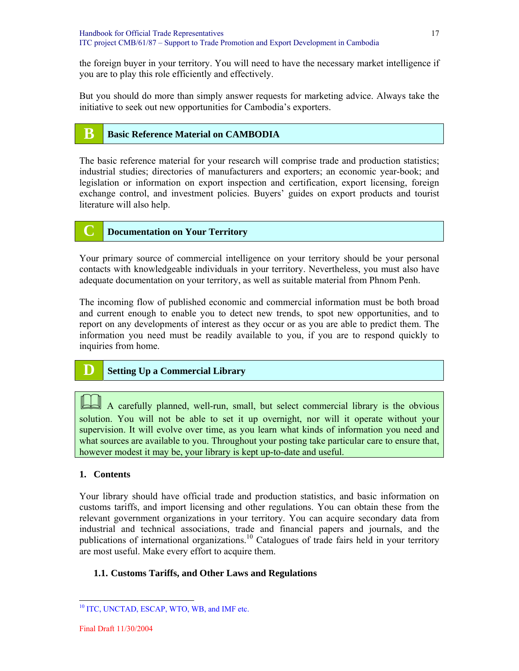the foreign buyer in your territory. You will need to have the necessary market intelligence if you are to play this role efficiently and effectively.

But you should do more than simply answer requests for marketing advice. Always take the initiative to seek out new opportunities for Cambodia's exporters.

## **B Basic Reference Material on CAMBODIA**

The basic reference material for your research will comprise trade and production statistics; industrial studies; directories of manufacturers and exporters; an economic year-book; and legislation or information on export inspection and certification, export licensing, foreign exchange control, and investment policies. Buyers' guides on export products and tourist literature will also help.

#### **C Documentation on Your Territory**

Your primary source of commercial intelligence on your territory should be your personal contacts with knowledgeable individuals in your territory. Nevertheless, you must also have adequate documentation on your territory, as well as suitable material from Phnom Penh.

The incoming flow of published economic and commercial information must be both broad and current enough to enable you to detect new trends, to spot new opportunities, and to report on any developments of interest as they occur or as you are able to predict them. The information you need must be readily available to you, if you are to respond quickly to inquiries from home.

## **D Setting Up a Commercial Library**

A carefully planned, well-run, small, but select commercial library is the obvious solution. You will not be able to set it up overnight, nor will it operate without your supervision. It will evolve over time, as you learn what kinds of information you need and what sources are available to you. Throughout your posting take particular care to ensure that, however modest it may be, your library is kept up-to-date and useful.

#### **1. Contents**

Your library should have official trade and production statistics, and basic information on customs tariffs, and import licensing and other regulations. You can obtain these from the relevant government organizations in your territory. You can acquire secondary data from industrial and technical associations, trade and financial papers and journals, and the publications of international organizations.<sup>10</sup> Catalogues of trade fairs held in your territory are most useful. Make every effort to acquire them.

#### **1.1. Customs Tariffs, and Other Laws and Regulations**

<sup>&</sup>lt;sup>10</sup> ITC, UNCTAD, ESCAP, WTO, WB, and IMF etc.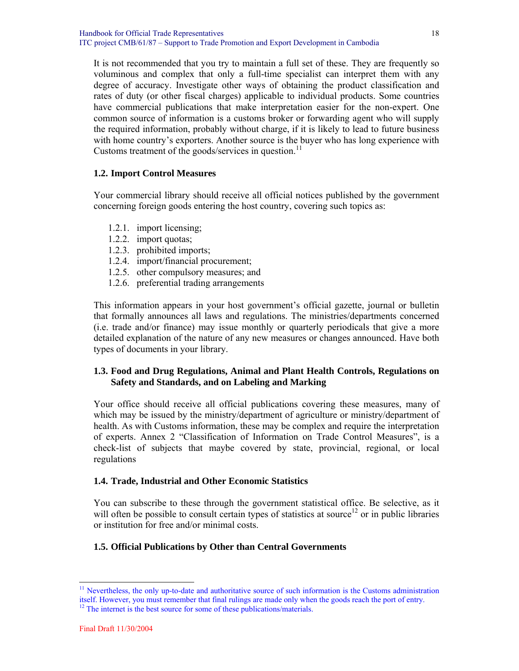Handbook for Official Trade Representatives ITC project CMB/61/87 – Support to Trade Promotion and Export Development in Cambodia

It is not recommended that you try to maintain a full set of these. They are frequently so voluminous and complex that only a full-time specialist can interpret them with any degree of accuracy. Investigate other ways of obtaining the product classification and rates of duty (or other fiscal charges) applicable to individual products. Some countries have commercial publications that make interpretation easier for the non-expert. One common source of information is a customs broker or forwarding agent who will supply the required information, probably without charge, if it is likely to lead to future business with home country's exporters. Another source is the buyer who has long experience with Customs treatment of the goods/services in question.<sup>11</sup>

#### **1.2. Import Control Measures**

Your commercial library should receive all official notices published by the government concerning foreign goods entering the host country, covering such topics as:

- 1.2.1. import licensing;
- 1.2.2. import quotas;
- 1.2.3. prohibited imports;
- 1.2.4. import/financial procurement;
- 1.2.5. other compulsory measures; and
- 1.2.6. preferential trading arrangements

This information appears in your host government's official gazette, journal or bulletin that formally announces all laws and regulations. The ministries/departments concerned (i.e. trade and/or finance) may issue monthly or quarterly periodicals that give a more detailed explanation of the nature of any new measures or changes announced. Have both types of documents in your library.

#### **1.3. Food and Drug Regulations, Animal and Plant Health Controls, Regulations on Safety and Standards, and on Labeling and Marking**

Your office should receive all official publications covering these measures, many of which may be issued by the ministry/department of agriculture or ministry/department of health. As with Customs information, these may be complex and require the interpretation of experts. Annex 2 "Classification of Information on Trade Control Measures", is a check-list of subjects that maybe covered by state, provincial, regional, or local regulations

#### **1.4. Trade, Industrial and Other Economic Statistics**

You can subscribe to these through the government statistical office. Be selective, as it will often be possible to consult certain types of statistics at source<sup>12</sup> or in public libraries or institution for free and/or minimal costs.

#### **1.5. Official Publications by Other than Central Governments**

<sup>11</sup> Nevertheless, the only up-to-date and authoritative source of such information is the Customs administration itself. However, you must remember that final rulings are made only when the goods reach the port of entry.

<sup>&</sup>lt;sup>12</sup> The internet is the best source for some of these publications/materials.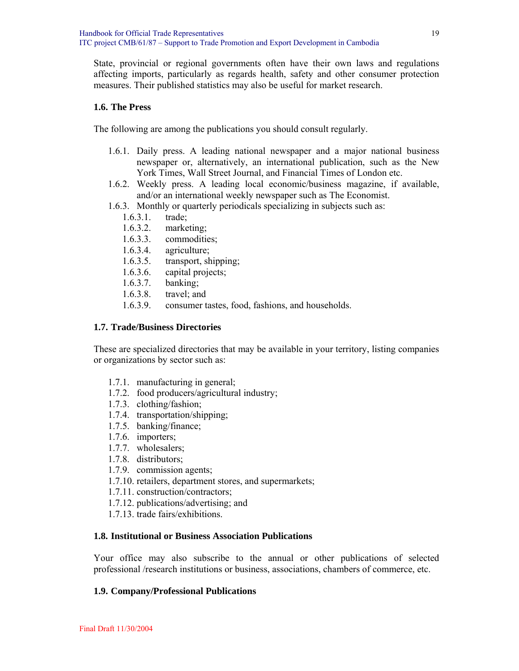State, provincial or regional governments often have their own laws and regulations affecting imports, particularly as regards health, safety and other consumer protection measures. Their published statistics may also be useful for market research.

#### **1.6. The Press**

The following are among the publications you should consult regularly.

- 1.6.1. Daily press. A leading national newspaper and a major national business newspaper or, alternatively, an international publication, such as the New York Times, Wall Street Journal, and Financial Times of London etc.
- 1.6.2. Weekly press. A leading local economic/business magazine, if available, and/or an international weekly newspaper such as The Economist.
- 1.6.3. Monthly or quarterly periodicals specializing in subjects such as:
	- 1.6.3.1. trade;
	- 1.6.3.2. marketing;
	- 1.6.3.3. commodities;
	- 1.6.3.4. agriculture;
	- 1.6.3.5. transport, shipping;
	- 1.6.3.6. capital projects;
	- 1.6.3.7. banking;
	- 1.6.3.8. travel; and
	- 1.6.3.9. consumer tastes, food, fashions, and households.

#### **1.7. Trade/Business Directories**

These are specialized directories that may be available in your territory, listing companies or organizations by sector such as:

- 1.7.1. manufacturing in general;
- 1.7.2. food producers/agricultural industry;
- 1.7.3. clothing/fashion;
- 1.7.4. transportation/shipping;
- 1.7.5. banking/finance;
- 1.7.6. importers;
- 1.7.7. wholesalers;
- 1.7.8. distributors;
- 1.7.9. commission agents;
- 1.7.10. retailers, department stores, and supermarkets;
- 1.7.11. construction/contractors;
- 1.7.12. publications/advertising; and
- 1.7.13. trade fairs/exhibitions.

#### **1.8. Institutional or Business Association Publications**

Your office may also subscribe to the annual or other publications of selected professional /research institutions or business, associations, chambers of commerce, etc.

#### **1.9. Company/Professional Publications**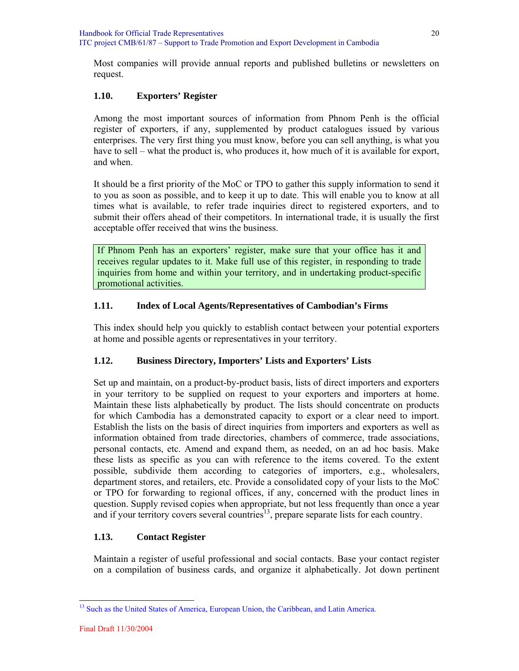Most companies will provide annual reports and published bulletins or newsletters on request.

#### **1.10. Exporters' Register**

Among the most important sources of information from Phnom Penh is the official register of exporters, if any, supplemented by product catalogues issued by various enterprises. The very first thing you must know, before you can sell anything, is what you have to sell – what the product is, who produces it, how much of it is available for export, and when.

It should be a first priority of the MoC or TPO to gather this supply information to send it to you as soon as possible, and to keep it up to date. This will enable you to know at all times what is available, to refer trade inquiries direct to registered exporters, and to submit their offers ahead of their competitors. In international trade, it is usually the first acceptable offer received that wins the business.

If Phnom Penh has an exporters' register, make sure that your office has it and receives regular updates to it. Make full use of this register, in responding to trade inquiries from home and within your territory, and in undertaking product-specific promotional activities.

#### **1.11. Index of Local Agents/Representatives of Cambodian's Firms**

This index should help you quickly to establish contact between your potential exporters at home and possible agents or representatives in your territory.

#### **1.12. Business Directory, Importers' Lists and Exporters' Lists**

Set up and maintain, on a product-by-product basis, lists of direct importers and exporters in your territory to be supplied on request to your exporters and importers at home. Maintain these lists alphabetically by product. The lists should concentrate on products for which Cambodia has a demonstrated capacity to export or a clear need to import. Establish the lists on the basis of direct inquiries from importers and exporters as well as information obtained from trade directories, chambers of commerce, trade associations, personal contacts, etc. Amend and expand them, as needed, on an ad hoc basis. Make these lists as specific as you can with reference to the items covered. To the extent possible, subdivide them according to categories of importers, e.g., wholesalers, department stores, and retailers, etc. Provide a consolidated copy of your lists to the MoC or TPO for forwarding to regional offices, if any, concerned with the product lines in question. Supply revised copies when appropriate, but not less frequently than once a year and if your territory covers several countries<sup>13</sup>, prepare separate lists for each country.

#### **1.13. Contact Register**

Maintain a register of useful professional and social contacts. Base your contact register on a compilation of business cards, and organize it alphabetically. Jot down pertinent

<sup>&</sup>lt;sup>13</sup> Such as the United States of America, European Union, the Caribbean, and Latin America.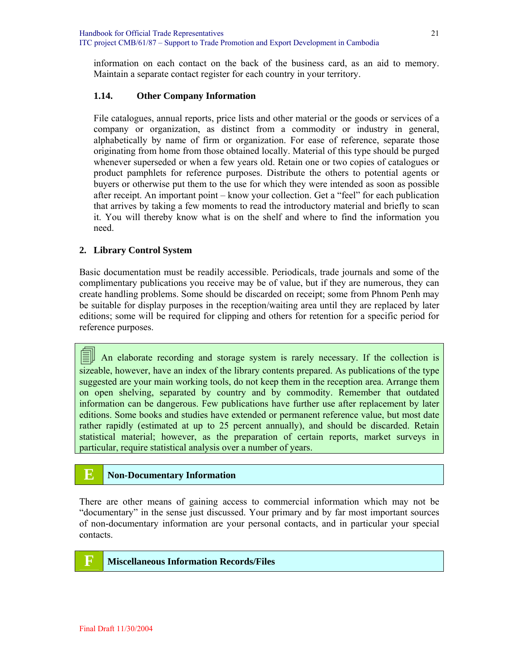information on each contact on the back of the business card, as an aid to memory. Maintain a separate contact register for each country in your territory.

#### **1.14. Other Company Information**

File catalogues, annual reports, price lists and other material or the goods or services of a company or organization, as distinct from a commodity or industry in general, alphabetically by name of firm or organization. For ease of reference, separate those originating from home from those obtained locally. Material of this type should be purged whenever superseded or when a few years old. Retain one or two copies of catalogues or product pamphlets for reference purposes. Distribute the others to potential agents or buyers or otherwise put them to the use for which they were intended as soon as possible after receipt. An important point – know your collection. Get a "feel" for each publication that arrives by taking a few moments to read the introductory material and briefly to scan it. You will thereby know what is on the shelf and where to find the information you need.

#### **2. Library Control System**

Basic documentation must be readily accessible. Periodicals, trade journals and some of the complimentary publications you receive may be of value, but if they are numerous, they can create handling problems. Some should be discarded on receipt; some from Phnom Penh may be suitable for display purposes in the reception/waiting area until they are replaced by later editions; some will be required for clipping and others for retention for a specific period for reference purposes.

 $\equiv$  An elaborate recording and storage system is rarely necessary. If the collection is sizeable, however, have an index of the library contents prepared. As publications of the type suggested are your main working tools, do not keep them in the reception area. Arrange them on open shelving, separated by country and by commodity. Remember that outdated information can be dangerous. Few publications have further use after replacement by later editions. Some books and studies have extended or permanent reference value, but most date rather rapidly (estimated at up to 25 percent annually), and should be discarded. Retain statistical material; however, as the preparation of certain reports, market surveys in particular, require statistical analysis over a number of years.

## **E Non-Documentary Information**

There are other means of gaining access to commercial information which may not be "documentary" in the sense just discussed. Your primary and by far most important sources of non-documentary information are your personal contacts, and in particular your special contacts.

## **F Miscellaneous Information Records/Files**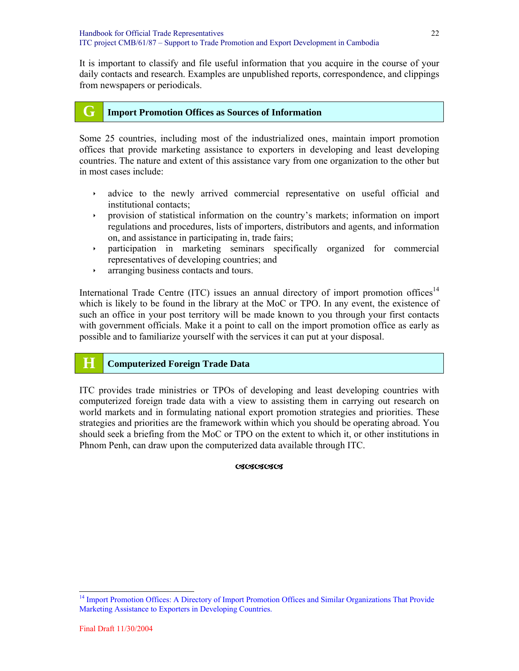It is important to classify and file useful information that you acquire in the course of your daily contacts and research. Examples are unpublished reports, correspondence, and clippings from newspapers or periodicals.

## **G Import Promotion Offices as Sources of Information**

Some 25 countries, including most of the industrialized ones, maintain import promotion offices that provide marketing assistance to exporters in developing and least developing countries. The nature and extent of this assistance vary from one organization to the other but in most cases include:

- $\rightarrow$  advice to the newly arrived commercial representative on useful official and institutional contacts;
- ightharpoonup is provision of statistical information on the country's markets; information on import regulations and procedures, lists of importers, distributors and agents, and information on, and assistance in participating in, trade fairs;
- $\rightarrow$  participation in marketing seminars specifically organized for commercial representatives of developing countries; and
- $\cdot$  arranging business contacts and tours.

International Trade Centre (ITC) issues an annual directory of import promotion offices<sup>14</sup> which is likely to be found in the library at the MoC or TPO. In any event, the existence of such an office in your post territory will be made known to you through your first contacts with government officials. Make it a point to call on the import promotion office as early as possible and to familiarize yourself with the services it can put at your disposal.

## **H Computerized Foreign Trade Data**

ITC provides trade ministries or TPOs of developing and least developing countries with computerized foreign trade data with a view to assisting them in carrying out research on world markets and in formulating national export promotion strategies and priorities. These strategies and priorities are the framework within which you should be operating abroad. You should seek a briefing from the MoC or TPO on the extent to which it, or other institutions in Phnom Penh, can draw upon the computerized data available through ITC.

#### **CICICICICI**

<sup>&</sup>lt;sup>14</sup> Import Promotion Offices: A Directory of Import Promotion Offices and Similar Organizations That Provide Marketing Assistance to Exporters in Developing Countries.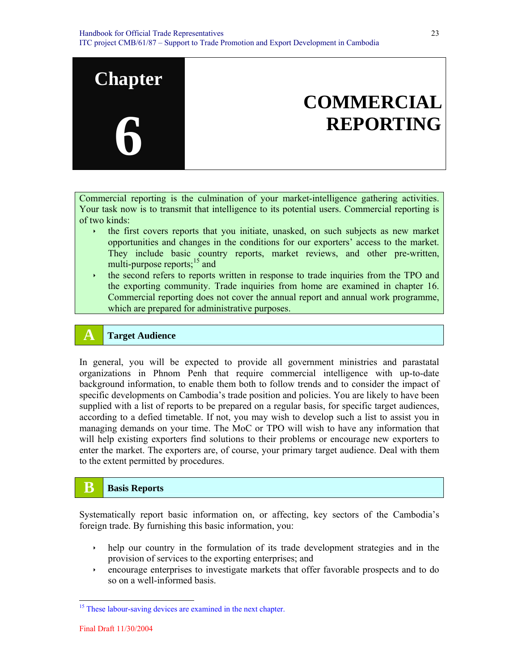

Commercial reporting is the culmination of your market-intelligence gathering activities. Your task now is to transmit that intelligence to its potential users. Commercial reporting is of two kinds:

- the first covers reports that you initiate, unasked, on such subjects as new market opportunities and changes in the conditions for our exporters' access to the market. They include basic country reports, market reviews, and other pre-written, multi-purpose reports; $15$  and
- $\rightarrow$  the second refers to reports written in response to trade inquiries from the TPO and the exporting community. Trade inquiries from home are examined in chapter 16. Commercial reporting does not cover the annual report and annual work programme, which are prepared for administrative purposes.

## **A Target Audience**

In general, you will be expected to provide all government ministries and parastatal organizations in Phnom Penh that require commercial intelligence with up-to-date background information, to enable them both to follow trends and to consider the impact of specific developments on Cambodia's trade position and policies. You are likely to have been supplied with a list of reports to be prepared on a regular basis, for specific target audiences, according to a defied timetable. If not, you may wish to develop such a list to assist you in managing demands on your time. The MoC or TPO will wish to have any information that will help existing exporters find solutions to their problems or encourage new exporters to enter the market. The exporters are, of course, your primary target audience. Deal with them to the extent permitted by procedures.

## **B B** Basis Reports

Systematically report basic information on, or affecting, key sectors of the Cambodia's foreign trade. By furnishing this basic information, you:

- $\rightarrow$  help our country in the formulation of its trade development strategies and in the provision of services to the exporting enterprises; and
- ightharror encourage enterprises to investigate markets that offer favorable prospects and to do so on a well-informed basis.

<sup>&</sup>lt;sup>15</sup> These labour-saving devices are examined in the next chapter.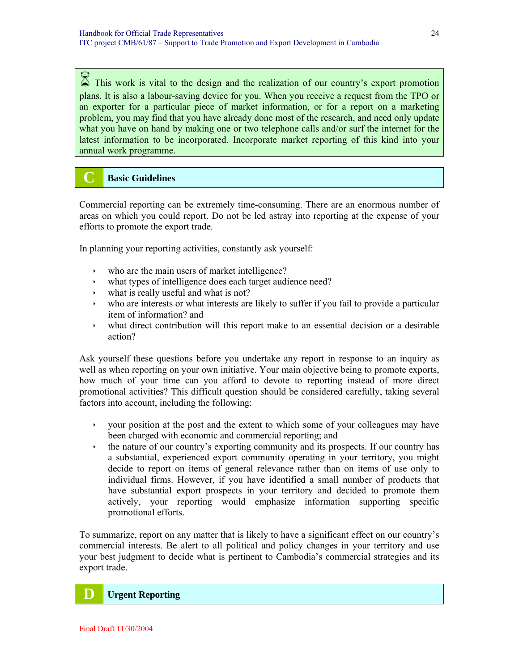$\%$  This work is vital to the design and the realization of our country's export promotion plans. It is also a labour-saving device for you. When you receive a request from the TPO or an exporter for a particular piece of market information, or for a report on a marketing problem, you may find that you have already done most of the research, and need only update what you have on hand by making one or two telephone calls and/or surf the internet for the latest information to be incorporated. Incorporate market reporting of this kind into your annual work programme.

## **C Basic Guidelines**

Commercial reporting can be extremely time-consuming. There are an enormous number of areas on which you could report. Do not be led astray into reporting at the expense of your efforts to promote the export trade.

In planning your reporting activities, constantly ask yourself:

- $\cdot$  who are the main users of market intelligence?
- $\cdot$  what types of intelligence does each target audience need?
- $\cdot$  what is really useful and what is not?
- who are interests or what interests are likely to suffer if you fail to provide a particular item of information? and
- $\rightarrow$  what direct contribution will this report make to an essential decision or a desirable action?

Ask yourself these questions before you undertake any report in response to an inquiry as well as when reporting on your own initiative. Your main objective being to promote exports, how much of your time can you afford to devote to reporting instead of more direct promotional activities? This difficult question should be considered carefully, taking several factors into account, including the following:

- $\rightarrow$  your position at the post and the extent to which some of your colleagues may have been charged with economic and commercial reporting; and
- $\cdot$  the nature of our country's exporting community and its prospects. If our country has a substantial, experienced export community operating in your territory, you might decide to report on items of general relevance rather than on items of use only to individual firms. However, if you have identified a small number of products that have substantial export prospects in your territory and decided to promote them actively, your reporting would emphasize information supporting specific promotional efforts.

To summarize, report on any matter that is likely to have a significant effect on our country's commercial interests. Be alert to all political and policy changes in your territory and use your best judgment to decide what is pertinent to Cambodia's commercial strategies and its export trade.

#### **D** Urgent Reporting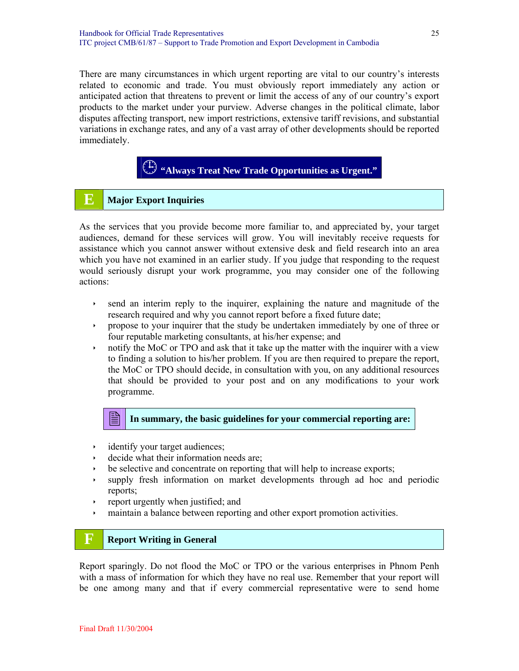There are many circumstances in which urgent reporting are vital to our country's interests related to economic and trade. You must obviously report immediately any action or anticipated action that threatens to prevent or limit the access of any of our country's export products to the market under your purview. Adverse changes in the political climate, labor disputes affecting transport, new import restrictions, extensive tariff revisions, and substantial variations in exchange rates, and any of a vast array of other developments should be reported immediately.

## **"Always Treat New Trade Opportunities as Urgent."**

## **E Major Export Inquiries**

As the services that you provide become more familiar to, and appreciated by, your target audiences, demand for these services will grow. You will inevitably receive requests for assistance which you cannot answer without extensive desk and field research into an area which you have not examined in an earlier study. If you judge that responding to the request would seriously disrupt your work programme, you may consider one of the following actions:

- $\rightarrow$  send an interim reply to the inquirer, explaining the nature and magnitude of the research required and why you cannot report before a fixed future date;
- $\rightarrow$  propose to your inquirer that the study be undertaken immediately by one of three or four reputable marketing consultants, at his/her expense; and
- $\rightarrow$  notify the MoC or TPO and ask that it take up the matter with the inquirer with a view to finding a solution to his/her problem. If you are then required to prepare the report, the MoC or TPO should decide, in consultation with you, on any additional resources that should be provided to your post and on any modifications to your work programme.



- $\cdot$  identify your target audiences;
- decide what their information needs are;
- $\rightarrow$  be selective and concentrate on reporting that will help to increase exports;
- ightharpoonup is supply fresh information on market developments through ad hoc and periodic reports;
- $\rightarrow$  report urgently when justified; and
- in maintain a balance between reporting and other export promotion activities.

## **F Report Writing in General**

Report sparingly. Do not flood the MoC or TPO or the various enterprises in Phnom Penh with a mass of information for which they have no real use. Remember that your report will be one among many and that if every commercial representative were to send home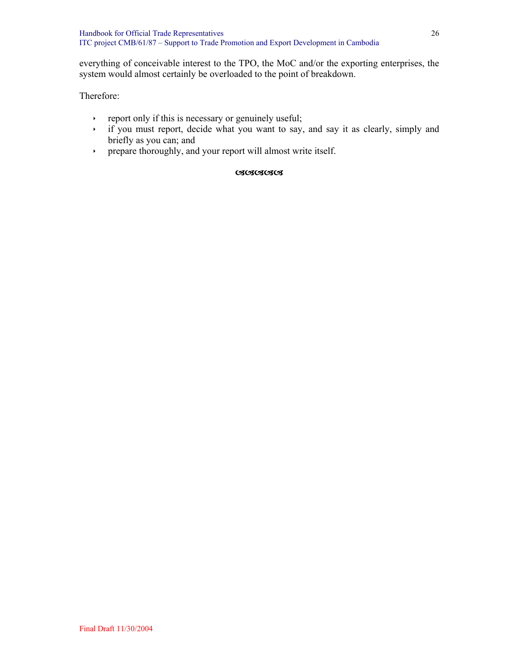everything of conceivable interest to the TPO, the MoC and/or the exporting enterprises, the system would almost certainly be overloaded to the point of breakdown.

#### Therefore:

- $\rightarrow$  report only if this is necessary or genuinely useful;
- $\rightarrow$  if you must report, decide what you want to say, and say it as clearly, simply and briefly as you can; and
- ightharport prepare thoroughly, and your report will almost write itself.

#### DDDDD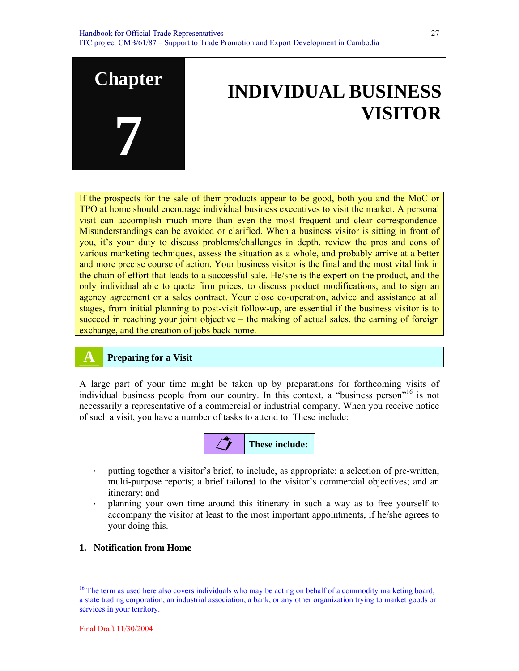

27



If the prospects for the sale of their products appear to be good, both you and the MoC or TPO at home should encourage individual business executives to visit the market. A personal visit can accomplish much more than even the most frequent and clear correspondence. Misunderstandings can be avoided or clarified. When a business visitor is sitting in front of you, it's your duty to discuss problems/challenges in depth, review the pros and cons of various marketing techniques, assess the situation as a whole, and probably arrive at a better and more precise course of action. Your business visitor is the final and the most vital link in the chain of effort that leads to a successful sale. He/she is the expert on the product, and the only individual able to quote firm prices, to discuss product modifications, and to sign an agency agreement or a sales contract. Your close co-operation, advice and assistance at all stages, from initial planning to post-visit follow-up, are essential if the business visitor is to succeed in reaching your joint objective – the making of actual sales, the earning of foreign exchange, and the creation of jobs back home.

#### **A Preparing for a Visit**

A large part of your time might be taken up by preparations for forthcoming visits of individual business people from our country. In this context, a "business person"<sup>16</sup> is not necessarily a representative of a commercial or industrial company. When you receive notice of such a visit, you have a number of tasks to attend to. These include:



- ightharpoonup together a visitor's brief, to include, as appropriate: a selection of pre-written, multi-purpose reports; a brief tailored to the visitor's commercial objectives; and an itinerary; and
- $\rightarrow$  planning your own time around this itinerary in such a way as to free yourself to accompany the visitor at least to the most important appointments, if he/she agrees to your doing this.
- **1. Notification from Home**

<sup>&</sup>lt;sup>16</sup> The term as used here also covers individuals who may be acting on behalf of a commodity marketing board, a state trading corporation, an industrial association, a bank, or any other organization trying to market goods or services in your territory.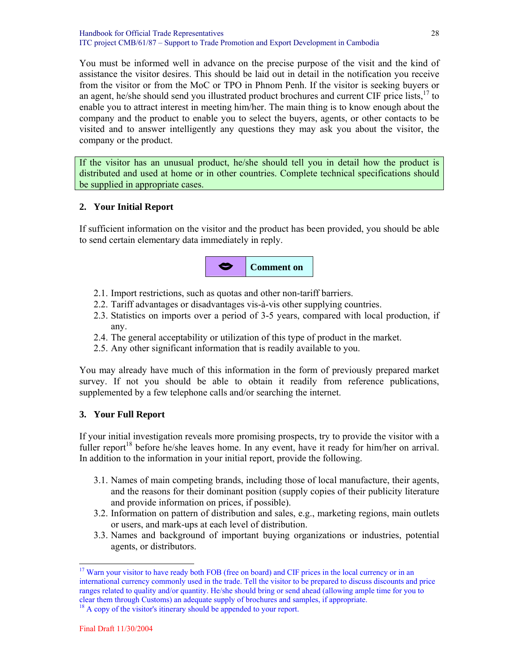You must be informed well in advance on the precise purpose of the visit and the kind of assistance the visitor desires. This should be laid out in detail in the notification you receive from the visitor or from the MoC or TPO in Phnom Penh. If the visitor is seeking buyers or an agent, he/she should send you illustrated product brochures and current CIF price lists,<sup>17</sup> to enable you to attract interest in meeting him/her. The main thing is to know enough about the company and the product to enable you to select the buyers, agents, or other contacts to be visited and to answer intelligently any questions they may ask you about the visitor, the company or the product.

If the visitor has an unusual product, he/she should tell you in detail how the product is distributed and used at home or in other countries. Complete technical specifications should be supplied in appropriate cases.

#### **2. Your Initial Report**

If sufficient information on the visitor and the product has been provided, you should be able to send certain elementary data immediately in reply.



- 2.1. Import restrictions, such as quotas and other non-tariff barriers.
- 2.2. Tariff advantages or disadvantages vis-à-vis other supplying countries.
- 2.3. Statistics on imports over a period of 3-5 years, compared with local production, if any.
- 2.4. The general acceptability or utilization of this type of product in the market.
- 2.5. Any other significant information that is readily available to you.

You may already have much of this information in the form of previously prepared market survey. If not you should be able to obtain it readily from reference publications, supplemented by a few telephone calls and/or searching the internet.

#### **3. Your Full Report**

If your initial investigation reveals more promising prospects, try to provide the visitor with a fuller report<sup>18</sup> before he/she leaves home. In any event, have it ready for him/her on arrival. In addition to the information in your initial report, provide the following.

- 3.1. Names of main competing brands, including those of local manufacture, their agents, and the reasons for their dominant position (supply copies of their publicity literature and provide information on prices, if possible).
- 3.2. Information on pattern of distribution and sales, e.g., marketing regions, main outlets or users, and mark-ups at each level of distribution.
- 3.3. Names and background of important buying organizations or industries, potential agents, or distributors.

<sup>&</sup>lt;sup>17</sup> Warn your visitor to have ready both FOB (free on board) and CIF prices in the local currency or in an international currency commonly used in the trade. Tell the visitor to be prepared to discuss discounts and price ranges related to quality and/or quantity. He/she should bring or send ahead (allowing ample time for you to clear them through Customs) an adequate supply of brochures and samples, if appropriate.

<sup>&</sup>lt;sup>18</sup> A copy of the visitor's itinerary should be appended to your report.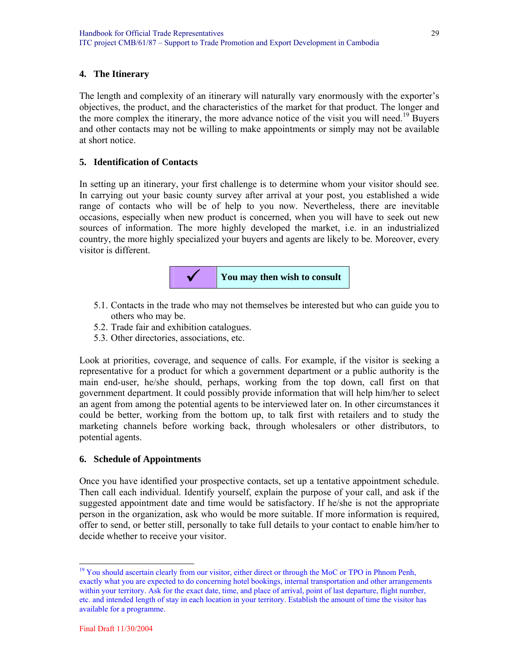#### **4. The Itinerary**

The length and complexity of an itinerary will naturally vary enormously with the exporter's objectives, the product, and the characteristics of the market for that product. The longer and the more complex the itinerary, the more advance notice of the visit you will need.<sup>19</sup> Buyers and other contacts may not be willing to make appointments or simply may not be available at short notice.

#### **5. Identification of Contacts**

In setting up an itinerary, your first challenge is to determine whom your visitor should see. In carrying out your basic county survey after arrival at your post, you established a wide range of contacts who will be of help to you now. Nevertheless, there are inevitable occasions, especially when new product is concerned, when you will have to seek out new sources of information. The more highly developed the market, i.e. in an industrialized country, the more highly specialized your buyers and agents are likely to be. Moreover, every visitor is different.



- 5.1. Contacts in the trade who may not themselves be interested but who can guide you to others who may be.
- 5.2. Trade fair and exhibition catalogues.
- 5.3. Other directories, associations, etc.

Look at priorities, coverage, and sequence of calls. For example, if the visitor is seeking a representative for a product for which a government department or a public authority is the main end-user, he/she should, perhaps, working from the top down, call first on that government department. It could possibly provide information that will help him/her to select an agent from among the potential agents to be interviewed later on. In other circumstances it could be better, working from the bottom up, to talk first with retailers and to study the marketing channels before working back, through wholesalers or other distributors, to potential agents.

#### **6. Schedule of Appointments**

Once you have identified your prospective contacts, set up a tentative appointment schedule. Then call each individual. Identify yourself, explain the purpose of your call, and ask if the suggested appointment date and time would be satisfactory. If he/she is not the appropriate person in the organization, ask who would be more suitable. If more information is required, offer to send, or better still, personally to take full details to your contact to enable him/her to decide whether to receive your visitor.

l <sup>19</sup> You should ascertain clearly from our visitor, either direct or through the MoC or TPO in Phnom Penh, exactly what you are expected to do concerning hotel bookings, internal transportation and other arrangements within your territory. Ask for the exact date, time, and place of arrival, point of last departure, flight number, etc. and intended length of stay in each location in your territory. Establish the amount of time the visitor has available for a programme.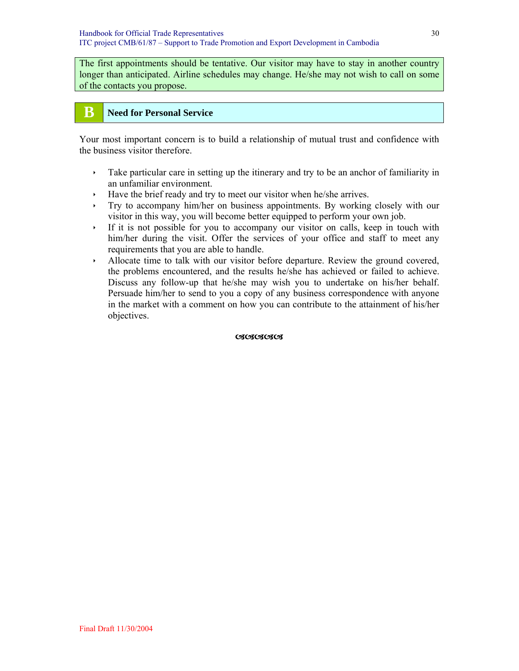The first appointments should be tentative. Our visitor may have to stay in another country longer than anticipated. Airline schedules may change. He/she may not wish to call on some of the contacts you propose.

## **B** Need for Personal Service

Your most important concern is to build a relationship of mutual trust and confidence with the business visitor therefore.

- $\rightarrow$  Take particular care in setting up the itinerary and try to be an anchor of familiarity in an unfamiliar environment.
- $\cdot$  Have the brief ready and try to meet our visitor when he/she arrives.
- $\rightarrow$  Try to accompany him/her on business appointments. By working closely with our visitor in this way, you will become better equipped to perform your own job.
- $\cdot$  If it is not possible for you to accompany our visitor on calls, keep in touch with him/her during the visit. Offer the services of your office and staff to meet any requirements that you are able to handle.
- $\rightarrow$  Allocate time to talk with our visitor before departure. Review the ground covered, the problems encountered, and the results he/she has achieved or failed to achieve. Discuss any follow-up that he/she may wish you to undertake on his/her behalf. Persuade him/her to send to you a copy of any business correspondence with anyone in the market with a comment on how you can contribute to the attainment of his/her objectives.

**CICICICICI**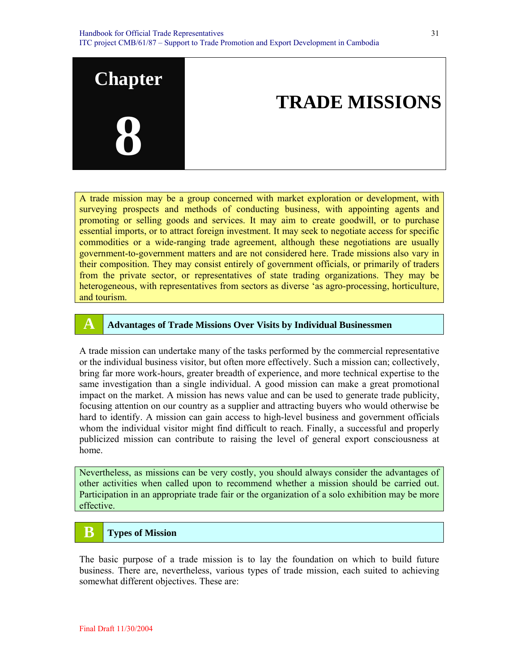

A trade mission may be a group concerned with market exploration or development, with surveying prospects and methods of conducting business, with appointing agents and promoting or selling goods and services. It may aim to create goodwill, or to purchase essential imports, or to attract foreign investment. It may seek to negotiate access for specific commodities or a wide-ranging trade agreement, although these negotiations are usually government-to-government matters and are not considered here. Trade missions also vary in their composition. They may consist entirely of government officials, or primarily of traders from the private sector, or representatives of state trading organizations. They may be heterogeneous, with representatives from sectors as diverse 'as agro-processing, horticulture, and tourism.

#### **A Advantages of Trade Missions Over Visits by Individual Businessmen**

A trade mission can undertake many of the tasks performed by the commercial representative or the individual business visitor, but often more effectively. Such a mission can; collectively, bring far more work-hours, greater breadth of experience, and more technical expertise to the same investigation than a single individual. A good mission can make a great promotional impact on the market. A mission has news value and can be used to generate trade publicity, focusing attention on our country as a supplier and attracting buyers who would otherwise be hard to identify. A mission can gain access to high-level business and government officials whom the individual visitor might find difficult to reach. Finally, a successful and properly publicized mission can contribute to raising the level of general export consciousness at home.

Nevertheless, as missions can be very costly, you should always consider the advantages of other activities when called upon to recommend whether a mission should be carried out. Participation in an appropriate trade fair or the organization of a solo exhibition may be more effective.

## **B** Types of Mission

The basic purpose of a trade mission is to lay the foundation on which to build future business. There are, nevertheless, various types of trade mission, each suited to achieving somewhat different objectives. These are: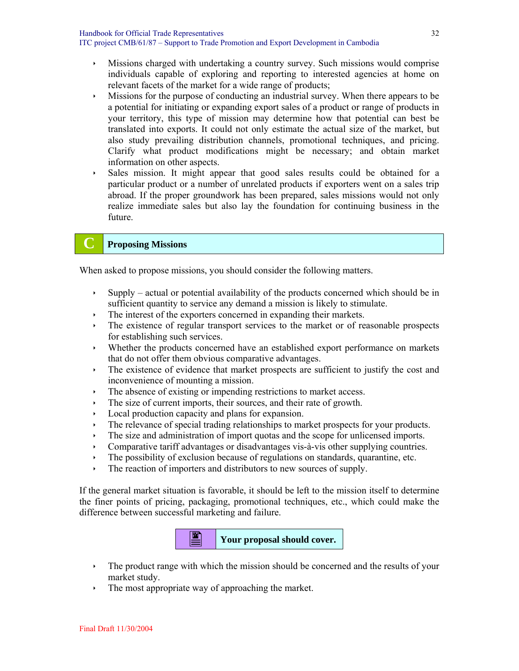- $\rightarrow$  Missions charged with undertaking a country survey. Such missions would comprise individuals capable of exploring and reporting to interested agencies at home on relevant facets of the market for a wide range of products;
- $\cdot$  Missions for the purpose of conducting an industrial survey. When there appears to be a potential for initiating or expanding export sales of a product or range of products in your territory, this type of mission may determine how that potential can best be translated into exports. It could not only estimate the actual size of the market, but also study prevailing distribution channels, promotional techniques, and pricing. Clarify what product modifications might be necessary; and obtain market information on other aspects.
- $\rightarrow$  Sales mission. It might appear that good sales results could be obtained for a particular product or a number of unrelated products if exporters went on a sales trip abroad. If the proper groundwork has been prepared, sales missions would not only realize immediate sales but also lay the foundation for continuing business in the future.

## **C Proposing Missions**

When asked to propose missions, you should consider the following matters.

- $\rightarrow$  Supply actual or potential availability of the products concerned which should be in sufficient quantity to service any demand a mission is likely to stimulate.
- $\cdot$  The interest of the exporters concerned in expanding their markets.
- $\cdot$  The existence of regular transport services to the market or of reasonable prospects for establishing such services.
- $\cdot$  Whether the products concerned have an established export performance on markets that do not offer them obvious comparative advantages.
- $\cdot$  The existence of evidence that market prospects are sufficient to justify the cost and inconvenience of mounting a mission.
- $\cdot$  The absence of existing or impending restrictions to market access.
- $\cdot$  The size of current imports, their sources, and their rate of growth.
- Local production capacity and plans for expansion.
- $\cdot$  The relevance of special trading relationships to market prospects for your products.
- $\cdot$  The size and administration of import quotas and the scope for unlicensed imports.
- $\cdot$  Comparative tariff advantages or disadvantages vis-à-vis other supplying countries.
- $\cdot$  The possibility of exclusion because of regulations on standards, quarantine, etc.
- $\cdot$  The reaction of importers and distributors to new sources of supply.

If the general market situation is favorable, it should be left to the mission itself to determine the finer points of pricing, packaging, promotional techniques, etc., which could make the difference between successful marketing and failure.



- $\cdot$  The product range with which the mission should be concerned and the results of your market study.
- $\cdot$  The most appropriate way of approaching the market.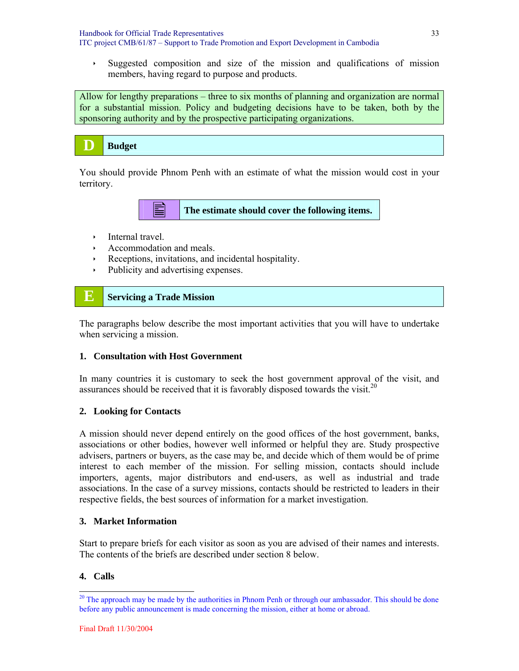$\rightarrow$  Suggested composition and size of the mission and qualifications of mission members, having regard to purpose and products.

Allow for lengthy preparations – three to six months of planning and organization are normal for a substantial mission. Policy and budgeting decisions have to be taken, both by the sponsoring authority and by the prospective participating organizations.

|  | <b>Budget</b> |
|--|---------------|
|--|---------------|

You should provide Phnom Penh with an estimate of what the mission would cost in your territory.

**The estimate should cover the following items.** 

- $\cdot$  Internal travel.
- Accommodation and meals.
- $\cdot$  Receptions, invitations, and incidental hospitality.
- $\rightarrow$  Publicity and advertising expenses.

## **E** Servicing a Trade Mission

The paragraphs below describe the most important activities that you will have to undertake when servicing a mission.

#### **1. Consultation with Host Government**

In many countries it is customary to seek the host government approval of the visit, and assurances should be received that it is favorably disposed towards the visit.<sup>20</sup>

#### **2. Looking for Contacts**

A mission should never depend entirely on the good offices of the host government, banks, associations or other bodies, however well informed or helpful they are. Study prospective advisers, partners or buyers, as the case may be, and decide which of them would be of prime interest to each member of the mission. For selling mission, contacts should include importers, agents, major distributors and end-users, as well as industrial and trade associations. In the case of a survey missions, contacts should be restricted to leaders in their respective fields, the best sources of information for a market investigation.

#### **3. Market Information**

Start to prepare briefs for each visitor as soon as you are advised of their names and interests. The contents of the briefs are described under section 8 below.

#### **4. Calls**

<sup>&</sup>lt;sup>20</sup> The approach may be made by the authorities in Phnom Penh or through our ambassador. This should be done before any public announcement is made concerning the mission, either at home or abroad.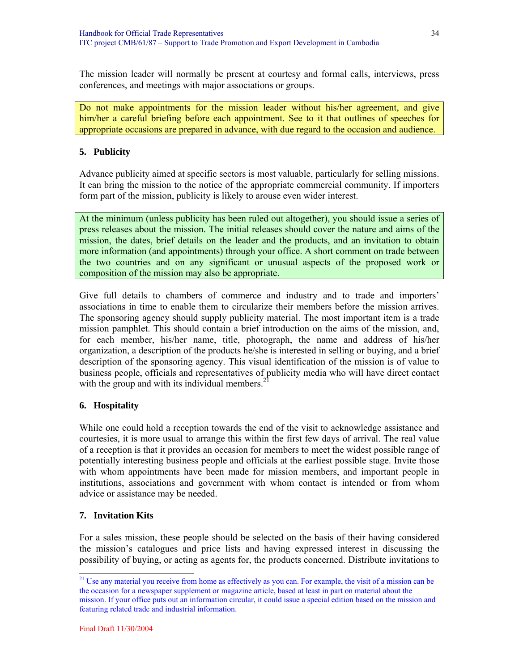The mission leader will normally be present at courtesy and formal calls, interviews, press conferences, and meetings with major associations or groups.

Do not make appointments for the mission leader without his/her agreement, and give him/her a careful briefing before each appointment. See to it that outlines of speeches for appropriate occasions are prepared in advance, with due regard to the occasion and audience.

#### **5. Publicity**

Advance publicity aimed at specific sectors is most valuable, particularly for selling missions. It can bring the mission to the notice of the appropriate commercial community. If importers form part of the mission, publicity is likely to arouse even wider interest.

At the minimum (unless publicity has been ruled out altogether), you should issue a series of press releases about the mission. The initial releases should cover the nature and aims of the mission, the dates, brief details on the leader and the products, and an invitation to obtain more information (and appointments) through your office. A short comment on trade between the two countries and on any significant or unusual aspects of the proposed work or composition of the mission may also be appropriate.

Give full details to chambers of commerce and industry and to trade and importers' associations in time to enable them to circularize their members before the mission arrives. The sponsoring agency should supply publicity material. The most important item is a trade mission pamphlet. This should contain a brief introduction on the aims of the mission, and, for each member, his/her name, title, photograph, the name and address of his/her organization, a description of the products he/she is interested in selling or buying, and a brief description of the sponsoring agency. This visual identification of the mission is of value to business people, officials and representatives of publicity media who will have direct contact with the group and with its individual members. $^{21}$ 

#### **6. Hospitality**

While one could hold a reception towards the end of the visit to acknowledge assistance and courtesies, it is more usual to arrange this within the first few days of arrival. The real value of a reception is that it provides an occasion for members to meet the widest possible range of potentially interesting business people and officials at the earliest possible stage. Invite those with whom appointments have been made for mission members, and important people in institutions, associations and government with whom contact is intended or from whom advice or assistance may be needed.

#### **7. Invitation Kits**

For a sales mission, these people should be selected on the basis of their having considered the mission's catalogues and price lists and having expressed interest in discussing the possibility of buying, or acting as agents for, the products concerned. Distribute invitations to

<sup>&</sup>lt;sup>21</sup> Use any material you receive from home as effectively as you can. For example, the visit of a mission can be the occasion for a newspaper supplement or magazine article, based at least in part on material about the mission. If your office puts out an information circular, it could issue a special edition based on the mission and featuring related trade and industrial information.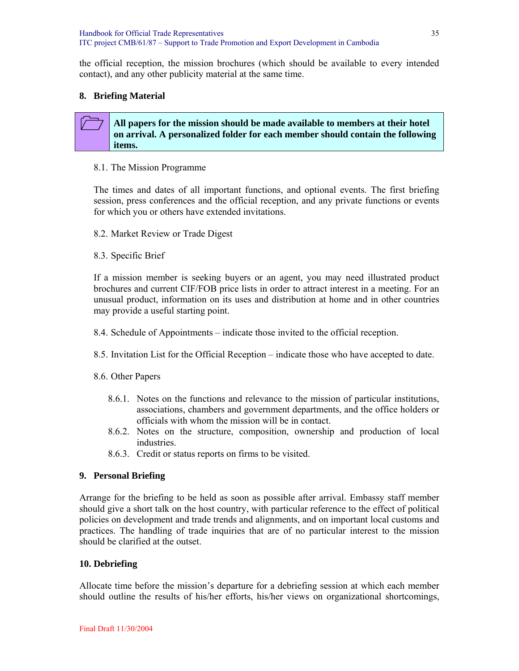the official reception, the mission brochures (which should be available to every intended contact), and any other publicity material at the same time.

#### **8. Briefing Material**

#### **All papers for the mission should be made available to members at their hotel on arrival. A personalized folder for each member should contain the following items.**

#### 8.1. The Mission Programme

The times and dates of all important functions, and optional events. The first briefing session, press conferences and the official reception, and any private functions or events for which you or others have extended invitations.

- 8.2. Market Review or Trade Digest
- 8.3. Specific Brief

If a mission member is seeking buyers or an agent, you may need illustrated product brochures and current CIF/FOB price lists in order to attract interest in a meeting. For an unusual product, information on its uses and distribution at home and in other countries may provide a useful starting point.

- 8.4. Schedule of Appointments indicate those invited to the official reception.
- 8.5. Invitation List for the Official Reception indicate those who have accepted to date.
- 8.6. Other Papers
	- 8.6.1. Notes on the functions and relevance to the mission of particular institutions, associations, chambers and government departments, and the office holders or officials with whom the mission will be in contact.
	- 8.6.2. Notes on the structure, composition, ownership and production of local industries.
	- 8.6.3. Credit or status reports on firms to be visited.

#### **9. Personal Briefing**

Arrange for the briefing to be held as soon as possible after arrival. Embassy staff member should give a short talk on the host country, with particular reference to the effect of political policies on development and trade trends and alignments, and on important local customs and practices. The handling of trade inquiries that are of no particular interest to the mission should be clarified at the outset.

#### **10. Debriefing**

Allocate time before the mission's departure for a debriefing session at which each member should outline the results of his/her efforts, his/her views on organizational shortcomings,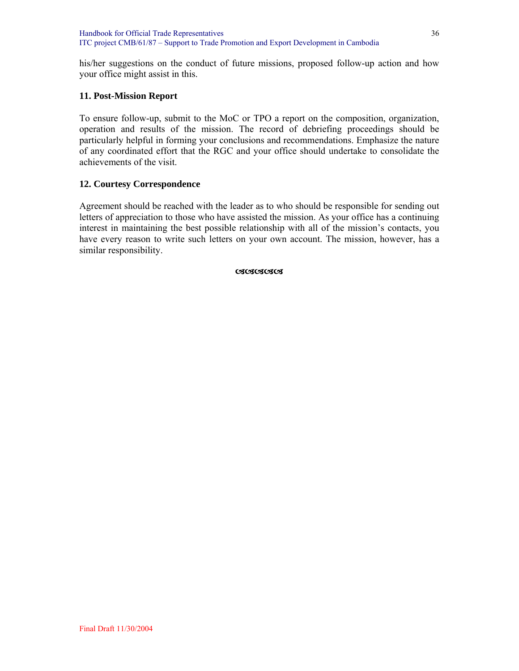his/her suggestions on the conduct of future missions, proposed follow-up action and how your office might assist in this.

#### **11. Post-Mission Report**

To ensure follow-up, submit to the MoC or TPO a report on the composition, organization, operation and results of the mission. The record of debriefing proceedings should be particularly helpful in forming your conclusions and recommendations. Emphasize the nature of any coordinated effort that the RGC and your office should undertake to consolidate the achievements of the visit.

#### **12. Courtesy Correspondence**

Agreement should be reached with the leader as to who should be responsible for sending out letters of appreciation to those who have assisted the mission. As your office has a continuing interest in maintaining the best possible relationship with all of the mission's contacts, you have every reason to write such letters on your own account. The mission, however, has a similar responsibility.

**CSCSCSCSCS**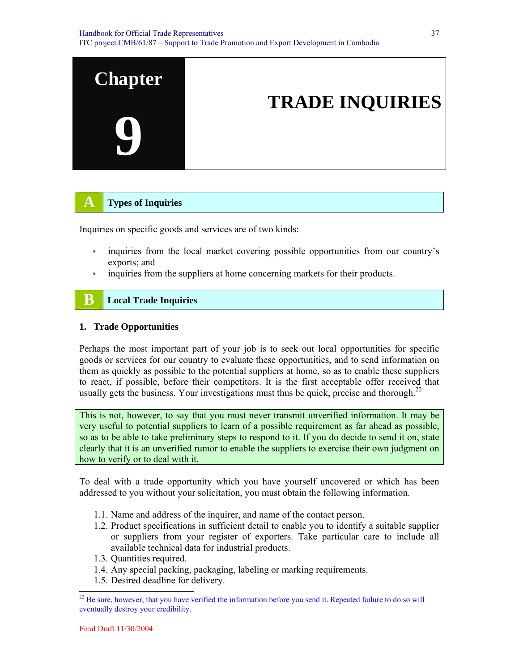

# **A Types of Inquiries**

Inquiries on specific goods and services are of two kinds:

- $\cdot$  inquiries from the local market covering possible opportunities from our country's exports; and
- $\cdot$  inquiries from the suppliers at home concerning markets for their products.

# **B** Local Trade Inquiries

#### **1. Trade Opportunities**

Perhaps the most important part of your job is to seek out local opportunities for specific goods or services for our country to evaluate these opportunities, and to send information on them as quickly as possible to the potential suppliers at home, so as to enable these suppliers to react, if possible, before their competitors. It is the first acceptable offer received that usually gets the business. Your investigations must thus be quick, precise and thorough.<sup>22</sup>

This is not, however, to say that you must never transmit unverified information. It may be very useful to potential suppliers to learn of a possible requirement as far ahead as possible, so as to be able to take preliminary steps to respond to it. If you do decide to send it on, state clearly that it is an unverified rumor to enable the suppliers to exercise their own judgment on how to verify or to deal with it.

To deal with a trade opportunity which you have yourself uncovered or which has been addressed to you without your solicitation, you must obtain the following information.

- 1.1. Name and address of the inquirer, and name of the contact person.
- 1.2. Product specifications in sufficient detail to enable you to identify a suitable supplier or suppliers from your register of exporters. Take particular care to include all available technical data for industrial products.
- 1.3. Quantities required.
- 1.4. Any special packing, packaging, labeling or marking requirements.
- 1.5. Desired deadline for delivery.

<sup>&</sup>lt;sup>22</sup> Be sure, however, that you have verified the information before you send it. Repeated failure to do so will eventually destroy your credibility.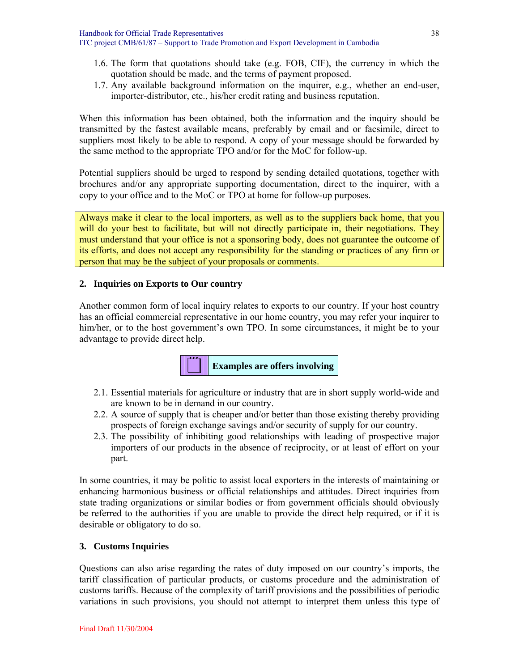- 1.6. The form that quotations should take (e.g. FOB, CIF), the currency in which the quotation should be made, and the terms of payment proposed.
- 1.7. Any available background information on the inquirer, e.g., whether an end-user, importer-distributor, etc., his/her credit rating and business reputation.

When this information has been obtained, both the information and the inquiry should be transmitted by the fastest available means, preferably by email and or facsimile, direct to suppliers most likely to be able to respond. A copy of your message should be forwarded by the same method to the appropriate TPO and/or for the MoC for follow-up.

Potential suppliers should be urged to respond by sending detailed quotations, together with brochures and/or any appropriate supporting documentation, direct to the inquirer, with a copy to your office and to the MoC or TPO at home for follow-up purposes.

Always make it clear to the local importers, as well as to the suppliers back home, that you will do your best to facilitate, but will not directly participate in, their negotiations. They must understand that your office is not a sponsoring body, does not guarantee the outcome of its efforts, and does not accept any responsibility for the standing or practices of any firm or person that may be the subject of your proposals or comments.

#### **2. Inquiries on Exports to Our country**

Another common form of local inquiry relates to exports to our country. If your host country has an official commercial representative in our home country, you may refer your inquirer to him/her, or to the host government's own TPO. In some circumstances, it might be to your advantage to provide direct help.



- 2.1. Essential materials for agriculture or industry that are in short supply world-wide and are known to be in demand in our country.
- 2.2. A source of supply that is cheaper and/or better than those existing thereby providing prospects of foreign exchange savings and/or security of supply for our country.
- 2.3. The possibility of inhibiting good relationships with leading of prospective major importers of our products in the absence of reciprocity, or at least of effort on your part.

In some countries, it may be politic to assist local exporters in the interests of maintaining or enhancing harmonious business or official relationships and attitudes. Direct inquiries from state trading organizations or similar bodies or from government officials should obviously be referred to the authorities if you are unable to provide the direct help required, or if it is desirable or obligatory to do so.

#### **3. Customs Inquiries**

Questions can also arise regarding the rates of duty imposed on our country's imports, the tariff classification of particular products, or customs procedure and the administration of customs tariffs. Because of the complexity of tariff provisions and the possibilities of periodic variations in such provisions, you should not attempt to interpret them unless this type of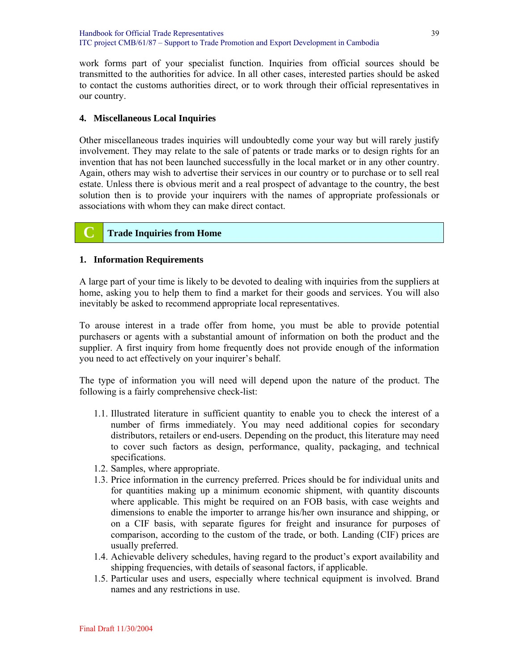work forms part of your specialist function. Inquiries from official sources should be transmitted to the authorities for advice. In all other cases, interested parties should be asked to contact the customs authorities direct, or to work through their official representatives in our country.

#### **4. Miscellaneous Local Inquiries**

Other miscellaneous trades inquiries will undoubtedly come your way but will rarely justify involvement. They may relate to the sale of patents or trade marks or to design rights for an invention that has not been launched successfully in the local market or in any other country. Again, others may wish to advertise their services in our country or to purchase or to sell real estate. Unless there is obvious merit and a real prospect of advantage to the country, the best solution then is to provide your inquirers with the names of appropriate professionals or associations with whom they can make direct contact.

# **C Trade Inquiries from Home**

# **1. Information Requirements**

A large part of your time is likely to be devoted to dealing with inquiries from the suppliers at home, asking you to help them to find a market for their goods and services. You will also inevitably be asked to recommend appropriate local representatives.

To arouse interest in a trade offer from home, you must be able to provide potential purchasers or agents with a substantial amount of information on both the product and the supplier. A first inquiry from home frequently does not provide enough of the information you need to act effectively on your inquirer's behalf.

The type of information you will need will depend upon the nature of the product. The following is a fairly comprehensive check-list:

- 1.1. Illustrated literature in sufficient quantity to enable you to check the interest of a number of firms immediately. You may need additional copies for secondary distributors, retailers or end-users. Depending on the product, this literature may need to cover such factors as design, performance, quality, packaging, and technical specifications.
- 1.2. Samples, where appropriate.
- 1.3. Price information in the currency preferred. Prices should be for individual units and for quantities making up a minimum economic shipment, with quantity discounts where applicable. This might be required on an FOB basis, with case weights and dimensions to enable the importer to arrange his/her own insurance and shipping, or on a CIF basis, with separate figures for freight and insurance for purposes of comparison, according to the custom of the trade, or both. Landing (CIF) prices are usually preferred.
- 1.4. Achievable delivery schedules, having regard to the product's export availability and shipping frequencies, with details of seasonal factors, if applicable.
- 1.5. Particular uses and users, especially where technical equipment is involved. Brand names and any restrictions in use.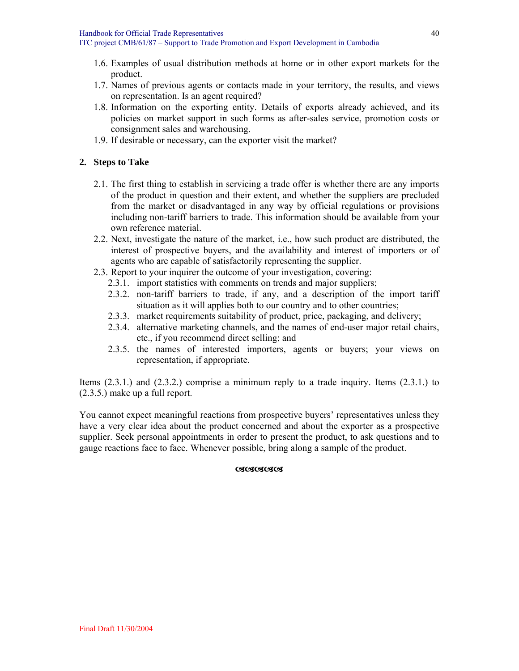- 1.6. Examples of usual distribution methods at home or in other export markets for the product.
- 1.7. Names of previous agents or contacts made in your territory, the results, and views on representation. Is an agent required?
- 1.8. Information on the exporting entity. Details of exports already achieved, and its policies on market support in such forms as after-sales service, promotion costs or consignment sales and warehousing.
- 1.9. If desirable or necessary, can the exporter visit the market?

### **2. Steps to Take**

- 2.1. The first thing to establish in servicing a trade offer is whether there are any imports of the product in question and their extent, and whether the suppliers are precluded from the market or disadvantaged in any way by official regulations or provisions including non-tariff barriers to trade. This information should be available from your own reference material.
- 2.2. Next, investigate the nature of the market, i.e., how such product are distributed, the interest of prospective buyers, and the availability and interest of importers or of agents who are capable of satisfactorily representing the supplier.
- 2.3. Report to your inquirer the outcome of your investigation, covering:
	- 2.3.1. import statistics with comments on trends and major suppliers;
	- 2.3.2. non-tariff barriers to trade, if any, and a description of the import tariff situation as it will applies both to our country and to other countries;
	- 2.3.3. market requirements suitability of product, price, packaging, and delivery;
	- 2.3.4. alternative marketing channels, and the names of end-user major retail chairs, etc., if you recommend direct selling; and
	- 2.3.5. the names of interested importers, agents or buyers; your views on representation, if appropriate.

Items (2.3.1.) and (2.3.2.) comprise a minimum reply to a trade inquiry. Items (2.3.1.) to (2.3.5.) make up a full report.

You cannot expect meaningful reactions from prospective buyers' representatives unless they have a very clear idea about the product concerned and about the exporter as a prospective supplier. Seek personal appointments in order to present the product, to ask questions and to gauge reactions face to face. Whenever possible, bring along a sample of the product.

#### **OSOSOSOS**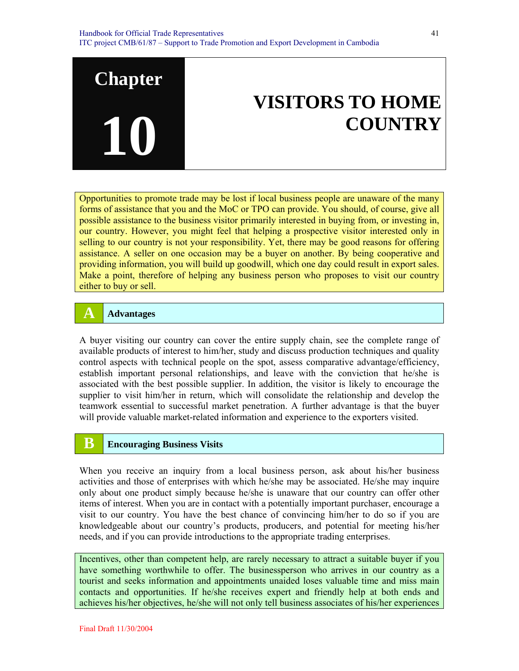# **VISITORS TO HOME COUNTRY**

Opportunities to promote trade may be lost if local business people are unaware of the many forms of assistance that you and the MoC or TPO can provide. You should, of course, give all possible assistance to the business visitor primarily interested in buying from, or investing in, our country. However, you might feel that helping a prospective visitor interested only in selling to our country is not your responsibility. Yet, there may be good reasons for offering assistance. A seller on one occasion may be a buyer on another. By being cooperative and providing information, you will build up goodwill, which one day could result in export sales. Make a point, therefore of helping any business person who proposes to visit our country either to buy or sell.

#### **A Advantages**

**Chapter** 

**10**

A buyer visiting our country can cover the entire supply chain, see the complete range of available products of interest to him/her, study and discuss production techniques and quality control aspects with technical people on the spot, assess comparative advantage/efficiency, establish important personal relationships, and leave with the conviction that he/she is associated with the best possible supplier. In addition, the visitor is likely to encourage the supplier to visit him/her in return, which will consolidate the relationship and develop the teamwork essential to successful market penetration. A further advantage is that the buyer will provide valuable market-related information and experience to the exporters visited.

# **B Encouraging Business Visits**

When you receive an inquiry from a local business person, ask about his/her business activities and those of enterprises with which he/she may be associated. He/she may inquire only about one product simply because he/she is unaware that our country can offer other items of interest. When you are in contact with a potentially important purchaser, encourage a visit to our country. You have the best chance of convincing him/her to do so if you are knowledgeable about our country's products, producers, and potential for meeting his/her needs, and if you can provide introductions to the appropriate trading enterprises.

Incentives, other than competent help, are rarely necessary to attract a suitable buyer if you have something worthwhile to offer. The businessperson who arrives in our country as a tourist and seeks information and appointments unaided loses valuable time and miss main contacts and opportunities. If he/she receives expert and friendly help at both ends and achieves his/her objectives, he/she will not only tell business associates of his/her experiences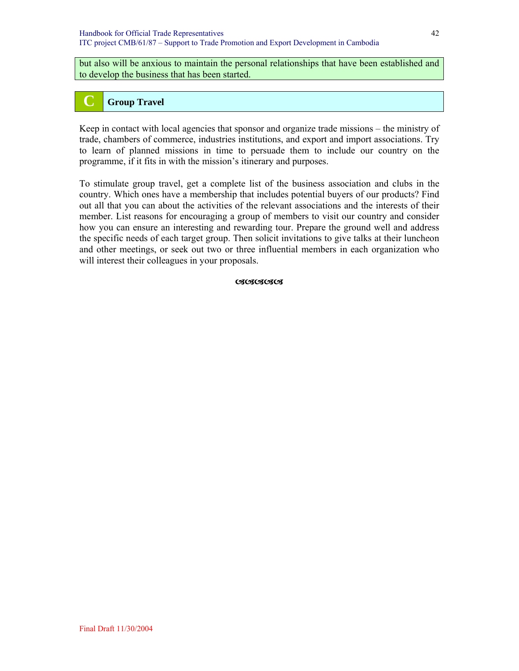but also will be anxious to maintain the personal relationships that have been established and to develop the business that has been started.

# **C Group Travel**

Keep in contact with local agencies that sponsor and organize trade missions – the ministry of trade, chambers of commerce, industries institutions, and export and import associations. Try to learn of planned missions in time to persuade them to include our country on the programme, if it fits in with the mission's itinerary and purposes.

To stimulate group travel, get a complete list of the business association and clubs in the country. Which ones have a membership that includes potential buyers of our products? Find out all that you can about the activities of the relevant associations and the interests of their member. List reasons for encouraging a group of members to visit our country and consider how you can ensure an interesting and rewarding tour. Prepare the ground well and address the specific needs of each target group. Then solicit invitations to give talks at their luncheon and other meetings, or seek out two or three influential members in each organization who will interest their colleagues in your proposals.

**CACACACA**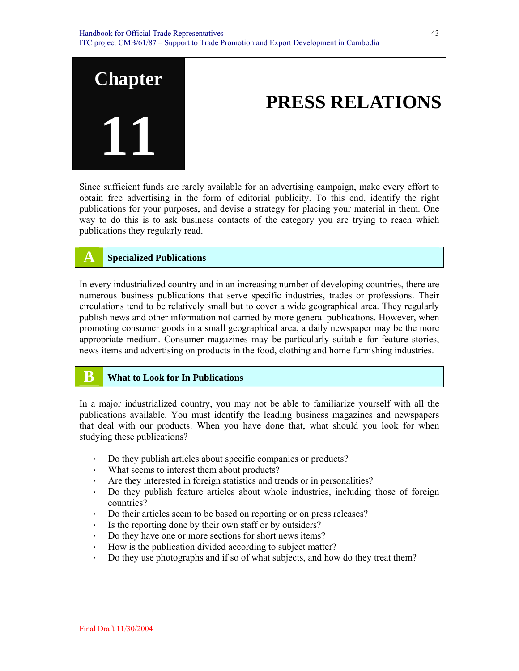

Since sufficient funds are rarely available for an advertising campaign, make every effort to obtain free advertising in the form of editorial publicity. To this end, identify the right publications for your purposes, and devise a strategy for placing your material in them. One way to do this is to ask business contacts of the category you are trying to reach which publications they regularly read.

# **A Specialized Publications**

In every industrialized country and in an increasing number of developing countries, there are numerous business publications that serve specific industries, trades or professions. Their circulations tend to be relatively small but to cover a wide geographical area. They regularly publish news and other information not carried by more general publications. However, when promoting consumer goods in a small geographical area, a daily newspaper may be the more appropriate medium. Consumer magazines may be particularly suitable for feature stories, news items and advertising on products in the food, clothing and home furnishing industries.

#### **B What to Look for In Publications**

In a major industrialized country, you may not be able to familiarize yourself with all the publications available. You must identify the leading business magazines and newspapers that deal with our products. When you have done that, what should you look for when studying these publications?

- Do they publish articles about specific companies or products?
- $\cdot$  What seems to interest them about products?
- Are they interested in foreign statistics and trends or in personalities?
- Do they publish feature articles about whole industries, including those of foreign countries?
- $\rightarrow$  Do their articles seem to be based on reporting or on press releases?
- $\cdot$  Is the reporting done by their own staff or by outsiders?
- Do they have one or more sections for short news items?
- $\rightarrow$  How is the publication divided according to subject matter?
- $\rightarrow$  Do they use photographs and if so of what subjects, and how do they treat them?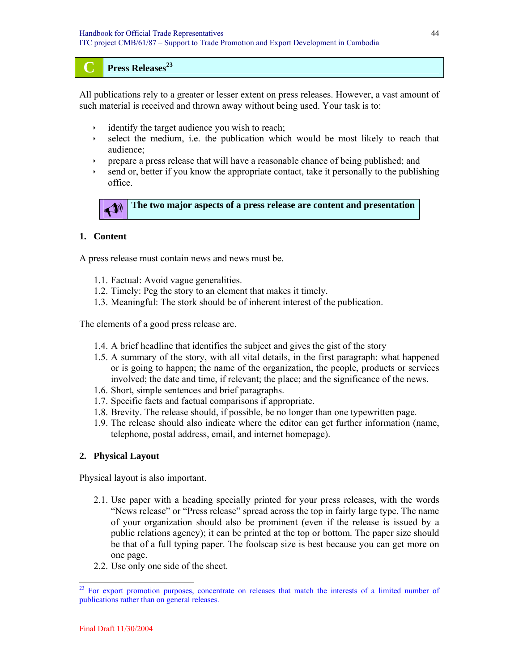#### **C Press Releases<sup>23</sup>**

All publications rely to a greater or lesser extent on press releases. However, a vast amount of such material is received and thrown away without being used. Your task is to:

- identify the target audience you wish to reach;
- $\rightarrow$  select the medium, i.e. the publication which would be most likely to reach that audience;
- Ì prepare a press release that will have a reasonable chance of being published; and
- send or, better if you know the appropriate contact, take it personally to the publishing office.



#### **1. Content**

A press release must contain news and news must be.

- 1.1. Factual: Avoid vague generalities.
- 1.2. Timely: Peg the story to an element that makes it timely.
- 1.3. Meaningful: The stork should be of inherent interest of the publication.

The elements of a good press release are.

- 1.4. A brief headline that identifies the subject and gives the gist of the story
- 1.5. A summary of the story, with all vital details, in the first paragraph: what happened or is going to happen; the name of the organization, the people, products or services involved; the date and time, if relevant; the place; and the significance of the news.
- 1.6. Short, simple sentences and brief paragraphs.
- 1.7. Specific facts and factual comparisons if appropriate.
- 1.8. Brevity. The release should, if possible, be no longer than one typewritten page.
- 1.9. The release should also indicate where the editor can get further information (name, telephone, postal address, email, and internet homepage).

#### **2. Physical Layout**

Physical layout is also important.

- 2.1. Use paper with a heading specially printed for your press releases, with the words "News release" or "Press release" spread across the top in fairly large type. The name of your organization should also be prominent (even if the release is issued by a public relations agency); it can be printed at the top or bottom. The paper size should be that of a full typing paper. The foolscap size is best because you can get more on one page.
- 2.2. Use only one side of the sheet.

<sup>&</sup>lt;sup>23</sup> For export promotion purposes, concentrate on releases that match the interests of a limited number of publications rather than on general releases.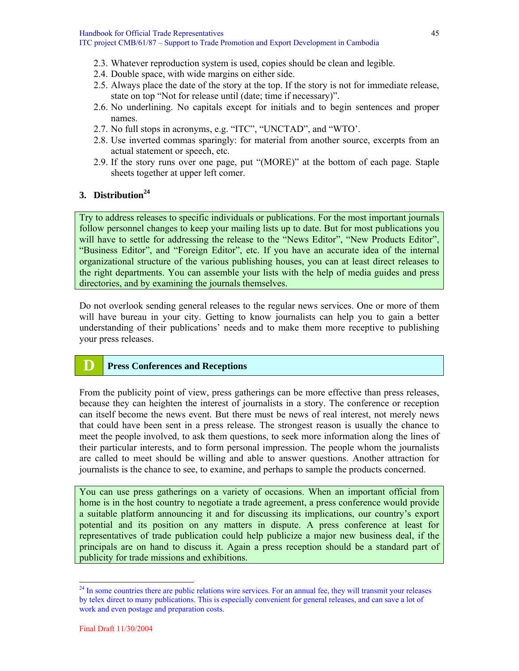- 2.3. Whatever reproduction system is used, copies should be clean and legible.
- 2.4. Double space, with wide margins on either side.
- 2.5. Always place the date of the story at the top. If the story is not for immediate release, state on top "Not for release until (date; time if necessary)".
- 2.6. No underlining. No capitals except for initials and to begin sentences and proper names.
- 2.7. No full stops in acronyms, e.g. "ITC", "UNCTAD", and "WTO'.
- 2.8. Use inverted commas sparingly: for material from another source, excerpts from an actual statement or speech, etc.
- 2.9. If the story runs over one page, put "(MORE)" at the bottom of each page. Staple sheets together at upper left comer.

# **3. Distribution<sup>24</sup>**

Try to address releases to specific individuals or publications. For the most important journals follow personnel changes to keep your mailing lists up to date. But for most publications you will have to settle for addressing the release to the "News Editor", "New Products Editor", "Business Editor", and "Foreign Editor", etc. If you have an accurate idea of the internal organizational structure of the various publishing houses, you can at least direct releases to the right departments. You can assemble your lists with the help of media guides and press directories, and by examining the journals themselves.

Do not overlook sending general releases to the regular news services. One or more of them will have bureau in your city. Getting to know journalists can help you to gain a better understanding of their publications' needs and to make them more receptive to publishing your press releases.

# **D Press Conferences and Receptions**

From the publicity point of view, press gatherings can be more effective than press releases, because they can heighten the interest of journalists in a story. The conference or reception can itself become the news event. But there must be news of real interest, not merely news that could have been sent in a press release. The strongest reason is usually the chance to meet the people involved, to ask them questions, to seek more information along the lines of their particular interests, and to form personal impression. The people whom the journalists are called to meet should be willing and able to answer questions. Another attraction for journalists is the chance to see, to examine, and perhaps to sample the products concerned.

You can use press gatherings on a variety of occasions. When an important official from home is in the host country to negotiate a trade agreement, a press conference would provide a suitable platform announcing it and for discussing its implications, our country's export potential and its position on any matters in dispute. A press conference at least for representatives of trade publication could help publicize a major new business deal, if the principals are on hand to discuss it. Again a press reception should be a standard part of publicity for trade missions and exhibitions.

 $^{24}$  In some countries there are public relations wire services. For an annual fee, they will transmit your releases by telex direct to many publications. This is especially convenient for general releases, and can save a lot of work and even postage and preparation costs.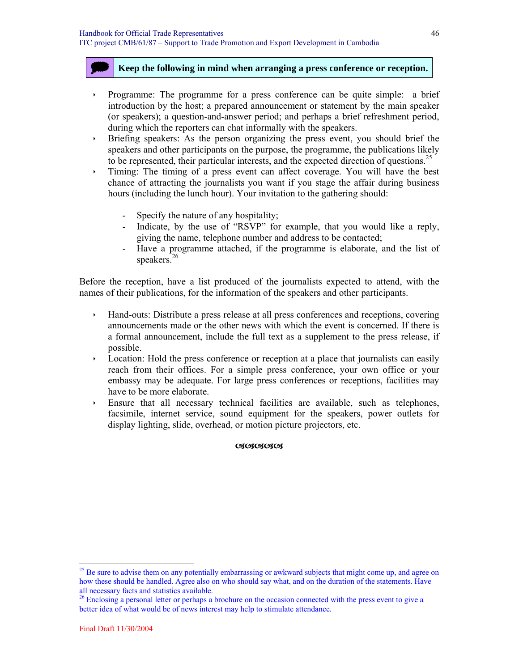#### @ **Keep the following in mind when arranging a press conference or reception.**

- Ì Programme: The programme for a press conference can be quite simple: a brief introduction by the host; a prepared announcement or statement by the main speaker (or speakers); a question-and-answer period; and perhaps a brief refreshment period, during which the reporters can chat informally with the speakers.
- Internal Sepakers: As the person organizing the press event, you should brief the speakers and other participants on the purpose, the programme, the publications likely to be represented, their particular interests, and the expected direction of questions.<sup>25</sup>
- $\cdot$  Timing: The timing of a press event can affect coverage. You will have the best chance of attracting the journalists you want if you stage the affair during business hours (including the lunch hour). Your invitation to the gathering should:
	- Specify the nature of any hospitality;
	- Indicate, by the use of "RSVP" for example, that you would like a reply, giving the name, telephone number and address to be contacted;
	- Have a programme attached, if the programme is elaborate, and the list of speakers.<sup>26</sup>

Before the reception, have a list produced of the journalists expected to attend, with the names of their publications, for the information of the speakers and other participants.

- Ì Hand-outs: Distribute a press release at all press conferences and receptions, covering announcements made or the other news with which the event is concerned. If there is a formal announcement, include the full text as a supplement to the press release, if possible.
- $\rightarrow$  Location: Hold the press conference or reception at a place that journalists can easily reach from their offices. For a simple press conference, your own office or your embassy may be adequate. For large press conferences or receptions, facilities may have to be more elaborate.
- Ì Ensure that all necessary technical facilities are available, such as telephones, facsimile, internet service, sound equipment for the speakers, power outlets for display lighting, slide, overhead, or motion picture projectors, etc.

#### **CACACACACA**

<sup>&</sup>lt;sup>25</sup> Be sure to advise them on any potentially embarrassing or awkward subjects that might come up, and agree on how these should be handled. Agree also on who should say what, and on the duration of the statements. Have all necessary facts and statistics available.<br><sup>26</sup> Enclosing a personal letter or perhaps a brochure on the occasion connected with the press event to give a

better idea of what would be of news interest may help to stimulate attendance.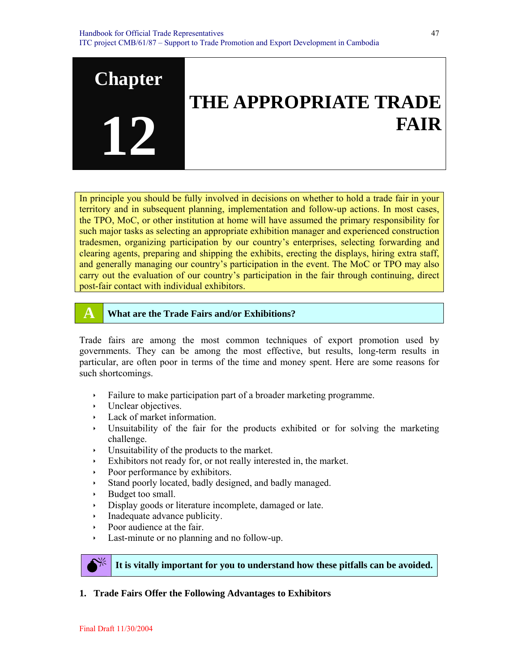

In principle you should be fully involved in decisions on whether to hold a trade fair in your territory and in subsequent planning, implementation and follow-up actions. In most cases, the TPO, MoC, or other institution at home will have assumed the primary responsibility for such major tasks as selecting an appropriate exhibition manager and experienced construction tradesmen, organizing participation by our country's enterprises, selecting forwarding and clearing agents, preparing and shipping the exhibits, erecting the displays, hiring extra staff, and generally managing our country's participation in the event. The MoC or TPO may also carry out the evaluation of our country's participation in the fair through continuing, direct post-fair contact with individual exhibitors.

#### **A What are the Trade Fairs and/or Exhibitions?**

Trade fairs are among the most common techniques of export promotion used by governments. They can be among the most effective, but results, long-term results in particular, are often poor in terms of the time and money spent. Here are some reasons for such shortcomings.

- $\cdot$  Failure to make participation part of a broader marketing programme.
- $\cdot$  Unclear objectives.
- $\cdot$  Lack of market information.
- Unsuitability of the fair for the products exhibited or for solving the marketing challenge.
- $\cdot$  Unsuitability of the products to the market.
- $\cdot$  Exhibitors not ready for, or not really interested in, the market.
- Poor performance by exhibitors.
- Ì Stand poorly located, badly designed, and badly managed.
- Budget too small.
- $\rightarrow$  Display goods or literature incomplete, damaged or late.
- $\cdot$  Inadequate advance publicity.
- Poor audience at the fair.
- $\cdot$  Last-minute or no planning and no follow-up.



0 **It is vitally important for you to understand how these pitfalls can be avoided.**

**1. Trade Fairs Offer the Following Advantages to Exhibitors**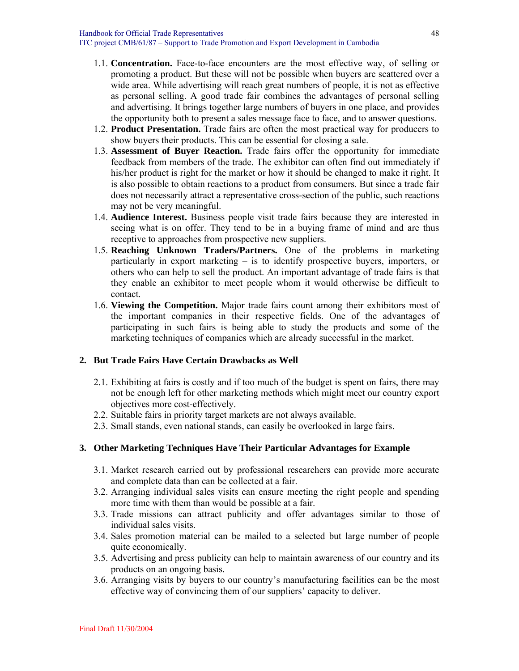- 1.1. **Concentration.** Face-to-face encounters are the most effective way, of selling or promoting a product. But these will not be possible when buyers are scattered over a wide area. While advertising will reach great numbers of people, it is not as effective as personal selling. A good trade fair combines the advantages of personal selling and advertising. It brings together large numbers of buyers in one place, and provides the opportunity both to present a sales message face to face, and to answer questions.
- 1.2. **Product Presentation.** Trade fairs are often the most practical way for producers to show buyers their products. This can be essential for closing a sale.
- 1.3. **Assessment of Buyer Reaction.** Trade fairs offer the opportunity for immediate feedback from members of the trade. The exhibitor can often find out immediately if his/her product is right for the market or how it should be changed to make it right. It is also possible to obtain reactions to a product from consumers. But since a trade fair does not necessarily attract a representative cross-section of the public, such reactions may not be very meaningful.
- 1.4. **Audience Interest.** Business people visit trade fairs because they are interested in seeing what is on offer. They tend to be in a buying frame of mind and are thus receptive to approaches from prospective new suppliers.
- 1.5. **Reaching Unknown Traders/Partners.** One of the problems in marketing particularly in export marketing – is to identify prospective buyers, importers, or others who can help to sell the product. An important advantage of trade fairs is that they enable an exhibitor to meet people whom it would otherwise be difficult to contact.
- 1.6. **Viewing the Competition.** Major trade fairs count among their exhibitors most of the important companies in their respective fields. One of the advantages of participating in such fairs is being able to study the products and some of the marketing techniques of companies which are already successful in the market.

#### **2. But Trade Fairs Have Certain Drawbacks as Well**

- 2.1. Exhibiting at fairs is costly and if too much of the budget is spent on fairs, there may not be enough left for other marketing methods which might meet our country export objectives more cost-effectively.
- 2.2. Suitable fairs in priority target markets are not always available.
- 2.3. Small stands, even national stands, can easily be overlooked in large fairs.

#### **3. Other Marketing Techniques Have Their Particular Advantages for Example**

- 3.1. Market research carried out by professional researchers can provide more accurate and complete data than can be collected at a fair.
- 3.2. Arranging individual sales visits can ensure meeting the right people and spending more time with them than would be possible at a fair.
- 3.3. Trade missions can attract publicity and offer advantages similar to those of individual sales visits.
- 3.4. Sales promotion material can be mailed to a selected but large number of people quite economically.
- 3.5. Advertising and press publicity can help to maintain awareness of our country and its products on an ongoing basis.
- 3.6. Arranging visits by buyers to our country's manufacturing facilities can be the most effective way of convincing them of our suppliers' capacity to deliver.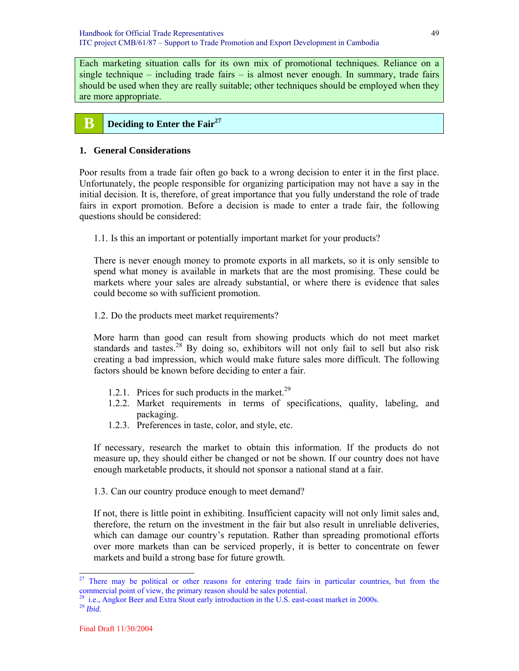Each marketing situation calls for its own mix of promotional techniques. Reliance on a single technique – including trade fairs – is almost never enough. In summary, trade fairs should be used when they are really suitable; other techniques should be employed when they are more appropriate.

#### **B Deciding to Enter the Fair**<sup>27</sup>

#### **1. General Considerations**

Poor results from a trade fair often go back to a wrong decision to enter it in the first place. Unfortunately, the people responsible for organizing participation may not have a say in the initial decision. It is, therefore, of great importance that you fully understand the role of trade fairs in export promotion. Before a decision is made to enter a trade fair, the following questions should be considered:

1.1. Is this an important or potentially important market for your products?

There is never enough money to promote exports in all markets, so it is only sensible to spend what money is available in markets that are the most promising. These could be markets where your sales are already substantial, or where there is evidence that sales could become so with sufficient promotion.

1.2. Do the products meet market requirements?

More harm than good can result from showing products which do not meet market standards and tastes.<sup>28</sup> By doing so, exhibitors will not only fail to sell but also risk creating a bad impression, which would make future sales more difficult. The following factors should be known before deciding to enter a fair.

- 1.2.1. Prices for such products in the market.<sup>29</sup>
- 1.2.2. Market requirements in terms of specifications, quality, labeling, and packaging.
- 1.2.3. Preferences in taste, color, and style, etc.

If necessary, research the market to obtain this information. If the products do not measure up, they should either be changed or not be shown. If our country does not have enough marketable products, it should not sponsor a national stand at a fair.

1.3. Can our country produce enough to meet demand?

If not, there is little point in exhibiting. Insufficient capacity will not only limit sales and, therefore, the return on the investment in the fair but also result in unreliable deliveries, which can damage our country's reputation. Rather than spreading promotional efforts over more markets than can be serviced properly, it is better to concentrate on fewer markets and build a strong base for future growth.

<sup>&</sup>lt;sup>27</sup> There may be political or other reasons for entering trade fairs in particular countries, but from the commercial point of view, the primary reason should be sales potential.

 $2<sup>28</sup>$  i.e., Angkor Beer and Extra Stout early introduction in the U.S. east-coast market in 2000s.

<sup>29</sup> *Ibid.*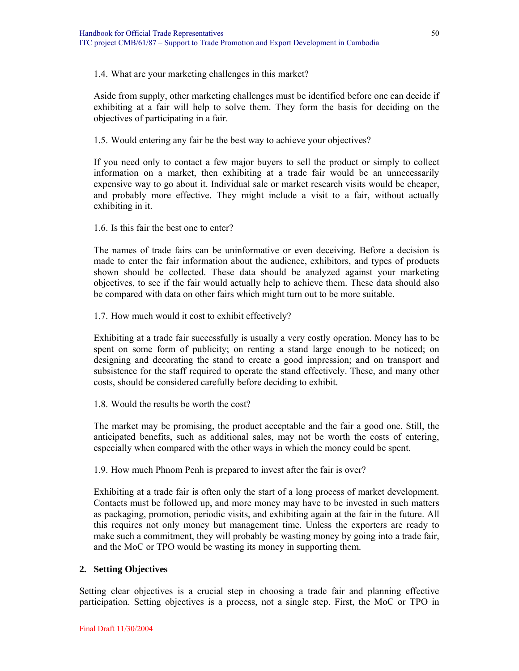1.4. What are your marketing challenges in this market?

Aside from supply, other marketing challenges must be identified before one can decide if exhibiting at a fair will help to solve them. They form the basis for deciding on the objectives of participating in a fair.

1.5. Would entering any fair be the best way to achieve your objectives?

If you need only to contact a few major buyers to sell the product or simply to collect information on a market, then exhibiting at a trade fair would be an unnecessarily expensive way to go about it. Individual sale or market research visits would be cheaper, and probably more effective. They might include a visit to a fair, without actually exhibiting in it.

1.6. Is this fair the best one to enter?

The names of trade fairs can be uninformative or even deceiving. Before a decision is made to enter the fair information about the audience, exhibitors, and types of products shown should be collected. These data should be analyzed against your marketing objectives, to see if the fair would actually help to achieve them. These data should also be compared with data on other fairs which might turn out to be more suitable.

1.7. How much would it cost to exhibit effectively?

Exhibiting at a trade fair successfully is usually a very costly operation. Money has to be spent on some form of publicity; on renting a stand large enough to be noticed; on designing and decorating the stand to create a good impression; and on transport and subsistence for the staff required to operate the stand effectively. These, and many other costs, should be considered carefully before deciding to exhibit.

1.8. Would the results be worth the cost?

The market may be promising, the product acceptable and the fair a good one. Still, the anticipated benefits, such as additional sales, may not be worth the costs of entering, especially when compared with the other ways in which the money could be spent.

1.9. How much Phnom Penh is prepared to invest after the fair is over?

Exhibiting at a trade fair is often only the start of a long process of market development. Contacts must be followed up, and more money may have to be invested in such matters as packaging, promotion, periodic visits, and exhibiting again at the fair in the future. All this requires not only money but management time. Unless the exporters are ready to make such a commitment, they will probably be wasting money by going into a trade fair, and the MoC or TPO would be wasting its money in supporting them.

#### **2. Setting Objectives**

Setting clear objectives is a crucial step in choosing a trade fair and planning effective participation. Setting objectives is a process, not a single step. First, the MoC or TPO in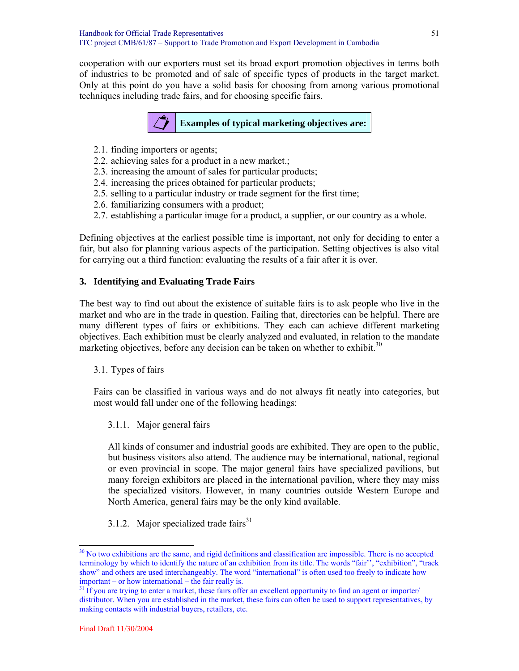cooperation with our exporters must set its broad export promotion objectives in terms both of industries to be promoted and of sale of specific types of products in the target market. Only at this point do you have a solid basis for choosing from among various promotional techniques including trade fairs, and for choosing specific fairs.



- 2.1. finding importers or agents;
- 2.2. achieving sales for a product in a new market.;
- 2.3. increasing the amount of sales for particular products;
- 2.4. increasing the prices obtained for particular products;
- 2.5. selling to a particular industry or trade segment for the first time;
- 2.6. familiarizing consumers with a product;
- 2.7. establishing a particular image for a product, a supplier, or our country as a whole.

Defining objectives at the earliest possible time is important, not only for deciding to enter a fair, but also for planning various aspects of the participation. Setting objectives is also vital for carrying out a third function: evaluating the results of a fair after it is over.

#### **3. Identifying and Evaluating Trade Fairs**

The best way to find out about the existence of suitable fairs is to ask people who live in the market and who are in the trade in question. Failing that, directories can be helpful. There are many different types of fairs or exhibitions. They each can achieve different marketing objectives. Each exhibition must be clearly analyzed and evaluated, in relation to the mandate marketing objectives, before any decision can be taken on whether to exhibit.<sup>30</sup>

#### 3.1. Types of fairs

Fairs can be classified in various ways and do not always fit neatly into categories, but most would fall under one of the following headings:

#### 3.1.1. Major general fairs

All kinds of consumer and industrial goods are exhibited. They are open to the public, but business visitors also attend. The audience may be international, national, regional or even provincial in scope. The major general fairs have specialized pavilions, but many foreign exhibitors are placed in the international pavilion, where they may miss the specialized visitors. However, in many countries outside Western Europe and North America, general fairs may be the only kind available.

3.1.2. Major specialized trade fairs $31$ 

 $\overline{a}$ 

<sup>&</sup>lt;sup>30</sup> No two exhibitions are the same, and rigid definitions and classification are impossible. There is no accepted terminology by which to identify the nature of an exhibition from its title. The words "fair'', "exhibition", "track show" and others are used interchangeably. The word "international" is often used too freely to indicate how important – or how international – the fair really is.

 $31$  If you are trying to enter a market, these fairs offer an excellent opportunity to find an agent or importer/ distributor. When you are established in the market, these fairs can often be used to support representatives, by making contacts with industrial buyers, retailers, etc.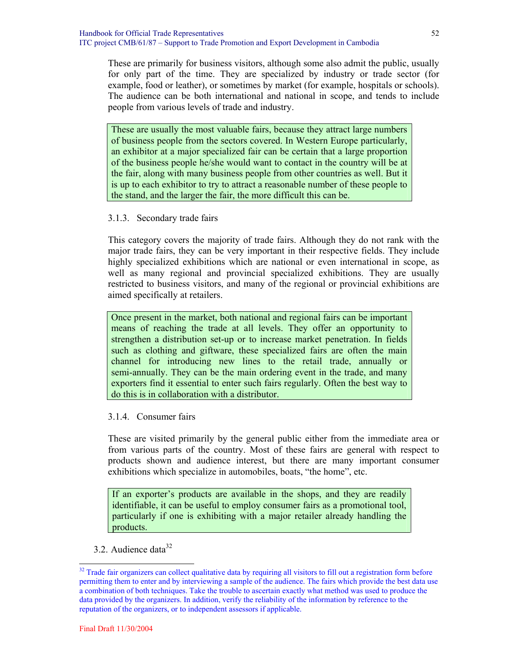These are primarily for business visitors, although some also admit the public, usually for only part of the time. They are specialized by industry or trade sector (for example, food or leather), or sometimes by market (for example, hospitals or schools). The audience can be both international and national in scope, and tends to include people from various levels of trade and industry.

These are usually the most valuable fairs, because they attract large numbers of business people from the sectors covered. In Western Europe particularly, an exhibitor at a major specialized fair can be certain that a large proportion of the business people he/she would want to contact in the country will be at the fair, along with many business people from other countries as well. But it is up to each exhibitor to try to attract a reasonable number of these people to the stand, and the larger the fair, the more difficult this can be.

#### 3.1.3. Secondary trade fairs

This category covers the majority of trade fairs. Although they do not rank with the major trade fairs, they can be very important in their respective fields. They include highly specialized exhibitions which are national or even international in scope, as well as many regional and provincial specialized exhibitions. They are usually restricted to business visitors, and many of the regional or provincial exhibitions are aimed specifically at retailers.

Once present in the market, both national and regional fairs can be important means of reaching the trade at all levels. They offer an opportunity to strengthen a distribution set-up or to increase market penetration. In fields such as clothing and giftware, these specialized fairs are often the main channel for introducing new lines to the retail trade, annually or semi-annually. They can be the main ordering event in the trade, and many exporters find it essential to enter such fairs regularly. Often the best way to do this is in collaboration with a distributor.

#### 3.1.4. Consumer fairs

These are visited primarily by the general public either from the immediate area or from various parts of the country. Most of these fairs are general with respect to products shown and audience interest, but there are many important consumer exhibitions which specialize in automobiles, boats, "the home", etc.

If an exporter's products are available in the shops, and they are readily identifiable, it can be useful to employ consumer fairs as a promotional tool, particularly if one is exhibiting with a major retailer already handling the products.

3.2. Audience data $32$ 

 $32$  Trade fair organizers can collect qualitative data by requiring all visitors to fill out a registration form before permitting them to enter and by interviewing a sample of the audience. The fairs which provide the best data use a combination of both techniques. Take the trouble to ascertain exactly what method was used to produce the data provided by the organizers. In addition, verify the reliability of the information by reference to the reputation of the organizers, or to independent assessors if applicable.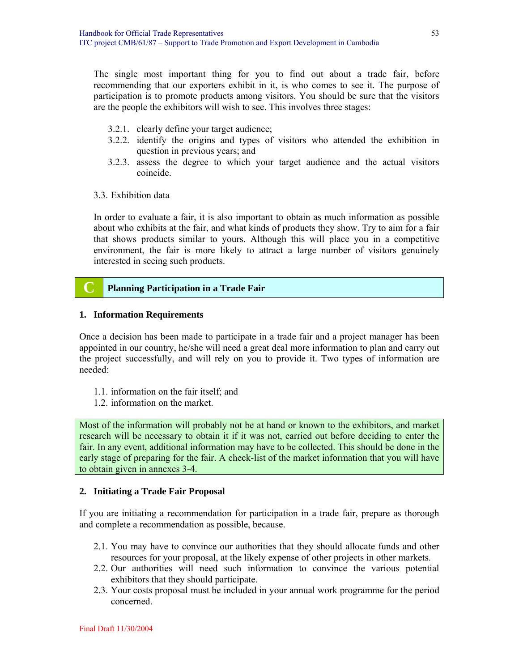The single most important thing for you to find out about a trade fair, before recommending that our exporters exhibit in it, is who comes to see it. The purpose of participation is to promote products among visitors. You should be sure that the visitors are the people the exhibitors will wish to see. This involves three stages:

- 3.2.1. clearly define your target audience;
- 3.2.2. identify the origins and types of visitors who attended the exhibition in question in previous years; and
- 3.2.3. assess the degree to which your target audience and the actual visitors coincide.
- 3.3. Exhibition data

In order to evaluate a fair, it is also important to obtain as much information as possible about who exhibits at the fair, and what kinds of products they show. Try to aim for a fair that shows products similar to yours. Although this will place you in a competitive environment, the fair is more likely to attract a large number of visitors genuinely interested in seeing such products.

# **C Planning Participation in a Trade Fair**

#### **1. Information Requirements**

Once a decision has been made to participate in a trade fair and a project manager has been appointed in our country, he/she will need a great deal more information to plan and carry out the project successfully, and will rely on you to provide it. Two types of information are needed:

- 1.1. information on the fair itself; and
- 1.2. information on the market.

Most of the information will probably not be at hand or known to the exhibitors, and market research will be necessary to obtain it if it was not, carried out before deciding to enter the fair. In any event, additional information may have to be collected. This should be done in the early stage of preparing for the fair. A check-list of the market information that you will have to obtain given in annexes 3-4.

#### **2. Initiating a Trade Fair Proposal**

If you are initiating a recommendation for participation in a trade fair, prepare as thorough and complete a recommendation as possible, because.

- 2.1. You may have to convince our authorities that they should allocate funds and other resources for your proposal, at the likely expense of other projects in other markets.
- 2.2. Our authorities will need such information to convince the various potential exhibitors that they should participate.
- 2.3. Your costs proposal must be included in your annual work programme for the period concerned.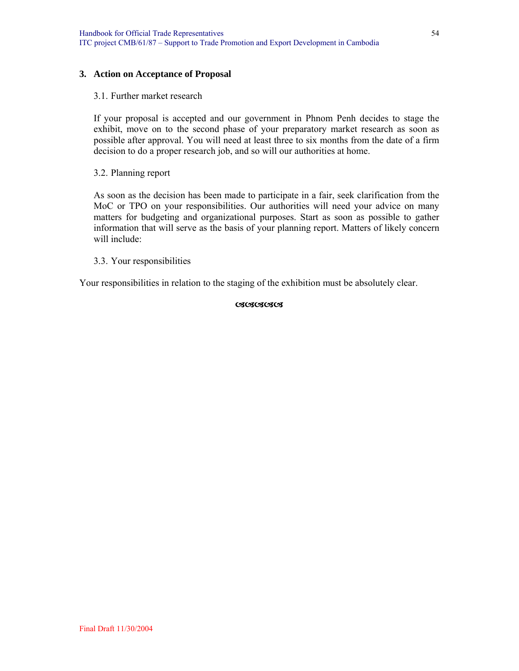#### **3. Action on Acceptance of Proposal**

#### 3.1. Further market research

If your proposal is accepted and our government in Phnom Penh decides to stage the exhibit, move on to the second phase of your preparatory market research as soon as possible after approval. You will need at least three to six months from the date of a firm decision to do a proper research job, and so will our authorities at home.

#### 3.2. Planning report

As soon as the decision has been made to participate in a fair, seek clarification from the MoC or TPO on your responsibilities. Our authorities will need your advice on many matters for budgeting and organizational purposes. Start as soon as possible to gather information that will serve as the basis of your planning report. Matters of likely concern will include:

#### 3.3. Your responsibilities

Your responsibilities in relation to the staging of the exhibition must be absolutely clear.

#### **CACACACACA**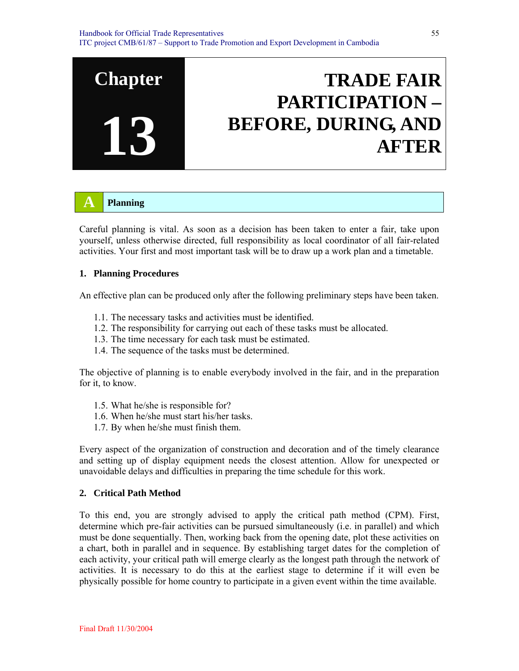# **TRADE FAIR PARTICIPATION – BEFORE, DURING, AND AFTER**

# **A Planning**

**Chapter** 

**13**

Careful planning is vital. As soon as a decision has been taken to enter a fair, take upon yourself, unless otherwise directed, full responsibility as local coordinator of all fair-related activities. Your first and most important task will be to draw up a work plan and a timetable.

#### **1. Planning Procedures**

An effective plan can be produced only after the following preliminary steps have been taken.

- 1.1. The necessary tasks and activities must be identified.
- 1.2. The responsibility for carrying out each of these tasks must be allocated.
- 1.3. The time necessary for each task must be estimated.
- 1.4. The sequence of the tasks must be determined.

The objective of planning is to enable everybody involved in the fair, and in the preparation for it, to know.

- 1.5. What he/she is responsible for?
- 1.6. When he/she must start his/her tasks.
- 1.7. By when he/she must finish them.

Every aspect of the organization of construction and decoration and of the timely clearance and setting up of display equipment needs the closest attention. Allow for unexpected or unavoidable delays and difficulties in preparing the time schedule for this work.

#### **2. Critical Path Method**

To this end, you are strongly advised to apply the critical path method (CPM). First, determine which pre-fair activities can be pursued simultaneously (i.e. in parallel) and which must be done sequentially. Then, working back from the opening date, plot these activities on a chart, both in parallel and in sequence. By establishing target dates for the completion of each activity, your critical path will emerge clearly as the longest path through the network of activities. It is necessary to do this at the earliest stage to determine if it will even be physically possible for home country to participate in a given event within the time available.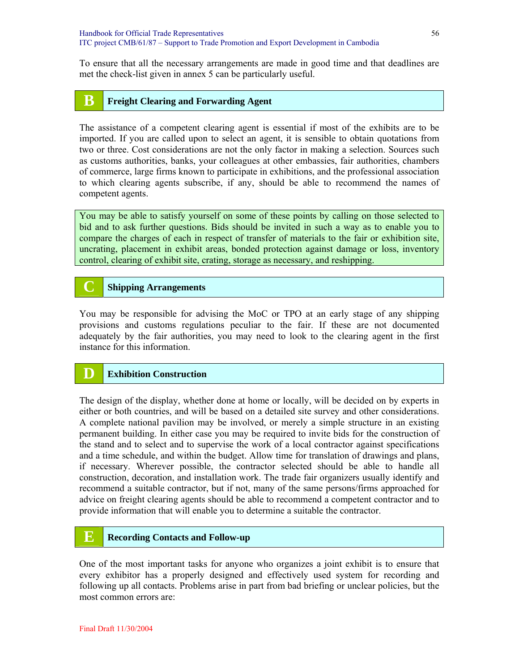To ensure that all the necessary arrangements are made in good time and that deadlines are met the check-list given in annex 5 can be particularly useful.

# **B Freight Clearing and Forwarding Agent**

The assistance of a competent clearing agent is essential if most of the exhibits are to be imported. If you are called upon to select an agent, it is sensible to obtain quotations from two or three. Cost considerations are not the only factor in making a selection. Sources such as customs authorities, banks, your colleagues at other embassies, fair authorities, chambers of commerce, large firms known to participate in exhibitions, and the professional association to which clearing agents subscribe, if any, should be able to recommend the names of competent agents.

You may be able to satisfy yourself on some of these points by calling on those selected to bid and to ask further questions. Bids should be invited in such a way as to enable you to compare the charges of each in respect of transfer of materials to the fair or exhibition site, uncrating, placement in exhibit areas, bonded protection against damage or loss, inventory control, clearing of exhibit site, crating, storage as necessary, and reshipping.

# **C Shipping Arrangements**

You may be responsible for advising the MoC or TPO at an early stage of any shipping provisions and customs regulations peculiar to the fair. If these are not documented adequately by the fair authorities, you may need to look to the clearing agent in the first instance for this information.

#### **Exhibition Construction**

The design of the display, whether done at home or locally, will be decided on by experts in either or both countries, and will be based on a detailed site survey and other considerations. A complete national pavilion may be involved, or merely a simple structure in an existing permanent building. In either case you may be required to invite bids for the construction of the stand and to select and to supervise the work of a local contractor against specifications and a time schedule, and within the budget. Allow time for translation of drawings and plans, if necessary. Wherever possible, the contractor selected should be able to handle all construction, decoration, and installation work. The trade fair organizers usually identify and recommend a suitable contractor, but if not, many of the same persons/firms approached for advice on freight clearing agents should be able to recommend a competent contractor and to provide information that will enable you to determine a suitable the contractor.

# **E Recording Contacts and Follow-up**

One of the most important tasks for anyone who organizes a joint exhibit is to ensure that every exhibitor has a properly designed and effectively used system for recording and following up all contacts. Problems arise in part from bad briefing or unclear policies, but the most common errors are: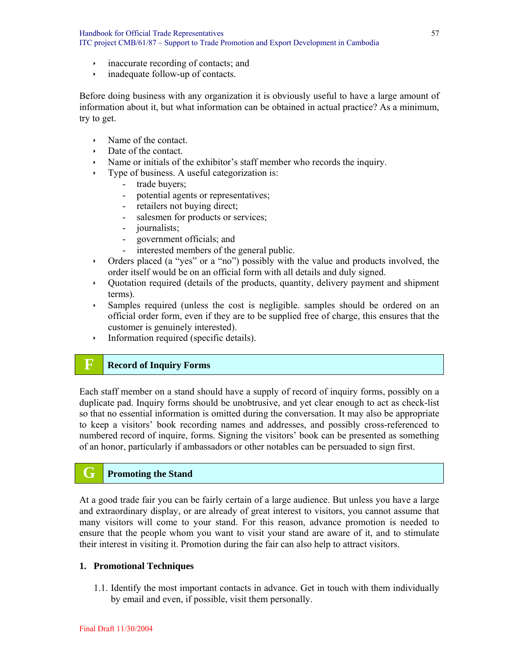- $\cdot$  inaccurate recording of contacts; and
- $\cdot$  inadequate follow-up of contacts.

Before doing business with any organization it is obviously useful to have a large amount of information about it, but what information can be obtained in actual practice? As a minimum, try to get.

- $\rightarrow$  Name of the contact.
- Date of the contact.
- $\lambda$  Name or initials of the exhibitor's staff member who records the inquiry.
- $\rightarrow$  Type of business. A useful categorization is:
	- trade buyers;
	- potential agents or representatives;
	- retailers not buying direct;
	- salesmen for products or services;
	- journalists;
	- government officials; and
	- interested members of the general public.
- $\rightarrow$  Orders placed (a "yes" or a "no") possibly with the value and products involved, the order itself would be on an official form with all details and duly signed.
- Ì Quotation required (details of the products, quantity, delivery payment and shipment terms).
- Ì Samples required (unless the cost is negligible. samples should be ordered on an official order form, even if they are to be supplied free of charge, this ensures that the customer is genuinely interested).
- $\cdot$  Information required (specific details).

# **F Record of Inquiry Forms**

Each staff member on a stand should have a supply of record of inquiry forms, possibly on a duplicate pad. Inquiry forms should be unobtrusive, and yet clear enough to act as check-list so that no essential information is omitted during the conversation. It may also be appropriate to keep a visitors' book recording names and addresses, and possibly cross-referenced to numbered record of inquire, forms. Signing the visitors' book can be presented as something of an honor, particularly if ambassadors or other notables can be persuaded to sign first.

# **G Promoting the Stand**

At a good trade fair you can be fairly certain of a large audience. But unless you have a large and extraordinary display, or are already of great interest to visitors, you cannot assume that many visitors will come to your stand. For this reason, advance promotion is needed to ensure that the people whom you want to visit your stand are aware of it, and to stimulate their interest in visiting it. Promotion during the fair can also help to attract visitors.

#### **1. Promotional Techniques**

1.1. Identify the most important contacts in advance. Get in touch with them individually by email and even, if possible, visit them personally.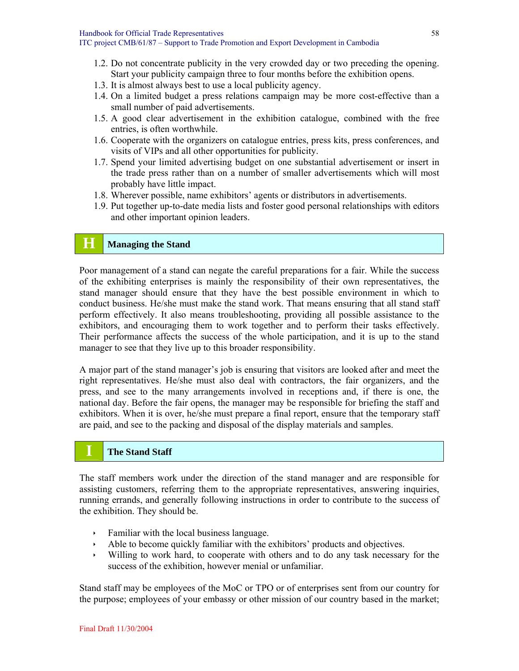- 1.2. Do not concentrate publicity in the very crowded day or two preceding the opening. Start your publicity campaign three to four months before the exhibition opens.
- 1.3. It is almost always best to use a local publicity agency.
- 1.4. On a limited budget a press relations campaign may be more cost-effective than a small number of paid advertisements.
- 1.5. A good clear advertisement in the exhibition catalogue, combined with the free entries, is often worthwhile.
- 1.6. Cooperate with the organizers on catalogue entries, press kits, press conferences, and visits of VIPs and all other opportunities for publicity.
- 1.7. Spend your limited advertising budget on one substantial advertisement or insert in the trade press rather than on a number of smaller advertisements which will most probably have little impact.
- 1.8. Wherever possible, name exhibitors' agents or distributors in advertisements.
- 1.9. Put together up-to-date media lists and foster good personal relationships with editors and other important opinion leaders.

# **H Managing the Stand**

Poor management of a stand can negate the careful preparations for a fair. While the success of the exhibiting enterprises is mainly the responsibility of their own representatives, the stand manager should ensure that they have the best possible environment in which to conduct business. He/she must make the stand work. That means ensuring that all stand staff perform effectively. It also means troubleshooting, providing all possible assistance to the exhibitors, and encouraging them to work together and to perform their tasks effectively. Their performance affects the success of the whole participation, and it is up to the stand manager to see that they live up to this broader responsibility.

A major part of the stand manager's job is ensuring that visitors are looked after and meet the right representatives. He/she must also deal with contractors, the fair organizers, and the press, and see to the many arrangements involved in receptions and, if there is one, the national day. Before the fair opens, the manager may be responsible for briefing the staff and exhibitors. When it is over, he/she must prepare a final report, ensure that the temporary staff are paid, and see to the packing and disposal of the display materials and samples.

#### **I The Stand Staff**

The staff members work under the direction of the stand manager and are responsible for assisting customers, referring them to the appropriate representatives, answering inquiries, running errands, and generally following instructions in order to contribute to the success of the exhibition. They should be.

- $\cdot$  Familiar with the local business language.
- $\rightarrow$  Able to become quickly familiar with the exhibitors' products and objectives.
- $\cdot$  Willing to work hard, to cooperate with others and to do any task necessary for the success of the exhibition, however menial or unfamiliar.

Stand staff may be employees of the MoC or TPO or of enterprises sent from our country for the purpose; employees of your embassy or other mission of our country based in the market;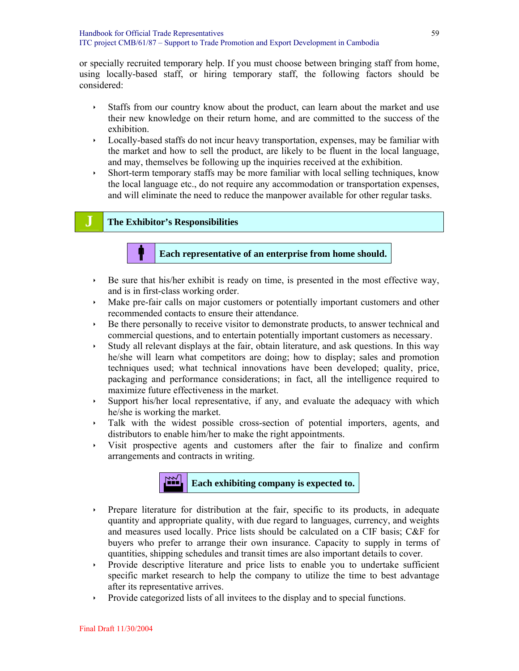or specially recruited temporary help. If you must choose between bringing staff from home, using locally-based staff, or hiring temporary staff, the following factors should be considered:

- If Staffs from our country know about the product, can learn about the market and use their new knowledge on their return home, and are committed to the success of the exhibition.
- $\cdot$  Locally-based staffs do not incur heavy transportation, expenses, may be familiar with the market and how to sell the product, are likely to be fluent in the local language, and may, themselves be following up the inquiries received at the exhibition.
- $\cdot$  Short-term temporary staffs may be more familiar with local selling techniques, know the local language etc., do not require any accommodation or transportation expenses, and will eliminate the need to reduce the manpower available for other regular tasks.

#### **J The Exhibitor's Responsibilities**

#### b **Each representative of an enterprise from home should.**

- $\rightarrow$  Be sure that his/her exhibit is ready on time, is presented in the most effective way, and is in first-class working order.
- ightharpoonup Make pre-fair calls on major customers or potentially important customers and other recommended contacts to ensure their attendance.
- $\rightarrow$  Be there personally to receive visitor to demonstrate products, to answer technical and commercial questions, and to entertain potentially important customers as necessary.
- $\cdot$  Study all relevant displays at the fair, obtain literature, and ask questions. In this way he/she will learn what competitors are doing; how to display; sales and promotion techniques used; what technical innovations have been developed; quality, price, packaging and performance considerations; in fact, all the intelligence required to maximize future effectiveness in the market.
- $\rightarrow$  Support his/her local representative, if any, and evaluate the adequacy with which he/she is working the market.
- $\cdot$  Talk with the widest possible cross-section of potential importers, agents, and distributors to enable him/her to make the right appointments.
- $\rightarrow$  Visit prospective agents and customers after the fair to finalize and confirm arrangements and contracts in writing.



- ightharpoonup Prepare literature for distribution at the fair, specific to its products, in adequate quantity and appropriate quality, with due regard to languages, currency, and weights and measures used locally. Price lists should be calculated on a CIF basis; C&F for buyers who prefer to arrange their own insurance. Capacity to supply in terms of quantities, shipping schedules and transit times are also important details to cover.
- $\rightarrow$  Provide descriptive literature and price lists to enable you to undertake sufficient specific market research to help the company to utilize the time to best advantage after its representative arrives.
- $\rightarrow$  Provide categorized lists of all invitees to the display and to special functions.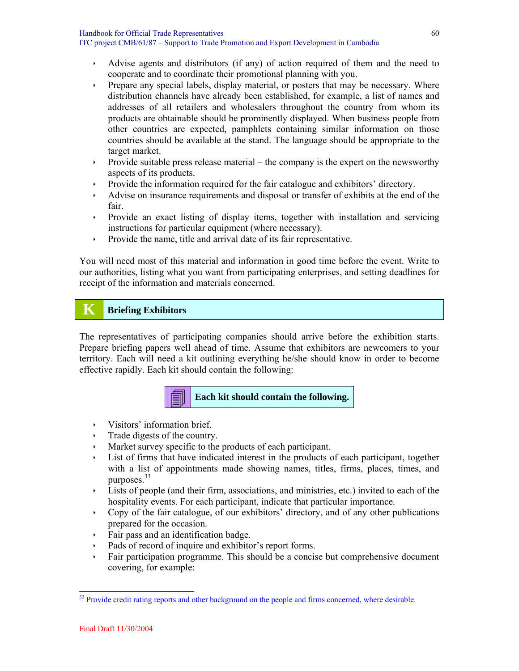- $\rightarrow$  Advise agents and distributors (if any) of action required of them and the need to cooperate and to coordinate their promotional planning with you.
- $\rightarrow$  Prepare any special labels, display material, or posters that may be necessary. Where distribution channels have already been established, for example, a list of names and addresses of all retailers and wholesalers throughout the country from whom its products are obtainable should be prominently displayed. When business people from other countries are expected, pamphlets containing similar information on those countries should be available at the stand. The language should be appropriate to the target market.
- $\rightarrow$  Provide suitable press release material the company is the expert on the newsworthy aspects of its products.
- Provide the information required for the fair catalogue and exhibitors' directory.
- Advise on insurance requirements and disposal or transfer of exhibits at the end of the fair.
- $\rightarrow$  Provide an exact listing of display items, together with installation and servicing instructions for particular equipment (where necessary).
- $\cdot$  Provide the name, title and arrival date of its fair representative.

You will need most of this material and information in good time before the event. Write to our authorities, listing what you want from participating enterprises, and setting deadlines for receipt of the information and materials concerned.

# **K Briefing Exhibitors**

The representatives of participating companies should arrive before the exhibition starts. Prepare briefing papers well ahead of time. Assume that exhibitors are newcomers to your territory. Each will need a kit outlining everything he/she should know in order to become effective rapidly. Each kit should contain the following:

# **Each kit should contain the following.**

- $\rightarrow$  Visitors' information brief.
- $\cdot$  Trade digests of the country.
- Market survey specific to the products of each participant.
- List of firms that have indicated interest in the products of each participant, together with a list of appointments made showing names, titles, firms, places, times, and purposes.<sup>33</sup>
- $\cdot$  Lists of people (and their firm, associations, and ministries, etc.) invited to each of the hospitality events. For each participant, indicate that particular importance.
- $\sim$  Copy of the fair catalogue, of our exhibitors' directory, and of any other publications prepared for the occasion.
- $\cdot$  Fair pass and an identification badge.
- Pads of record of inquire and exhibitor's report forms.
- $\rightarrow$  Fair participation programme. This should be a concise but comprehensive document covering, for example:

l <sup>33</sup> Provide credit rating reports and other background on the people and firms concerned, where desirable.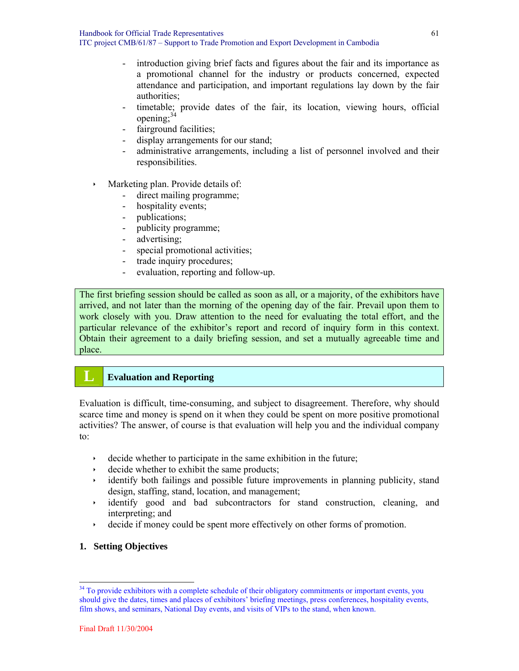- introduction giving brief facts and figures about the fair and its importance as a promotional channel for the industry or products concerned, expected attendance and participation, and important regulations lay down by the fair authorities;
- timetable; provide dates of the fair, its location, viewing hours, official opening: $3$
- fairground facilities;
- display arrangements for our stand;
- administrative arrangements, including a list of personnel involved and their responsibilities.
- $\cdot$  Marketing plan. Provide details of:
	- direct mailing programme;
	- hospitality events;
	- publications;
	- publicity programme;
	- advertising;
	- special promotional activities;
	- trade inquiry procedures;
	- evaluation, reporting and follow-up.

The first briefing session should be called as soon as all, or a majority, of the exhibitors have arrived, and not later than the morning of the opening day of the fair. Prevail upon them to work closely with you. Draw attention to the need for evaluating the total effort, and the particular relevance of the exhibitor's report and record of inquiry form in this context. Obtain their agreement to a daily briefing session, and set a mutually agreeable time and place.

# **L Evaluation and Reporting**

Evaluation is difficult, time-consuming, and subject to disagreement. Therefore, why should scarce time and money is spend on it when they could be spent on more positive promotional activities? The answer, of course is that evaluation will help you and the individual company to:

- $\cdot$  decide whether to participate in the same exhibition in the future;
- $\cdot$  decide whether to exhibit the same products;
- $\rightarrow$  identify both failings and possible future improvements in planning publicity, stand design, staffing, stand, location, and management;
- Ì identify good and bad subcontractors for stand construction, cleaning, and interpreting; and
- $\rightarrow$  decide if money could be spent more effectively on other forms of promotion.

#### **1. Setting Objectives**

 $34$  To provide exhibitors with a complete schedule of their obligatory commitments or important events, you should give the dates, times and places of exhibitors' briefing meetings, press conferences, hospitality events, film shows, and seminars, National Day events, and visits of VIPs to the stand, when known.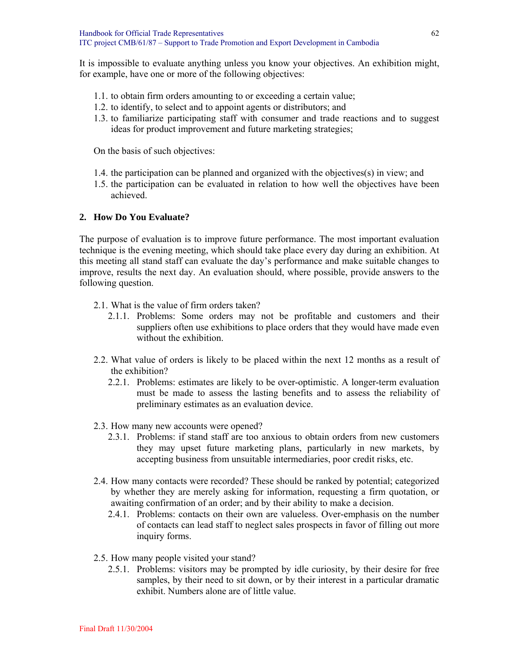It is impossible to evaluate anything unless you know your objectives. An exhibition might, for example, have one or more of the following objectives:

- 1.1. to obtain firm orders amounting to or exceeding a certain value;
- 1.2. to identify, to select and to appoint agents or distributors; and
- 1.3. to familiarize participating staff with consumer and trade reactions and to suggest ideas for product improvement and future marketing strategies;

On the basis of such objectives:

- 1.4. the participation can be planned and organized with the objectives(s) in view; and
- 1.5. the participation can be evaluated in relation to how well the objectives have been achieved.

#### **2. How Do You Evaluate?**

The purpose of evaluation is to improve future performance. The most important evaluation technique is the evening meeting, which should take place every day during an exhibition. At this meeting all stand staff can evaluate the day's performance and make suitable changes to improve, results the next day. An evaluation should, where possible, provide answers to the following question.

- 2.1. What is the value of firm orders taken?
	- 2.1.1. Problems: Some orders may not be profitable and customers and their suppliers often use exhibitions to place orders that they would have made even without the exhibition.
- 2.2. What value of orders is likely to be placed within the next 12 months as a result of the exhibition?
	- 2.2.1. Problems: estimates are likely to be over-optimistic. A longer-term evaluation must be made to assess the lasting benefits and to assess the reliability of preliminary estimates as an evaluation device.
- 2.3. How many new accounts were opened?
	- 2.3.1. Problems: if stand staff are too anxious to obtain orders from new customers they may upset future marketing plans, particularly in new markets, by accepting business from unsuitable intermediaries, poor credit risks, etc.
- 2.4. How many contacts were recorded? These should be ranked by potential; categorized by whether they are merely asking for information, requesting a firm quotation, or awaiting confirmation of an order; and by their ability to make a decision.
	- 2.4.1. Problems: contacts on their own are valueless. Over-emphasis on the number of contacts can lead staff to neglect sales prospects in favor of filling out more inquiry forms.
- 2.5. How many people visited your stand?
	- 2.5.1. Problems: visitors may be prompted by idle curiosity, by their desire for free samples, by their need to sit down, or by their interest in a particular dramatic exhibit. Numbers alone are of little value.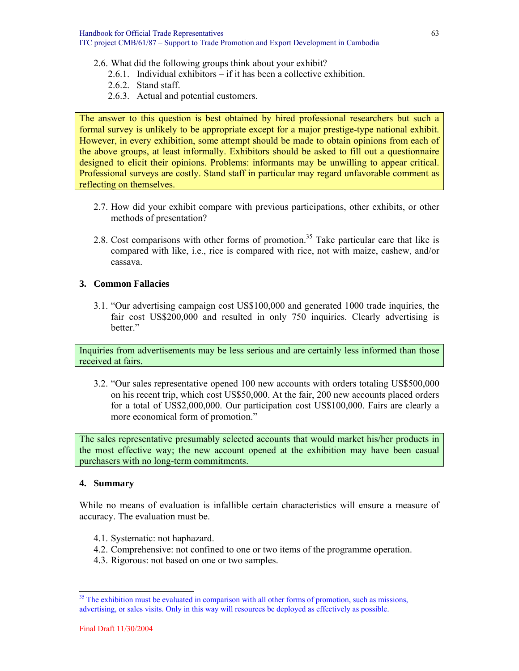- 2.6. What did the following groups think about your exhibit?
	- 2.6.1. Individual exhibitors if it has been a collective exhibition.
	- 2.6.2. Stand staff.
	- 2.6.3. Actual and potential customers.

The answer to this question is best obtained by hired professional researchers but such a formal survey is unlikely to be appropriate except for a major prestige-type national exhibit. However, in every exhibition, some attempt should be made to obtain opinions from each of the above groups, at least informally. Exhibitors should be asked to fill out a questionnaire designed to elicit their opinions. Problems: informants may be unwilling to appear critical. Professional surveys are costly. Stand staff in particular may regard unfavorable comment as reflecting on themselves.

- 2.7. How did your exhibit compare with previous participations, other exhibits, or other methods of presentation?
- 2.8. Cost comparisons with other forms of promotion.<sup>35</sup> Take particular care that like is compared with like, i.e., rice is compared with rice, not with maize, cashew, and/or cassava.

#### **3. Common Fallacies**

3.1. "Our advertising campaign cost US\$100,000 and generated 1000 trade inquiries, the fair cost US\$200,000 and resulted in only 750 inquiries. Clearly advertising is hetter<sup>"</sup>

Inquiries from advertisements may be less serious and are certainly less informed than those received at fairs.

3.2. "Our sales representative opened 100 new accounts with orders totaling US\$500,000 on his recent trip, which cost US\$50,000. At the fair, 200 new accounts placed orders for a total of US\$2,000,000. Our participation cost US\$100,000. Fairs are clearly a more economical form of promotion."

The sales representative presumably selected accounts that would market his/her products in the most effective way; the new account opened at the exhibition may have been casual purchasers with no long-term commitments.

#### **4. Summary**

While no means of evaluation is infallible certain characteristics will ensure a measure of accuracy. The evaluation must be.

- 4.1. Systematic: not haphazard.
- 4.2. Comprehensive: not confined to one or two items of the programme operation.
- 4.3. Rigorous: not based on one or two samples.

<sup>&</sup>lt;sup>35</sup> The exhibition must be evaluated in comparison with all other forms of promotion, such as missions, advertising, or sales visits. Only in this way will resources be deployed as effectively as possible.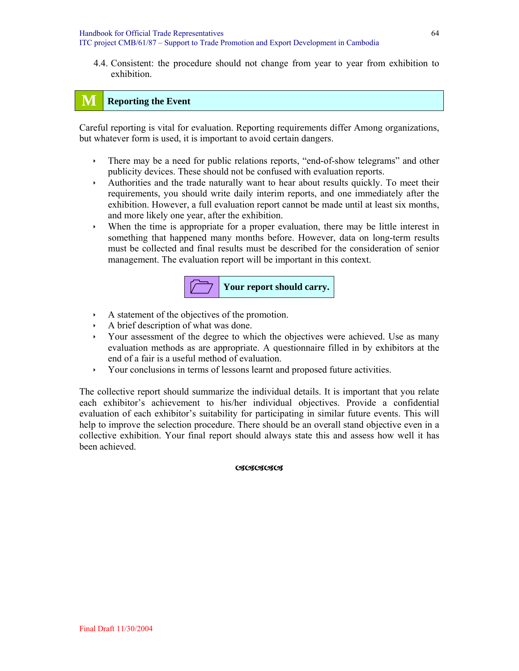4.4. Consistent: the procedure should not change from year to year from exhibition to exhibition.

# **M Reporting the Event**

Careful reporting is vital for evaluation. Reporting requirements differ Among organizations, but whatever form is used, it is important to avoid certain dangers.

- $\cdot$  There may be a need for public relations reports, "end-of-show telegrams" and other publicity devices. These should not be confused with evaluation reports.
- $\rightarrow$  Authorities and the trade naturally want to hear about results quickly. To meet their requirements, you should write daily interim reports, and one immediately after the exhibition. However, a full evaluation report cannot be made until at least six months, and more likely one year, after the exhibition.
- $\rightarrow$  When the time is appropriate for a proper evaluation, there may be little interest in something that happened many months before. However, data on long-term results must be collected and final results must be described for the consideration of senior management. The evaluation report will be important in this context.



- $\cdot$  A statement of the objectives of the promotion.
- A brief description of what was done.
- If Your assessment of the degree to which the objectives were achieved. Use as many evaluation methods as are appropriate. A questionnaire filled in by exhibitors at the end of a fair is a useful method of evaluation.
- $\rightarrow$  Your conclusions in terms of lessons learnt and proposed future activities.

The collective report should summarize the individual details. It is important that you relate each exhibitor's achievement to his/her individual objectives. Provide a confidential evaluation of each exhibitor's suitability for participating in similar future events. This will help to improve the selection procedure. There should be an overall stand objective even in a collective exhibition. Your final report should always state this and assess how well it has been achieved.

**CSCSCSCS**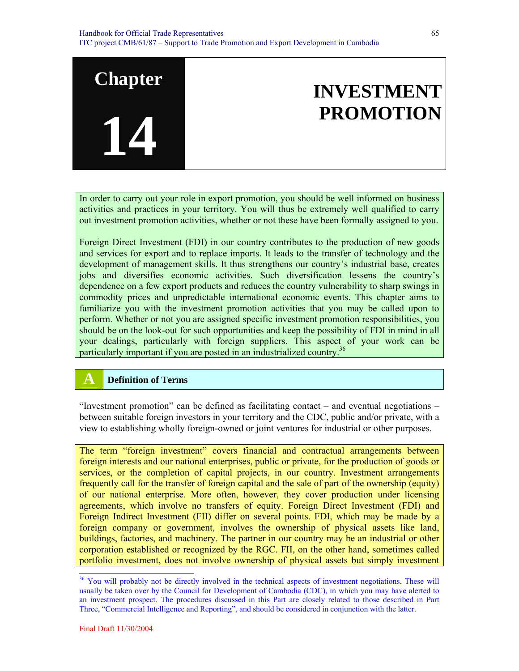In order to carry out your role in export promotion, you should be well informed on business activities and practices in your territory. You will thus be extremely well qualified to carry out investment promotion activities, whether or not these have been formally assigned to you.

Foreign Direct Investment (FDI) in our country contributes to the production of new goods and services for export and to replace imports. It leads to the transfer of technology and the development of management skills. It thus strengthens our country's industrial base, creates jobs and diversifies economic activities. Such diversification lessens the country's dependence on a few export products and reduces the country vulnerability to sharp swings in commodity prices and unpredictable international economic events. This chapter aims to familiarize you with the investment promotion activities that you may be called upon to perform. Whether or not you are assigned specific investment promotion responsibilities, you should be on the look-out for such opportunities and keep the possibility of FDI in mind in all your dealings, particularly with foreign suppliers. This aspect of your work can be particularly important if you are posted in an industrialized country.<sup>36</sup>

# **A Definition of Terms**

**Chapter** 

**14**

"Investment promotion" can be defined as facilitating contact – and eventual negotiations – between suitable foreign investors in your territory and the CDC, public and/or private, with a view to establishing wholly foreign-owned or joint ventures for industrial or other purposes.

The term "foreign investment" covers financial and contractual arrangements between foreign interests and our national enterprises, public or private, for the production of goods or services, or the completion of capital projects, in our country. Investment arrangements frequently call for the transfer of foreign capital and the sale of part of the ownership (equity) of our national enterprise. More often, however, they cover production under licensing agreements, which involve no transfers of equity. Foreign Direct Investment (FDI) and Foreign Indirect Investment (FII) differ on several points. FDI, which may be made by a foreign company or government, involves the ownership of physical assets like land, buildings, factories, and machinery. The partner in our country may be an industrial or other corporation established or recognized by the RGC. FII, on the other hand, sometimes called portfolio investment, does not involve ownership of physical assets but simply investment

<sup>&</sup>lt;sup>36</sup> You will probably not be directly involved in the technical aspects of investment negotiations. These will usually be taken over by the Council for Development of Cambodia (CDC), in which you may have alerted to an investment prospect. The procedures discussed in this Part are closely related to those described in Part Three, "Commercial Intelligence and Reporting", and should be considered in conjunction with the latter.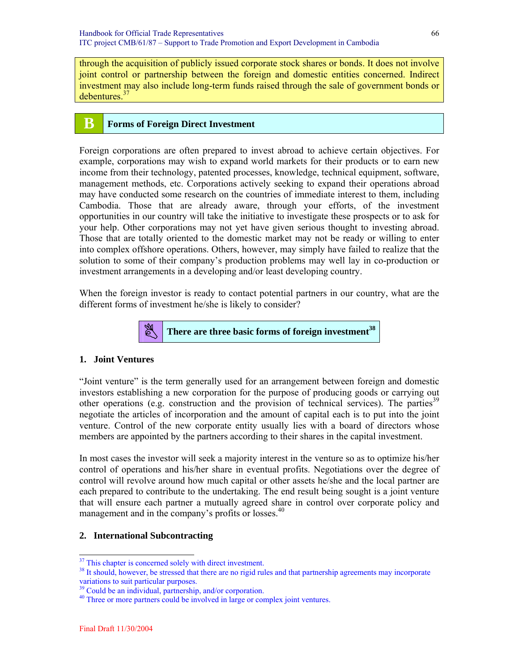through the acquisition of publicly issued corporate stock shares or bonds. It does not involve joint control or partnership between the foreign and domestic entities concerned. Indirect investment may also include long-term funds raised through the sale of government bonds or debentures.<sup>37</sup>

# **B Forms of Foreign Direct Investment**

Foreign corporations are often prepared to invest abroad to achieve certain objectives. For example, corporations may wish to expand world markets for their products or to earn new income from their technology, patented processes, knowledge, technical equipment, software, management methods, etc. Corporations actively seeking to expand their operations abroad may have conducted some research on the countries of immediate interest to them, including Cambodia. Those that are already aware, through your efforts, of the investment opportunities in our country will take the initiative to investigate these prospects or to ask for your help. Other corporations may not yet have given serious thought to investing abroad. Those that are totally oriented to the domestic market may not be ready or willing to enter into complex offshore operations. Others, however, may simply have failed to realize that the solution to some of their company's production problems may well lay in co-production or investment arrangements in a developing and/or least developing country.

When the foreign investor is ready to contact potential partners in our country, what are the different forms of investment he/she is likely to consider?



#### **1. Joint Ventures**

"Joint venture" is the term generally used for an arrangement between foreign and domestic investors establishing a new corporation for the purpose of producing goods or carrying out other operations (e.g. construction and the provision of technical services). The parties<sup>39</sup> negotiate the articles of incorporation and the amount of capital each is to put into the joint venture. Control of the new corporate entity usually lies with a board of directors whose members are appointed by the partners according to their shares in the capital investment.

In most cases the investor will seek a majority interest in the venture so as to optimize his/her control of operations and his/her share in eventual profits. Negotiations over the degree of control will revolve around how much capital or other assets he/she and the local partner are each prepared to contribute to the undertaking. The end result being sought is a joint venture that will ensure each partner a mutually agreed share in control over corporate policy and management and in the company's profits or losses.<sup>40</sup>

#### **2. International Subcontracting**

 $\overline{a}$ 

<sup>&</sup>lt;sup>37</sup> This chapter is concerned solely with direct investment.

<sup>&</sup>lt;sup>38</sup> It should, however, be stressed that there are no rigid rules and that partnership agreements may incorporate variations to suit particular purposes.

<sup>&</sup>lt;sup>39</sup> Could be an individual, partnership, and/or corporation.

<sup>&</sup>lt;sup>40</sup> Three or more partners could be involved in large or complex joint ventures.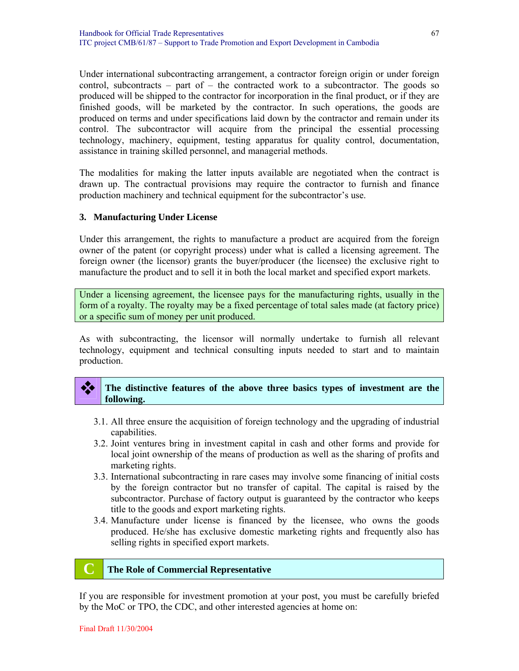Under international subcontracting arrangement, a contractor foreign origin or under foreign control, subcontracts – part of – the contracted work to a subcontractor. The goods so produced will be shipped to the contractor for incorporation in the final product, or if they are finished goods, will be marketed by the contractor. In such operations, the goods are produced on terms and under specifications laid down by the contractor and remain under its control. The subcontractor will acquire from the principal the essential processing technology, machinery, equipment, testing apparatus for quality control, documentation, assistance in training skilled personnel, and managerial methods.

The modalities for making the latter inputs available are negotiated when the contract is drawn up. The contractual provisions may require the contractor to furnish and finance production machinery and technical equipment for the subcontractor's use.

#### **3. Manufacturing Under License**

Under this arrangement, the rights to manufacture a product are acquired from the foreign owner of the patent (or copyright process) under what is called a licensing agreement. The foreign owner (the licensor) grants the buyer/producer (the licensee) the exclusive right to manufacture the product and to sell it in both the local market and specified export markets.

Under a licensing agreement, the licensee pays for the manufacturing rights, usually in the form of a royalty. The royalty may be a fixed percentage of total sales made (at factory price) or a specific sum of money per unit produced.

As with subcontracting, the licensor will normally undertake to furnish all relevant technology, equipment and technical consulting inputs needed to start and to maintain production.

#### The distinctive features of the above three basics types of investment are the **following.**

- 3.1. All three ensure the acquisition of foreign technology and the upgrading of industrial capabilities.
- 3.2. Joint ventures bring in investment capital in cash and other forms and provide for local joint ownership of the means of production as well as the sharing of profits and marketing rights.
- 3.3. International subcontracting in rare cases may involve some financing of initial costs by the foreign contractor but no transfer of capital. The capital is raised by the subcontractor. Purchase of factory output is guaranteed by the contractor who keeps title to the goods and export marketing rights.
- 3.4. Manufacture under license is financed by the licensee, who owns the goods produced. He/she has exclusive domestic marketing rights and frequently also has selling rights in specified export markets.

#### **C The Role of Commercial Representative**

If you are responsible for investment promotion at your post, you must be carefully briefed by the MoC or TPO, the CDC, and other interested agencies at home on: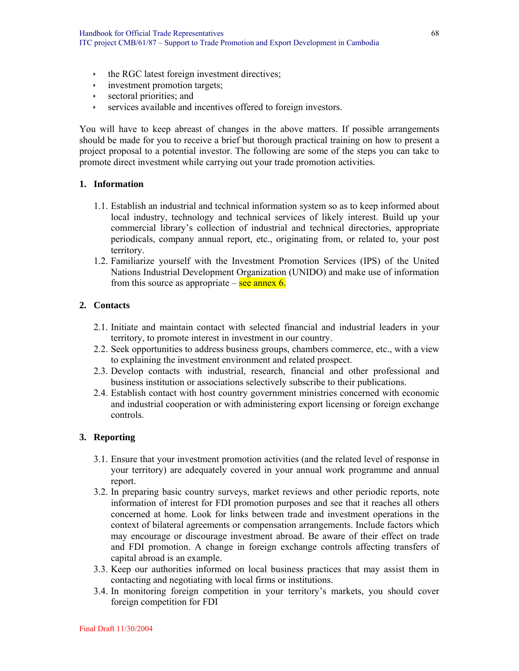- $\cdot$  the RGC latest foreign investment directives;
- investment promotion targets;
- $\rightarrow$  sectoral priorities; and
- **EXECUTE:** services available and incentives offered to foreign investors.

You will have to keep abreast of changes in the above matters. If possible arrangements should be made for you to receive a brief but thorough practical training on how to present a project proposal to a potential investor. The following are some of the steps you can take to promote direct investment while carrying out your trade promotion activities.

#### **1. Information**

- 1.1. Establish an industrial and technical information system so as to keep informed about local industry, technology and technical services of likely interest. Build up your commercial library's collection of industrial and technical directories, appropriate periodicals, company annual report, etc., originating from, or related to, your post territory.
- 1.2. Familiarize yourself with the Investment Promotion Services (IPS) of the United Nations Industrial Development Organization (UNIDO) and make use of information from this source as appropriate – see annex 6.

#### **2. Contacts**

- 2.1. Initiate and maintain contact with selected financial and industrial leaders in your territory, to promote interest in investment in our country.
- 2.2. Seek opportunities to address business groups, chambers commerce, etc., with a view to explaining the investment environment and related prospect.
- 2.3. Develop contacts with industrial, research, financial and other professional and business institution or associations selectively subscribe to their publications.
- 2.4. Establish contact with host country government ministries concerned with economic and industrial cooperation or with administering export licensing or foreign exchange controls.

#### **3. Reporting**

- 3.1. Ensure that your investment promotion activities (and the related level of response in your territory) are adequately covered in your annual work programme and annual report.
- 3.2. In preparing basic country surveys, market reviews and other periodic reports, note information of interest for FDI promotion purposes and see that it reaches all others concerned at home. Look for links between trade and investment operations in the context of bilateral agreements or compensation arrangements. Include factors which may encourage or discourage investment abroad. Be aware of their effect on trade and FDI promotion. A change in foreign exchange controls affecting transfers of capital abroad is an example.
- 3.3. Keep our authorities informed on local business practices that may assist them in contacting and negotiating with local firms or institutions.
- 3.4. In monitoring foreign competition in your territory's markets, you should cover foreign competition for FDI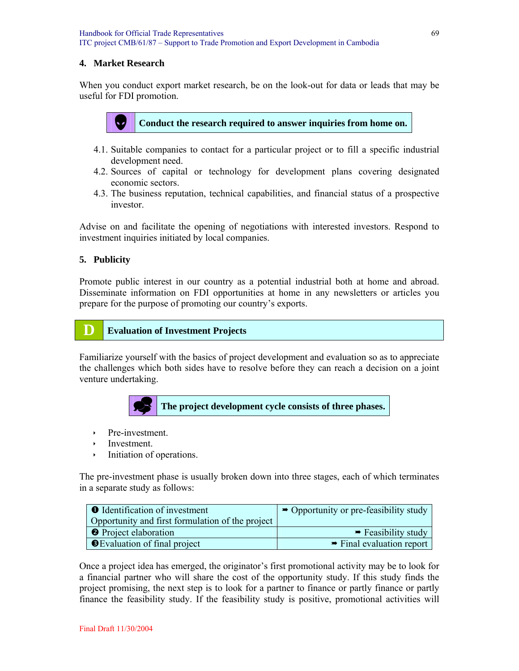### **4. Market Research**

When you conduct export market research, be on the look-out for data or leads that may be useful for FDI promotion.



# Conduct the research required to answer inquiries from home on.

- 4.1. Suitable companies to contact for a particular project or to fill a specific industrial development need.
- 4.2. Sources of capital or technology for development plans covering designated economic sectors.
- 4.3. The business reputation, technical capabilities, and financial status of a prospective investor.

Advise on and facilitate the opening of negotiations with interested investors. Respond to investment inquiries initiated by local companies.

#### **5. Publicity**

Promote public interest in our country as a potential industrial both at home and abroad. Disseminate information on FDI opportunities at home in any newsletters or articles you prepare for the purpose of promoting our country's exports.

# **D Evaluation of Investment Projects**

Familiarize yourself with the basics of project development and evaluation so as to appreciate the challenges which both sides have to resolve before they can reach a decision on a joint venture undertaking.



- $\rightarrow$  Pre-investment.
- $\cdot$  Investment.
- Initiation of operations.

The pre-investment phase is usually broken down into three stages, each of which terminates in a separate study as follows:

| <b>O</b> Identification of investment            | $\rightarrow$ Opportunity or pre-feasibility study |
|--------------------------------------------------|----------------------------------------------------|
| Opportunity and first formulation of the project |                                                    |
| <b>O</b> Project elaboration                     | $\rightarrow$ Feasibility study                    |
| <b>S</b> Evaluation of final project             | $\rightarrow$ Final evaluation report              |

Once a project idea has emerged, the originator's first promotional activity may be to look for a financial partner who will share the cost of the opportunity study. If this study finds the project promising, the next step is to look for a partner to finance or partly finance or partly finance the feasibility study. If the feasibility study is positive, promotional activities will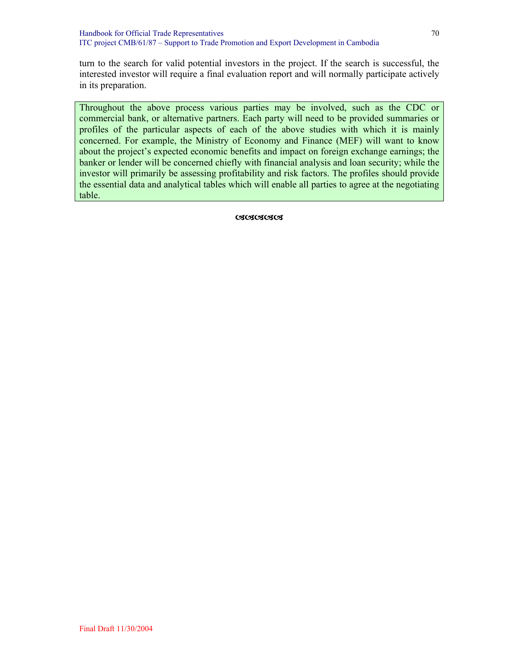turn to the search for valid potential investors in the project. If the search is successful, the interested investor will require a final evaluation report and will normally participate actively in its preparation.

Throughout the above process various parties may be involved, such as the CDC or commercial bank, or alternative partners. Each party will need to be provided summaries or profiles of the particular aspects of each of the above studies with which it is mainly concerned. For example, the Ministry of Economy and Finance (MEF) will want to know about the project's expected economic benefits and impact on foreign exchange earnings; the banker or lender will be concerned chiefly with financial analysis and loan security; while the investor will primarily be assessing profitability and risk factors. The profiles should provide the essential data and analytical tables which will enable all parties to agree at the negotiating table.

**CSCSCSCS**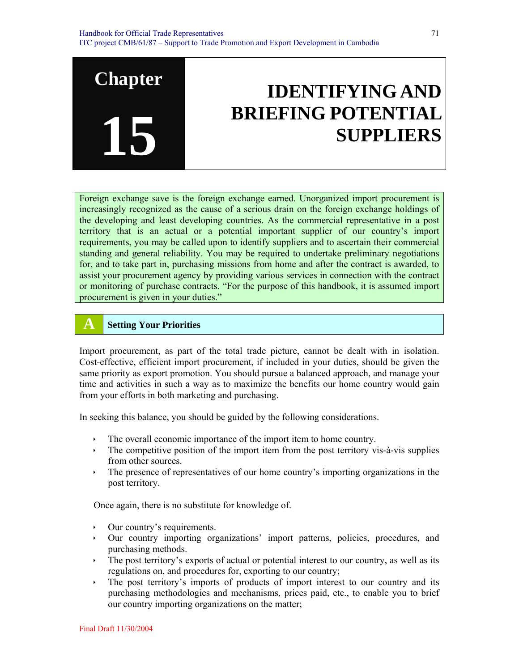# **IDENTIFYING AND BRIEFING POTENTIAL SUPPLIERS**

Foreign exchange save is the foreign exchange earned. Unorganized import procurement is increasingly recognized as the cause of a serious drain on the foreign exchange holdings of the developing and least developing countries. As the commercial representative in a post territory that is an actual or a potential important supplier of our country's import requirements, you may be called upon to identify suppliers and to ascertain their commercial standing and general reliability. You may be required to undertake preliminary negotiations for, and to take part in, purchasing missions from home and after the contract is awarded, to assist your procurement agency by providing various services in connection with the contract or monitoring of purchase contracts. "For the purpose of this handbook, it is assumed import procurement is given in your duties."

# **A Setting Your Priorities**

**Chapter** 

**15**

Import procurement, as part of the total trade picture, cannot be dealt with in isolation. Cost-effective, efficient import procurement, if included in your duties, should be given the same priority as export promotion. You should pursue a balanced approach, and manage your time and activities in such a way as to maximize the benefits our home country would gain from your efforts in both marketing and purchasing.

In seeking this balance, you should be guided by the following considerations.

- $\cdot$  The overall economic importance of the import item to home country.
- $\cdot$  The competitive position of the import item from the post territory vis-à-vis supplies from other sources.
- $\cdot$  The presence of representatives of our home country's importing organizations in the post territory.

Once again, there is no substitute for knowledge of.

- Our country's requirements.
- Ì Our country importing organizations' import patterns, policies, procedures, and purchasing methods.
- $\overline{\phantom{a}}$  The post territory's exports of actual or potential interest to our country, as well as its regulations on, and procedures for, exporting to our country;
- $\rightarrow$  The post territory's imports of products of import interest to our country and its purchasing methodologies and mechanisms, prices paid, etc., to enable you to brief our country importing organizations on the matter;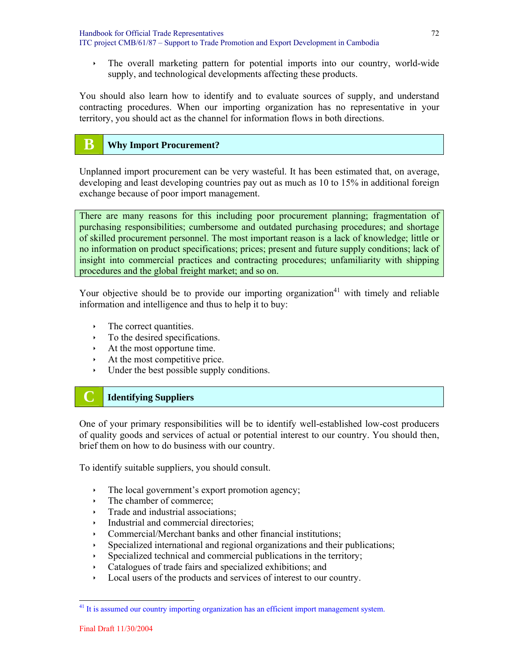Handbook for Official Trade Representatives ITC project CMB/61/87 – Support to Trade Promotion and Export Development in Cambodia

Integral marketing pattern for potential imports into our country, world-wide supply, and technological developments affecting these products.

You should also learn how to identify and to evaluate sources of supply, and understand contracting procedures. When our importing organization has no representative in your territory, you should act as the channel for information flows in both directions.

# **B Why Import Procurement?**

Unplanned import procurement can be very wasteful. It has been estimated that, on average, developing and least developing countries pay out as much as 10 to 15% in additional foreign exchange because of poor import management.

There are many reasons for this including poor procurement planning; fragmentation of purchasing responsibilities; cumbersome and outdated purchasing procedures; and shortage of skilled procurement personnel. The most important reason is a lack of knowledge; little or no information on product specifications; prices; present and future supply conditions; lack of insight into commercial practices and contracting procedures; unfamiliarity with shipping procedures and the global freight market; and so on.

Your objective should be to provide our importing organization<sup>41</sup> with timely and reliable information and intelligence and thus to help it to buy:

- $\cdot$  The correct quantities.
- $\cdot$  To the desired specifications.
- $\cdot$  At the most opportune time.
- $\cdot$  At the most competitive price.
- $\cdot$  Under the best possible supply conditions.

# **C Identifying Suppliers**

One of your primary responsibilities will be to identify well-established low-cost producers of quality goods and services of actual or potential interest to our country. You should then, brief them on how to do business with our country.

To identify suitable suppliers, you should consult.

- $\cdot$  The local government's export promotion agency;
- The chamber of commerce;
- $\cdot$  Trade and industrial associations;
- $\cdot$  Industrial and commercial directories:
- $\cdot$  Commercial/Merchant banks and other financial institutions;
- Specialized international and regional organizations and their publications;
- Specialized technical and commercial publications in the territory;
- Catalogues of trade fairs and specialized exhibitions; and
- $\cdot$  Local users of the products and services of interest to our country.

<sup>&</sup>lt;sup>41</sup> It is assumed our country importing organization has an efficient import management system.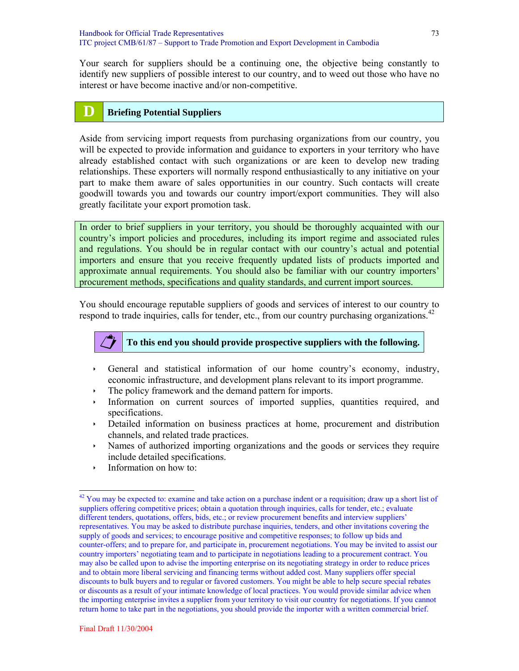Your search for suppliers should be a continuing one, the objective being constantly to identify new suppliers of possible interest to our country, and to weed out those who have no interest or have become inactive and/or non-competitive.

## **D Briefing Potential Suppliers**

Aside from servicing import requests from purchasing organizations from our country, you will be expected to provide information and guidance to exporters in your territory who have already established contact with such organizations or are keen to develop new trading relationships. These exporters will normally respond enthusiastically to any initiative on your part to make them aware of sales opportunities in our country. Such contacts will create goodwill towards you and towards our country import/export communities. They will also greatly facilitate your export promotion task.

In order to brief suppliers in your territory, you should be thoroughly acquainted with our country's import policies and procedures, including its import regime and associated rules and regulations. You should be in regular contact with our country's actual and potential importers and ensure that you receive frequently updated lists of products imported and approximate annual requirements. You should also be familiar with our country importers' procurement methods, specifications and quality standards, and current import sources.

You should encourage reputable suppliers of goods and services of interest to our country to respond to trade inquiries, calls for tender, etc., from our country purchasing organizations.<sup>42</sup>



 $\overline{a}$ 

## **To this end you should provide prospective suppliers with the following.**

- $\rightarrow$  General and statistical information of our home country's economy, industry, economic infrastructure, and development plans relevant to its import programme.
- $\cdot$  The policy framework and the demand pattern for imports.
- Information on current sources of imported supplies, quantities required, and specifications.
- Ì Detailed information on business practices at home, procurement and distribution channels, and related trade practices.
- If Names of authorized importing organizations and the goods or services they require include detailed specifications.
- $\cdot$  Information on how to:

 $42$  You may be expected to: examine and take action on a purchase indent or a requisition; draw up a short list of suppliers offering competitive prices; obtain a quotation through inquiries, calls for tender, etc.; evaluate different tenders, quotations, offers, bids, etc.; or review procurement benefits and interview suppliers' representatives. You may be asked to distribute purchase inquiries, tenders, and other invitations covering the supply of goods and services; to encourage positive and competitive responses; to follow up bids and counter-offers; and to prepare for, and participate in, procurement negotiations. You may be invited to assist our country importers' negotiating team and to participate in negotiations leading to a procurement contract. You may also be called upon to advise the importing enterprise on its negotiating strategy in order to reduce prices and to obtain more liberal servicing and financing terms without added cost. Many suppliers offer special discounts to bulk buyers and to regular or favored customers. You might be able to help secure special rebates or discounts as a result of your intimate knowledge of local practices. You would provide similar advice when the importing enterprise invites a supplier from your territory to visit our country for negotiations. If you cannot return home to take part in the negotiations, you should provide the importer with a written commercial brief.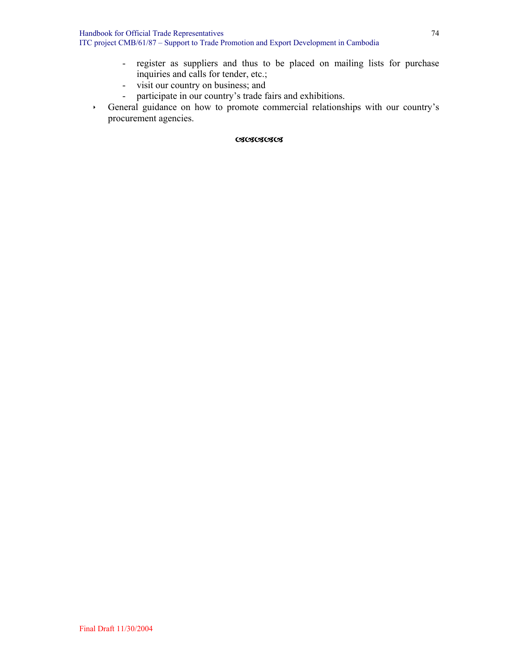- register as suppliers and thus to be placed on mailing lists for purchase inquiries and calls for tender, etc.;
- visit our country on business; and
- participate in our country's trade fairs and exhibitions.
- Ì General guidance on how to promote commercial relationships with our country's procurement agencies.

#### DDDDD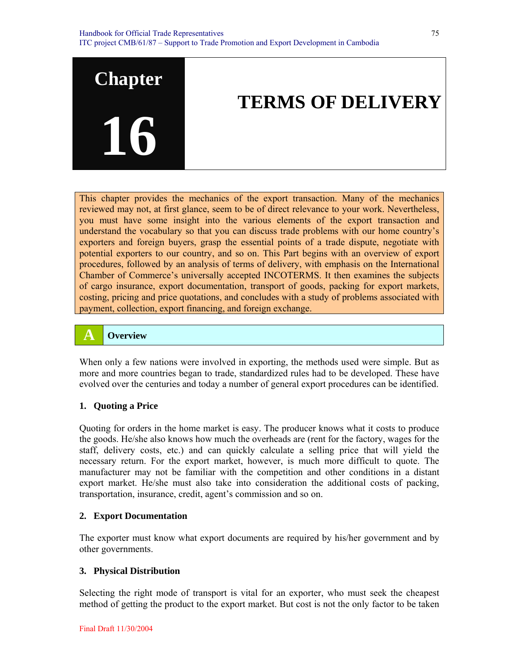

# **TERMS OF DELIVERY**

This chapter provides the mechanics of the export transaction. Many of the mechanics reviewed may not, at first glance, seem to be of direct relevance to your work. Nevertheless, you must have some insight into the various elements of the export transaction and understand the vocabulary so that you can discuss trade problems with our home country's exporters and foreign buyers, grasp the essential points of a trade dispute, negotiate with potential exporters to our country, and so on. This Part begins with an overview of export procedures, followed by an analysis of terms of delivery, with emphasis on the International Chamber of Commerce's universally accepted INCOTERMS. It then examines the subjects of cargo insurance, export documentation, transport of goods, packing for export markets, costing, pricing and price quotations, and concludes with a study of problems associated with payment, collection, export financing, and foreign exchange.

## **A Overview**

When only a few nations were involved in exporting, the methods used were simple. But as more and more countries began to trade, standardized rules had to be developed. These have evolved over the centuries and today a number of general export procedures can be identified.

#### **1. Quoting a Price**

Quoting for orders in the home market is easy. The producer knows what it costs to produce the goods. He/she also knows how much the overheads are (rent for the factory, wages for the staff, delivery costs, etc.) and can quickly calculate a selling price that will yield the necessary return. For the export market, however, is much more difficult to quote. The manufacturer may not be familiar with the competition and other conditions in a distant export market. He/she must also take into consideration the additional costs of packing, transportation, insurance, credit, agent's commission and so on.

#### **2. Export Documentation**

The exporter must know what export documents are required by his/her government and by other governments.

## **3. Physical Distribution**

Selecting the right mode of transport is vital for an exporter, who must seek the cheapest method of getting the product to the export market. But cost is not the only factor to be taken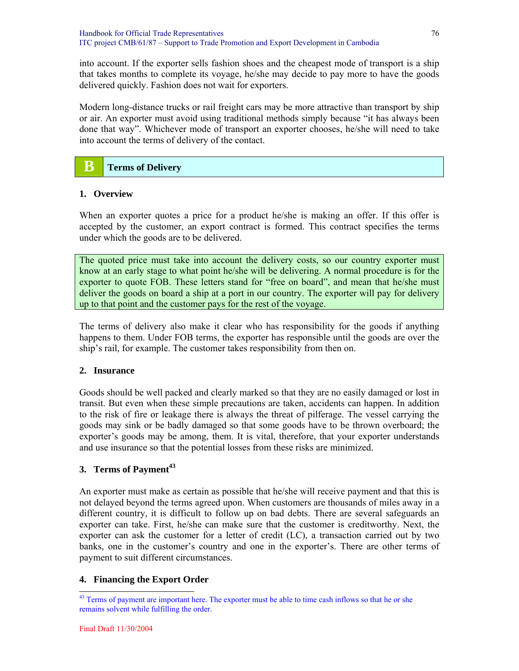into account. If the exporter sells fashion shoes and the cheapest mode of transport is a ship that takes months to complete its voyage, he/she may decide to pay more to have the goods delivered quickly. Fashion does not wait for exporters.

Modern long-distance trucks or rail freight cars may be more attractive than transport by ship or air. An exporter must avoid using traditional methods simply because "it has always been done that way". Whichever mode of transport an exporter chooses, he/she will need to take into account the terms of delivery of the contact.

## **B Terms of Delivery**

## **1. Overview**

When an exporter quotes a price for a product he/she is making an offer. If this offer is accepted by the customer, an export contract is formed. This contract specifies the terms under which the goods are to be delivered.

The quoted price must take into account the delivery costs, so our country exporter must know at an early stage to what point he/she will be delivering. A normal procedure is for the exporter to quote FOB. These letters stand for "free on board", and mean that he/she must deliver the goods on board a ship at a port in our country. The exporter will pay for delivery up to that point and the customer pays for the rest of the voyage.

The terms of delivery also make it clear who has responsibility for the goods if anything happens to them. Under FOB terms, the exporter has responsible until the goods are over the ship's rail, for example. The customer takes responsibility from then on.

## **2. Insurance**

Goods should be well packed and clearly marked so that they are no easily damaged or lost in transit. But even when these simple precautions are taken, accidents can happen. In addition to the risk of fire or leakage there is always the threat of pilferage. The vessel carrying the goods may sink or be badly damaged so that some goods have to be thrown overboard; the exporter's goods may be among, them. It is vital, therefore, that your exporter understands and use insurance so that the potential losses from these risks are minimized.

## **3. Terms of Payment**<sup>43</sup>

An exporter must make as certain as possible that he/she will receive payment and that this is not delayed beyond the terms agreed upon. When customers are thousands of miles away in a different country, it is difficult to follow up on bad debts. There are several safeguards an exporter can take. First, he/she can make sure that the customer is creditworthy. Next, the exporter can ask the customer for a letter of credit (LC), a transaction carried out by two banks, one in the customer's country and one in the exporter's. There are other terms of payment to suit different circumstances.

## **4. Financing the Export Order**

l <sup>43</sup> Terms of payment are important here. The exporter must be able to time cash inflows so that he or she remains solvent while fulfilling the order.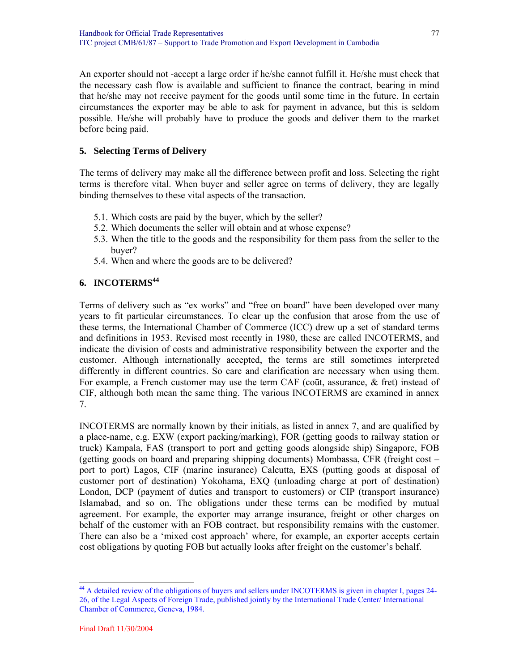An exporter should not -accept a large order if he/she cannot fulfill it. He/she must check that the necessary cash flow is available and sufficient to finance the contract, bearing in mind that he/she may not receive payment for the goods until some time in the future. In certain circumstances the exporter may be able to ask for payment in advance, but this is seldom possible. He/she will probably have to produce the goods and deliver them to the market before being paid.

## **5. Selecting Terms of Delivery**

The terms of delivery may make all the difference between profit and loss. Selecting the right terms is therefore vital. When buyer and seller agree on terms of delivery, they are legally binding themselves to these vital aspects of the transaction.

- 5.1. Which costs are paid by the buyer, which by the seller?
- 5.2. Which documents the seller will obtain and at whose expense?
- 5.3. When the title to the goods and the responsibility for them pass from the seller to the buyer?
- 5.4. When and where the goods are to be delivered?

## **6. INCOTERMS<sup>44</sup>**

Terms of delivery such as "ex works" and "free on board" have been developed over many years to fit particular circumstances. To clear up the confusion that arose from the use of these terms, the International Chamber of Commerce (ICC) drew up a set of standard terms and definitions in 1953. Revised most recently in 1980, these are called INCOTERMS, and indicate the division of costs and administrative responsibility between the exporter and the customer. Although internationally accepted, the terms are still sometimes interpreted differently in different countries. So care and clarification are necessary when using them. For example, a French customer may use the term CAF (cout, assurance, & fret) instead of CIF, although both mean the same thing. The various INCOTERMS are examined in annex 7.

INCOTERMS are normally known by their initials, as listed in annex 7, and are qualified by a place-name, e.g. EXW (export packing/marking), FOR (getting goods to railway station or truck) Kampala, FAS (transport to port and getting goods alongside ship) Singapore, FOB (getting goods on board and preparing shipping documents) Mombassa, CFR (freight cost – port to port) Lagos, CIF (marine insurance) Calcutta, EXS (putting goods at disposal of customer port of destination) Yokohama, EXQ (unloading charge at port of destination) London, DCP (payment of duties and transport to customers) or CIP (transport insurance) Islamabad, and so on. The obligations under these terms can be modified by mutual agreement. For example, the exporter may arrange insurance, freight or other charges on behalf of the customer with an FOB contract, but responsibility remains with the customer. There can also be a 'mixed cost approach' where, for example, an exporter accepts certain cost obligations by quoting FOB but actually looks after freight on the customer's behalf.

l <sup>44</sup> A detailed review of the obligations of buyers and sellers under INCOTERMS is given in chapter I, pages 24-26, of the Legal Aspects of Foreign Trade, published jointly by the International Trade Center/ International Chamber of Commerce, Geneva, 1984.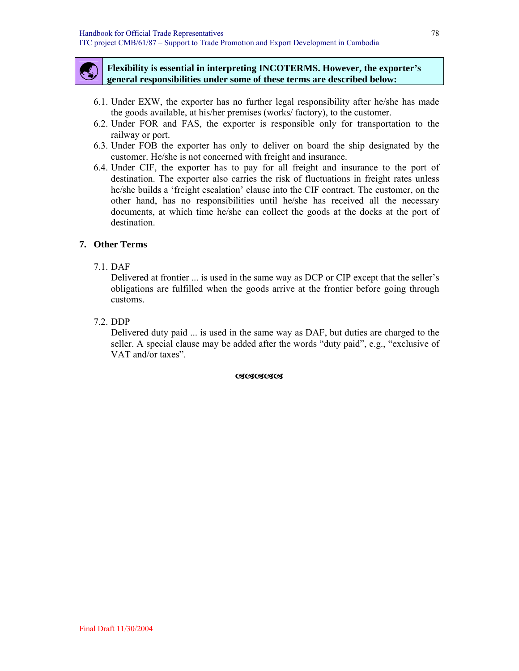

#### ß **Flexibility is essential in interpreting INCOTERMS. However, the exporter's general responsibilities under some of these terms are described below:**

- 6.1. Under EXW, the exporter has no further legal responsibility after he/she has made the goods available, at his/her premises (works/ factory), to the customer.
- 6.2. Under FOR and FAS, the exporter is responsible only for transportation to the railway or port.
- 6.3. Under FOB the exporter has only to deliver on board the ship designated by the customer. He/she is not concerned with freight and insurance.
- 6.4. Under CIF, the exporter has to pay for all freight and insurance to the port of destination. The exporter also carries the risk of fluctuations in freight rates unless he/she builds a 'freight escalation' clause into the CIF contract. The customer, on the other hand, has no responsibilities until he/she has received all the necessary documents, at which time he/she can collect the goods at the docks at the port of destination.

#### **7. Other Terms**

7.1. DAF

Delivered at frontier ... is used in the same way as DCP or CIP except that the seller's obligations are fulfilled when the goods arrive at the frontier before going through customs.

7.2. DDP

Delivered duty paid ... is used in the same way as DAF, but duties are charged to the seller. A special clause may be added after the words "duty paid", e.g., "exclusive of VAT and/or taxes".

DDDDD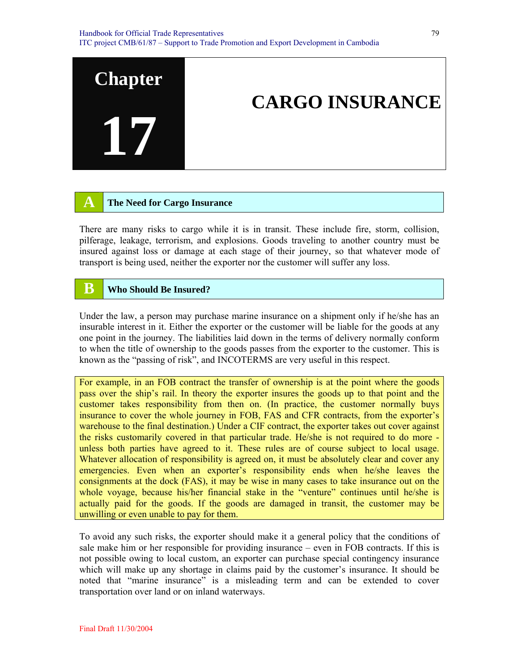

## **A The Need for Cargo Insurance**

There are many risks to cargo while it is in transit. These include fire, storm, collision, pilferage, leakage, terrorism, and explosions. Goods traveling to another country must be insured against loss or damage at each stage of their journey, so that whatever mode of transport is being used, neither the exporter nor the customer will suffer any loss.

## **B Who Should Be Insured?**

Under the law, a person may purchase marine insurance on a shipment only if he/she has an insurable interest in it. Either the exporter or the customer will be liable for the goods at any one point in the journey. The liabilities laid down in the terms of delivery normally conform to when the title of ownership to the goods passes from the exporter to the customer. This is known as the "passing of risk", and INCOTERMS are very useful in this respect.

For example, in an FOB contract the transfer of ownership is at the point where the goods pass over the ship's rail. In theory the exporter insures the goods up to that point and the customer takes responsibility from then on. (In practice, the customer normally buys insurance to cover the whole journey in FOB, FAS and CFR contracts, from the exporter's warehouse to the final destination.) Under a CIF contract, the exporter takes out cover against the risks customarily covered in that particular trade. He/she is not required to do more unless both parties have agreed to it. These rules are of course subject to local usage. Whatever allocation of responsibility is agreed on, it must be absolutely clear and cover any emergencies. Even when an exporter's responsibility ends when he/she leaves the consignments at the dock (FAS), it may be wise in many cases to take insurance out on the whole voyage, because his/her financial stake in the "venture" continues until he/she is actually paid for the goods. If the goods are damaged in transit, the customer may be unwilling or even unable to pay for them.

To avoid any such risks, the exporter should make it a general policy that the conditions of sale make him or her responsible for providing insurance – even in FOB contracts. If this is not possible owing to local custom, an exporter can purchase special contingency insurance which will make up any shortage in claims paid by the customer's insurance. It should be noted that "marine insurance" is a misleading term and can be extended to cover transportation over land or on inland waterways.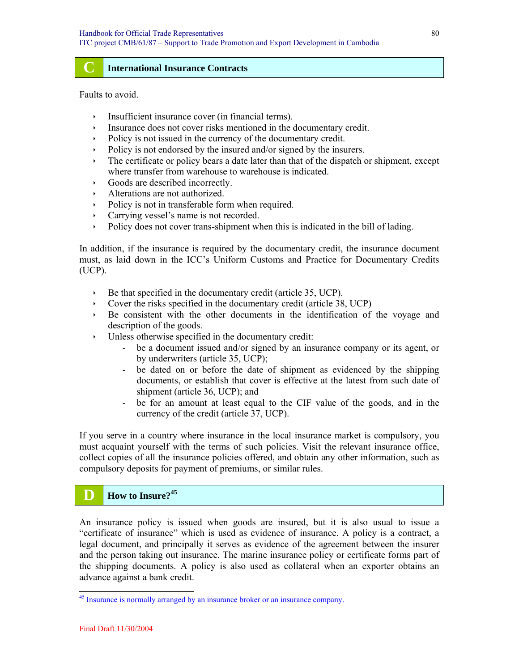#### **C International Insurance Contracts**

Faults to avoid.

- $\cdot$  Insufficient insurance cover (in financial terms).
- $\cdot$  Insurance does not cover risks mentioned in the documentary credit.
- $\rightarrow$  Policy is not issued in the currency of the documentary credit.
- $\rightarrow$  Policy is not endorsed by the insured and/or signed by the insurers.
- The certificate or policy bears a date later than that of the dispatch or shipment, except where transfer from warehouse to warehouse is indicated.
- $\cdot$  Goods are described incorrectly.
- Alterations are not authorized.
- Policy is not in transferable form when required.
- $\cdot$  Carrying vessel's name is not recorded.
- $\rightarrow$  Policy does not cover trans-shipment when this is indicated in the bill of lading.

In addition, if the insurance is required by the documentary credit, the insurance document must, as laid down in the ICC's Uniform Customs and Practice for Documentary Credits (UCP).

- $\rightarrow$  Be that specified in the documentary credit (article 35, UCP).
- $\sim$  Cover the risks specified in the documentary credit (article 38, UCP)
- $\rightarrow$  Be consistent with the other documents in the identification of the voyage and description of the goods.
- $\cdot$  Unless otherwise specified in the documentary credit:
	- be a document issued and/or signed by an insurance company or its agent, or by underwriters (article 35, UCP);
	- be dated on or before the date of shipment as evidenced by the shipping documents, or establish that cover is effective at the latest from such date of shipment (article 36, UCP); and
	- be for an amount at least equal to the CIF value of the goods, and in the currency of the credit (article 37, UCP).

If you serve in a country where insurance in the local insurance market is compulsory, you must acquaint yourself with the terms of such policies. Visit the relevant insurance office, collect copies of all the insurance policies offered, and obtain any other information, such as compulsory deposits for payment of premiums, or similar rules.

## **D How to Insure**?<sup>45</sup>

An insurance policy is issued when goods are insured, but it is also usual to issue a "certificate of insurance" which is used as evidence of insurance. A policy is a contract, a legal document, and principally it serves as evidence of the agreement between the insurer and the person taking out insurance. The marine insurance policy or certificate forms part of the shipping documents. A policy is also used as collateral when an exporter obtains an advance against a bank credit.

<sup>&</sup>lt;sup>45</sup> Insurance is normally arranged by an insurance broker or an insurance company.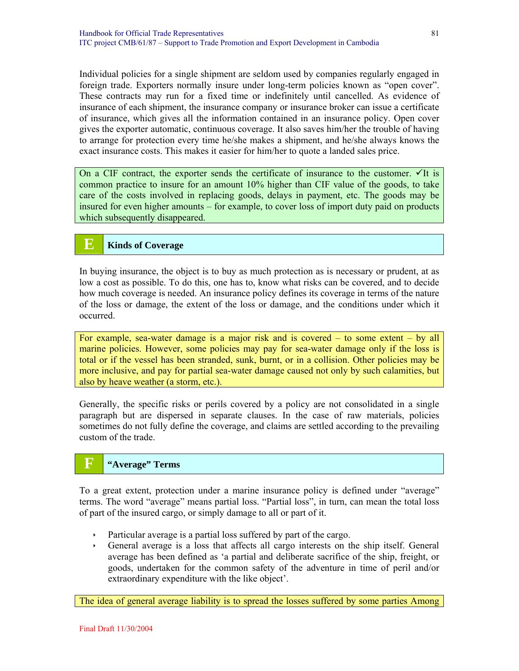Individual policies for a single shipment are seldom used by companies regularly engaged in foreign trade. Exporters normally insure under long-term policies known as "open cover". These contracts may run for a fixed time or indefinitely until cancelled. As evidence of insurance of each shipment, the insurance company or insurance broker can issue a certificate of insurance, which gives all the information contained in an insurance policy. Open cover gives the exporter automatic, continuous coverage. It also saves him/her the trouble of having to arrange for protection every time he/she makes a shipment, and he/she always knows the exact insurance costs. This makes it easier for him/her to quote a landed sales price.

On a CIF contract, the exporter sends the certificate of insurance to the customer.  $\checkmark$  It is common practice to insure for an amount 10% higher than CIF value of the goods, to take care of the costs involved in replacing goods, delays in payment, etc. The goods may be insured for even higher amounts – for example, to cover loss of import duty paid on products which subsequently disappeared.

## **E Kinds of Coverage**

In buying insurance, the object is to buy as much protection as is necessary or prudent, at as low a cost as possible. To do this, one has to, know what risks can be covered, and to decide how much coverage is needed. An insurance policy defines its coverage in terms of the nature of the loss or damage, the extent of the loss or damage, and the conditions under which it occurred.

For example, sea-water damage is a major risk and is covered – to some extent – by all marine policies. However, some policies may pay for sea-water damage only if the loss is total or if the vessel has been stranded, sunk, burnt, or in a collision. Other policies may be more inclusive, and pay for partial sea-water damage caused not only by such calamities, but also by heave weather (a storm, etc.).

Generally, the specific risks or perils covered by a policy are not consolidated in a single paragraph but are dispersed in separate clauses. In the case of raw materials, policies sometimes do not fully define the coverage, and claims are settled according to the prevailing custom of the trade.

## **F "Average" Terms**

To a great extent, protection under a marine insurance policy is defined under "average" terms. The word "average" means partial loss. "Partial loss", in turn, can mean the total loss of part of the insured cargo, or simply damage to all or part of it.

- $\rightarrow$  Particular average is a partial loss suffered by part of the cargo.
- Ì General average is a loss that affects all cargo interests on the ship itself. General average has been defined as 'a partial and deliberate sacrifice of the ship, freight, or goods, undertaken for the common safety of the adventure in time of peril and/or extraordinary expenditure with the like object'.

The idea of general average liability is to spread the losses suffered by some parties Among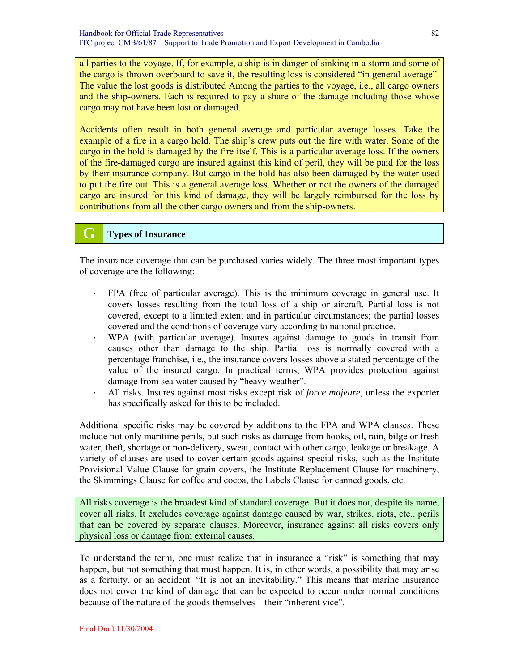all parties to the voyage. If, for example, a ship is in danger of sinking in a storm and some of the cargo is thrown overboard to save it, the resulting loss is considered "in general average". The value the lost goods is distributed Among the parties to the voyage, i.e., all cargo owners and the ship-owners. Each is required to pay a share of the damage including those whose cargo may not have been lost or damaged.

Accidents often result in both general average and particular average losses. Take the example of a fire in a cargo hold. The ship's crew puts out the fire with water. Some of the cargo in the hold is damaged by the fire itself. This is a particular average loss. If the owners of the fire-damaged cargo are insured against this kind of peril, they will be paid for the loss by their insurance company. But cargo in the hold has also been damaged by the water used to put the fire out. This is a general average loss. Whether or not the owners of the damaged cargo are insured for this kind of damage, they will be largely reimbursed for the loss by contributions from all the other cargo owners and from the ship-owners.

## **G Types of Insurance**

The insurance coverage that can be purchased varies widely. The three most important types of coverage are the following:

- Ì FPA (free of particular average). This is the minimum coverage in general use. It covers losses resulting from the total loss of a ship or aircraft. Partial loss is not covered, except to a limited extent and in particular circumstances; the partial losses covered and the conditions of coverage vary according to national practice.
- $\rightarrow$  WPA (with particular average). Insures against damage to goods in transit from causes other than damage to the ship. Partial loss is normally covered with a percentage franchise, i.e., the insurance covers losses above a stated percentage of the value of the insured cargo. In practical terms, WPA provides protection against damage from sea water caused by "heavy weather".
- Ì All risks. Insures against most risks except risk of *force majeure*, unless the exporter has specifically asked for this to be included.

Additional specific risks may be covered by additions to the FPA and WPA clauses. These include not only maritime perils, but such risks as damage from hooks, oil, rain, bilge or fresh water, theft, shortage or non-delivery, sweat, contact with other cargo, leakage or breakage. A variety of clauses are used to cover certain goods against special risks, such as the Institute Provisional Value Clause for grain covers, the Institute Replacement Clause for machinery, the Skimmings Clause for coffee and cocoa, the Labels Clause for canned goods, etc.

All risks coverage is the broadest kind of standard coverage. But it does not, despite its name, cover all risks. It excludes coverage against damage caused by war, strikes, riots, etc., perils that can be covered by separate clauses. Moreover, insurance against all risks covers only physical loss or damage from external causes.

To understand the term, one must realize that in insurance a "risk" is something that may happen, but not something that must happen. It is, in other words, a possibility that may arise as a fortuity, or an accident. "It is not an inevitability." This means that marine insurance does not cover the kind of damage that can be expected to occur under normal conditions because of the nature of the goods themselves – their "inherent vice".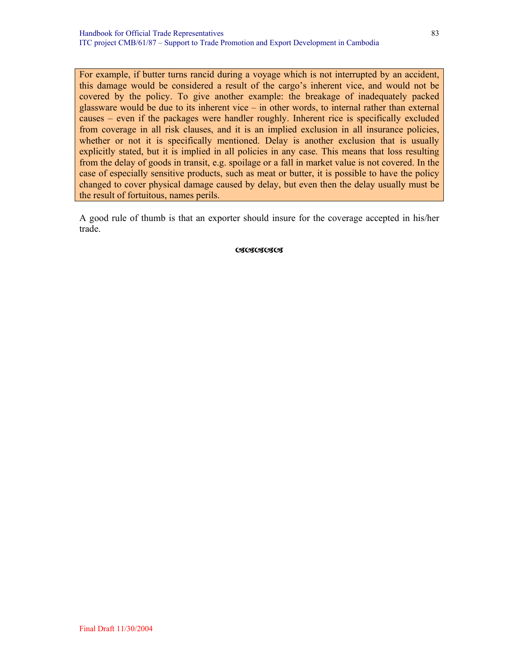For example, if butter turns rancid during a voyage which is not interrupted by an accident, this damage would be considered a result of the cargo's inherent vice, and would not be covered by the policy. To give another example: the breakage of inadequately packed glassware would be due to its inherent vice – in other words, to internal rather than external causes – even if the packages were handler roughly. Inherent rice is specifically excluded from coverage in all risk clauses, and it is an implied exclusion in all insurance policies, whether or not it is specifically mentioned. Delay is another exclusion that is usually explicitly stated, but it is implied in all policies in any case. This means that loss resulting from the delay of goods in transit, e.g. spoilage or a fall in market value is not covered. In the case of especially sensitive products, such as meat or butter, it is possible to have the policy changed to cover physical damage caused by delay, but even then the delay usually must be the result of fortuitous, names perils.

A good rule of thumb is that an exporter should insure for the coverage accepted in his/her trade.

**CSCSCSCS**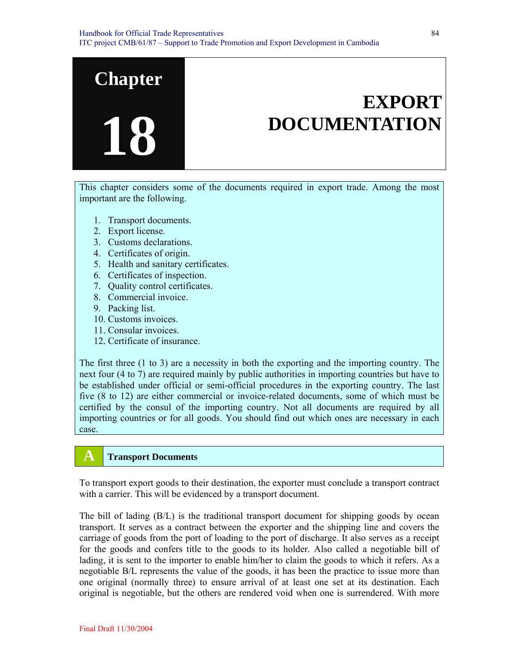

This chapter considers some of the documents required in export trade. Among the most important are the following.

- 1. Transport documents.
- 2. Export license.
- 3. Customs declarations.
- 4. Certificates of origin.
- 5. Health and sanitary certificates.
- 6. Certificates of inspection.
- 7. Quality control certificates.
- 8. Commercial invoice.
- 9. Packing list.
- 10. Customs invoices.
- 11. Consular invoices.
- 12. Certificate of insurance.

The first three (1 to 3) are a necessity in both the exporting and the importing country. The next four (4 to 7) are required mainly by public authorities in importing countries but have to be established under official or semi-official procedures in the exporting country. The last five (8 to 12) are either commercial or invoice-related documents, some of which must be certified by the consul of the importing country. Not all documents are required by all importing countries or for all goods. You should find out which ones are necessary in each case.

## **A Transport Documents**

To transport export goods to their destination, the exporter must conclude a transport contract with a carrier. This will be evidenced by a transport document.

The bill of lading (B/L) is the traditional transport document for shipping goods by ocean transport. It serves as a contract between the exporter and the shipping line and covers the carriage of goods from the port of loading to the port of discharge. It also serves as a receipt for the goods and confers title to the goods to its holder. Also called a negotiable bill of lading, it is sent to the importer to enable him/her to claim the goods to which it refers. As a negotiable B/L represents the value of the goods, it has been the practice to issue more than one original (normally three) to ensure arrival of at least one set at its destination. Each original is negotiable, but the others are rendered void when one is surrendered. With more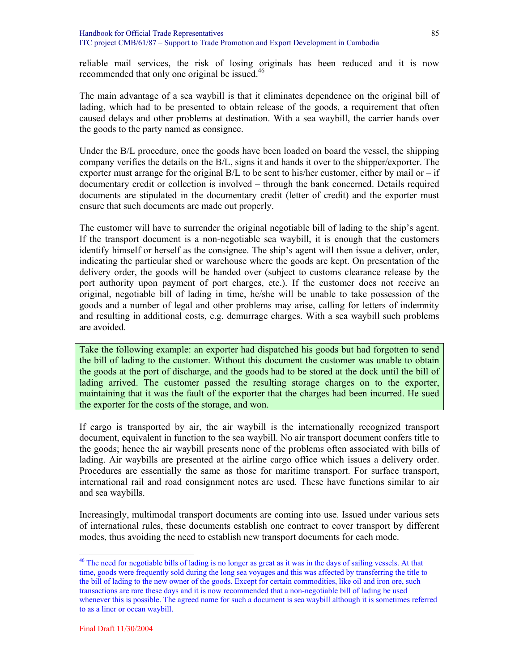reliable mail services, the risk of losing originals has been reduced and it is now recommended that only one original be issued.<sup>46</sup>

The main advantage of a sea waybill is that it eliminates dependence on the original bill of lading, which had to be presented to obtain release of the goods, a requirement that often caused delays and other problems at destination. With a sea waybill, the carrier hands over the goods to the party named as consignee.

Under the B/L procedure, once the goods have been loaded on board the vessel, the shipping company verifies the details on the B/L, signs it and hands it over to the shipper/exporter. The exporter must arrange for the original  $B/L$  to be sent to his/her customer, either by mail or – if documentary credit or collection is involved – through the bank concerned. Details required documents are stipulated in the documentary credit (letter of credit) and the exporter must ensure that such documents are made out properly.

The customer will have to surrender the original negotiable bill of lading to the ship's agent. If the transport document is a non-negotiable sea waybill, it is enough that the customers identify himself or herself as the consignee. The ship's agent will then issue a deliver, order, indicating the particular shed or warehouse where the goods are kept. On presentation of the delivery order, the goods will be handed over (subject to customs clearance release by the port authority upon payment of port charges, etc.). If the customer does not receive an original, negotiable bill of lading in time, he/she will be unable to take possession of the goods and a number of legal and other problems may arise, calling for letters of indemnity and resulting in additional costs, e.g. demurrage charges. With a sea waybill such problems are avoided.

Take the following example: an exporter had dispatched his goods but had forgotten to send the bill of lading to the customer. Without this document the customer was unable to obtain the goods at the port of discharge, and the goods had to be stored at the dock until the bill of lading arrived. The customer passed the resulting storage charges on to the exporter, maintaining that it was the fault of the exporter that the charges had been incurred. He sued the exporter for the costs of the storage, and won.

If cargo is transported by air, the air waybill is the internationally recognized transport document, equivalent in function to the sea waybill. No air transport document confers title to the goods; hence the air waybill presents none of the problems often associated with bills of lading. Air waybills are presented at the airline cargo office which issues a delivery order. Procedures are essentially the same as those for maritime transport. For surface transport, international rail and road consignment notes are used. These have functions similar to air and sea waybills.

Increasingly, multimodal transport documents are coming into use. Issued under various sets of international rules, these documents establish one contract to cover transport by different modes, thus avoiding the need to establish new transport documents for each mode.

 $\overline{a}$ 

<sup>&</sup>lt;sup>46</sup> The need for negotiable bills of lading is no longer as great as it was in the days of sailing vessels. At that time, goods were frequently sold during the long sea voyages and this was affected by transferring the title to the bill of lading to the new owner of the goods. Except for certain commodities, like oil and iron ore, such transactions are rare these days and it is now recommended that a non-negotiable bill of lading be used whenever this is possible. The agreed name for such a document is sea waybill although it is sometimes referred to as a liner or ocean waybill.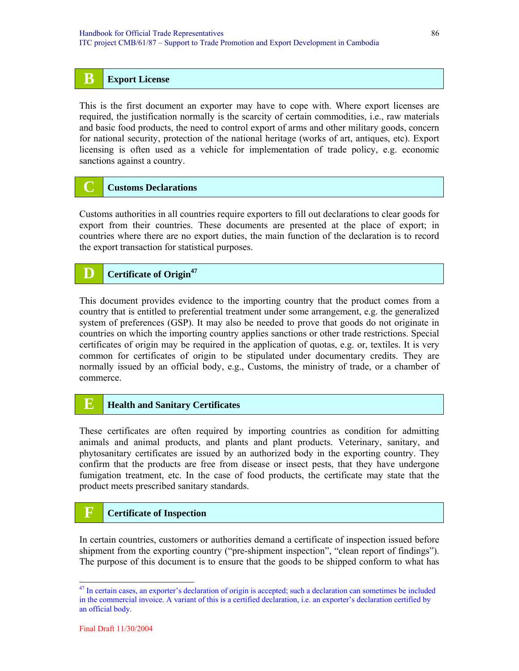## **B Export License**

This is the first document an exporter may have to cope with. Where export licenses are required, the justification normally is the scarcity of certain commodities, i.e., raw materials and basic food products, the need to control export of arms and other military goods, concern for national security, protection of the national heritage (works of art, antiques, etc). Export licensing is often used as a vehicle for implementation of trade policy, e.g. economic sanctions against a country.

## **C Customs Declarations**

Customs authorities in all countries require exporters to fill out declarations to clear goods for export from their countries. These documents are presented at the place of export; in countries where there are no export duties, the main function of the declaration is to record the export transaction for statistical purposes.

## **D Certificate of Origin<sup>47</sup>**

This document provides evidence to the importing country that the product comes from a country that is entitled to preferential treatment under some arrangement, e.g. the generalized system of preferences (GSP). It may also be needed to prove that goods do not originate in countries on which the importing country applies sanctions or other trade restrictions. Special certificates of origin may be required in the application of quotas, e.g. or, textiles. It is very common for certificates of origin to be stipulated under documentary credits. They are normally issued by an official body, e.g., Customs, the ministry of trade, or a chamber of commerce.

## **E Health and Sanitary Certificates**

These certificates are often required by importing countries as condition for admitting animals and animal products, and plants and plant products. Veterinary, sanitary, and phytosanitary certificates are issued by an authorized body in the exporting country. They confirm that the products are free from disease or insect pests, that they have undergone fumigation treatment, etc. In the case of food products, the certificate may state that the product meets prescribed sanitary standards.

## **F Certificate of Inspection**

In certain countries, customers or authorities demand a certificate of inspection issued before shipment from the exporting country ("pre-shipment inspection", "clean report of findings"). The purpose of this document is to ensure that the goods to be shipped conform to what has

 $47$  In certain cases, an exporter's declaration of origin is accepted; such a declaration can sometimes be included in the commercial invoice. A variant of this is a certified declaration, i.e. an exporter's declaration certified by an official body.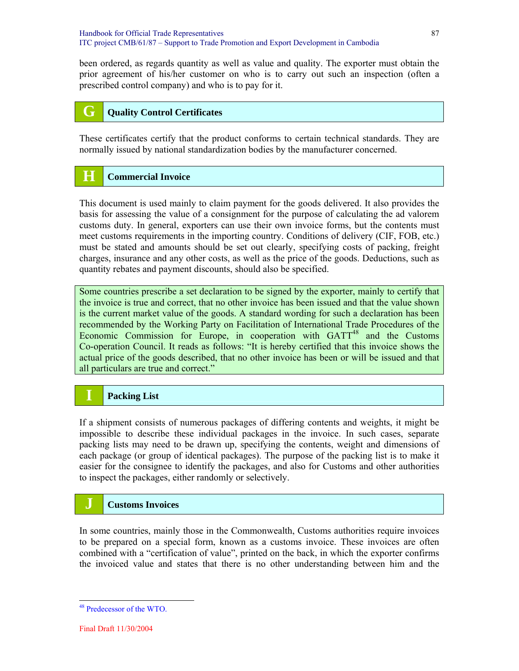been ordered, as regards quantity as well as value and quality. The exporter must obtain the prior agreement of his/her customer on who is to carry out such an inspection (often a prescribed control company) and who is to pay for it.

## **G Quality Control Certificates**

These certificates certify that the product conforms to certain technical standards. They are normally issued by national standardization bodies by the manufacturer concerned.

## **H Commercial Invoice**

This document is used mainly to claim payment for the goods delivered. It also provides the basis for assessing the value of a consignment for the purpose of calculating the ad valorem customs duty. In general, exporters can use their own invoice forms, but the contents must meet customs requirements in the importing country. Conditions of delivery (CIF, FOB, etc.) must be stated and amounts should be set out clearly, specifying costs of packing, freight charges, insurance and any other costs, as well as the price of the goods. Deductions, such as quantity rebates and payment discounts, should also be specified.

Some countries prescribe a set declaration to be signed by the exporter, mainly to certify that the invoice is true and correct, that no other invoice has been issued and that the value shown is the current market value of the goods. A standard wording for such a declaration has been recommended by the Working Party on Facilitation of International Trade Procedures of the Economic Commission for Europe, in cooperation with  $GATT^{48}$  and the Customs Co-operation Council. It reads as follows: "It is hereby certified that this invoice shows the actual price of the goods described, that no other invoice has been or will be issued and that all particulars are true and correct."

## **I Packing List**

If a shipment consists of numerous packages of differing contents and weights, it might be impossible to describe these individual packages in the invoice. In such cases, separate packing lists may need to be drawn up, specifying the contents, weight and dimensions of each package (or group of identical packages). The purpose of the packing list is to make it easier for the consignee to identify the packages, and also for Customs and other authorities to inspect the packages, either randomly or selectively.

## **J Customs Invoices**

In some countries, mainly those in the Commonwealth, Customs authorities require invoices to be prepared on a special form, known as a customs invoice. These invoices are often combined with a "certification of value", printed on the back, in which the exporter confirms the invoiced value and states that there is no other understanding between him and the

<sup>48</sup> Predecessor of the WTO.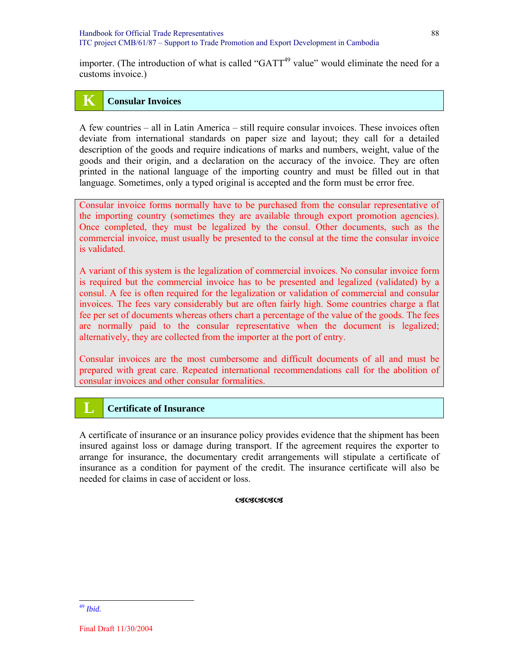importer. (The introduction of what is called "GATT<sup>49</sup> value" would eliminate the need for a customs invoice.)

## **K Consular Invoices**

A few countries – all in Latin America – still require consular invoices. These invoices often deviate from international standards on paper size and layout; they call for a detailed description of the goods and require indications of marks and numbers, weight, value of the goods and their origin, and a declaration on the accuracy of the invoice. They are often printed in the national language of the importing country and must be filled out in that language. Sometimes, only a typed original is accepted and the form must be error free.

Consular invoice forms normally have to be purchased from the consular representative of the importing country (sometimes they are available through export promotion agencies). Once completed, they must be legalized by the consul. Other documents, such as the commercial invoice, must usually be presented to the consul at the time the consular invoice is validated.

A variant of this system is the legalization of commercial invoices. No consular invoice form is required but the commercial invoice has to be presented and legalized (validated) by a consul. A fee is often required for the legalization or validation of commercial and consular invoices. The fees vary considerably but are often fairly high. Some countries charge a flat fee per set of documents whereas others chart a percentage of the value of the goods. The fees are normally paid to the consular representative when the document is legalized; alternatively, they are collected from the importer at the port of entry.

Consular invoices are the most cumbersome and difficult documents of all and must be prepared with great care. Repeated international recommendations call for the abolition of consular invoices and other consular formalities.

## **L Certificate of Insurance**

A certificate of insurance or an insurance policy provides evidence that the shipment has been insured against loss or damage during transport. If the agreement requires the exporter to arrange for insurance, the documentary credit arrangements will stipulate a certificate of insurance as a condition for payment of the credit. The insurance certificate will also be needed for claims in case of accident or loss.

#### **OSOSOSOS**

<sup>49</sup> *Ibid.*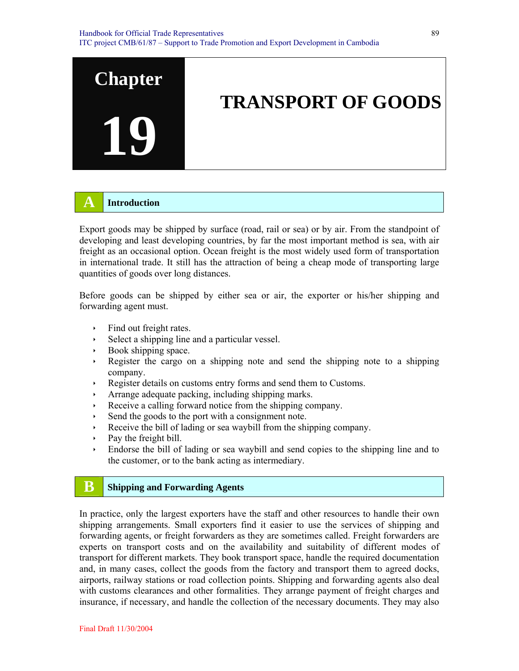

## **A Introduction**

Export goods may be shipped by surface (road, rail or sea) or by air. From the standpoint of developing and least developing countries, by far the most important method is sea, with air freight as an occasional option. Ocean freight is the most widely used form of transportation in international trade. It still has the attraction of being a cheap mode of transporting large quantities of goods over long distances.

Before goods can be shipped by either sea or air, the exporter or his/her shipping and forwarding agent must.

- $\cdot$  Find out freight rates.
- $\rightarrow$  Select a shipping line and a particular vessel.
- $\rightarrow$  Book shipping space.
- $\rightarrow$  Register the cargo on a shipping note and send the shipping note to a shipping company.
- ightharpoonup Register details on customs entry forms and send them to Customs.
- $\cdot$  Arrange adequate packing, including shipping marks.
- Receive a calling forward notice from the shipping company.
- $\cdot$  Send the goods to the port with a consignment note.
- Receive the bill of lading or sea waybill from the shipping company.
- $\rightarrow$  Pay the freight bill.
- $\cdot$  Endorse the bill of lading or sea waybill and send copies to the shipping line and to the customer, or to the bank acting as intermediary.

## **B** Shipping and Forwarding Agents

In practice, only the largest exporters have the staff and other resources to handle their own shipping arrangements. Small exporters find it easier to use the services of shipping and forwarding agents, or freight forwarders as they are sometimes called. Freight forwarders are experts on transport costs and on the availability and suitability of different modes of transport for different markets. They book transport space, handle the required documentation and, in many cases, collect the goods from the factory and transport them to agreed docks, airports, railway stations or road collection points. Shipping and forwarding agents also deal with customs clearances and other formalities. They arrange payment of freight charges and insurance, if necessary, and handle the collection of the necessary documents. They may also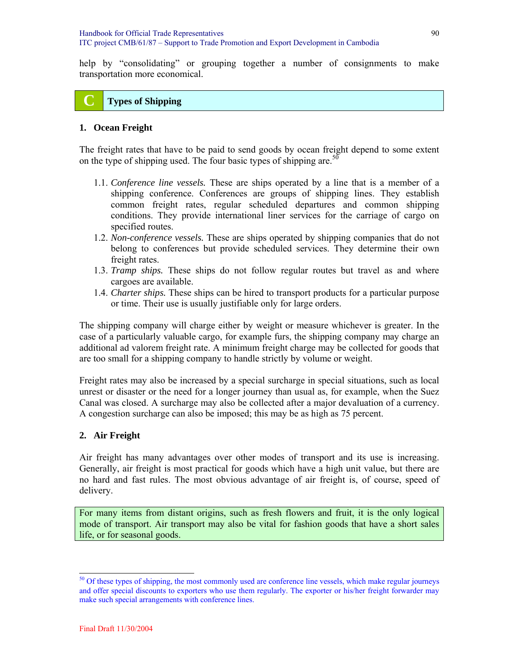help by "consolidating" or grouping together a number of consignments to make transportation more economical.

## **C Types of Shipping**

#### **1. Ocean Freight**

The freight rates that have to be paid to send goods by ocean freight depend to some extent on the type of shipping used. The four basic types of shipping are.<sup>50</sup>

- 1.1. *Conference line vessels.* These are ships operated by a line that is a member of a shipping conference. Conferences are groups of shipping lines. They establish common freight rates, regular scheduled departures and common shipping conditions. They provide international liner services for the carriage of cargo on specified routes.
- 1.2. *Non-conference vessels.* These are ships operated by shipping companies that do not belong to conferences but provide scheduled services. They determine their own freight rates.
- 1.3. *Tramp ships.* These ships do not follow regular routes but travel as and where cargoes are available.
- 1.4. *Charter ships.* These ships can be hired to transport products for a particular purpose or time. Their use is usually justifiable only for large orders.

The shipping company will charge either by weight or measure whichever is greater. In the case of a particularly valuable cargo, for example furs, the shipping company may charge an additional ad valorem freight rate. A minimum freight charge may be collected for goods that are too small for a shipping company to handle strictly by volume or weight.

Freight rates may also be increased by a special surcharge in special situations, such as local unrest or disaster or the need for a longer journey than usual as, for example, when the Suez Canal was closed. A surcharge may also be collected after a major devaluation of a currency. A congestion surcharge can also be imposed; this may be as high as 75 percent.

## **2. Air Freight**

Air freight has many advantages over other modes of transport and its use is increasing. Generally, air freight is most practical for goods which have a high unit value, but there are no hard and fast rules. The most obvious advantage of air freight is, of course, speed of delivery.

For many items from distant origins, such as fresh flowers and fruit, it is the only logical mode of transport. Air transport may also be vital for fashion goods that have a short sales life, or for seasonal goods.

<sup>&</sup>lt;sup>50</sup> Of these types of shipping, the most commonly used are conference line vessels, which make regular journeys and offer special discounts to exporters who use them regularly. The exporter or his/her freight forwarder may make such special arrangements with conference lines.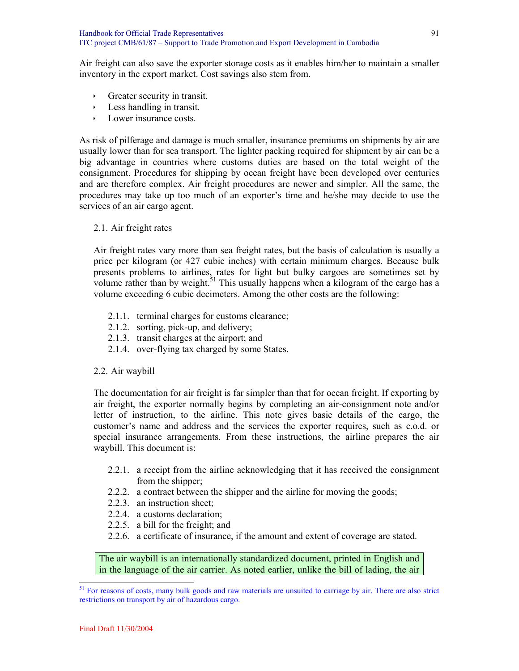Air freight can also save the exporter storage costs as it enables him/her to maintain a smaller inventory in the export market. Cost savings also stem from.

- $\cdot$  Greater security in transit.
- $\cdot$  Less handling in transit.
- $\rightarrow$  Lower insurance costs.

As risk of pilferage and damage is much smaller, insurance premiums on shipments by air are usually lower than for sea transport. The lighter packing required for shipment by air can be a big advantage in countries where customs duties are based on the total weight of the consignment. Procedures for shipping by ocean freight have been developed over centuries and are therefore complex. Air freight procedures are newer and simpler. All the same, the procedures may take up too much of an exporter's time and he/she may decide to use the services of an air cargo agent.

2.1. Air freight rates

Air freight rates vary more than sea freight rates, but the basis of calculation is usually a price per kilogram (or 427 cubic inches) with certain minimum charges. Because bulk presents problems to airlines, rates for light but bulky cargoes are sometimes set by volume rather than by weight.<sup>51</sup> This usually happens when a kilogram of the cargo has a volume exceeding 6 cubic decimeters. Among the other costs are the following:

- 2.1.1. terminal charges for customs clearance;
- 2.1.2. sorting, pick-up, and delivery;
- 2.1.3. transit charges at the airport; and
- 2.1.4. over-flying tax charged by some States.

#### 2.2. Air waybill

The documentation for air freight is far simpler than that for ocean freight. If exporting by air freight, the exporter normally begins by completing an air-consignment note and/or letter of instruction, to the airline. This note gives basic details of the cargo, the customer's name and address and the services the exporter requires, such as c.o.d. or special insurance arrangements. From these instructions, the airline prepares the air waybill. This document is:

- 2.2.1. a receipt from the airline acknowledging that it has received the consignment from the shipper;
- 2.2.2. a contract between the shipper and the airline for moving the goods;
- 2.2.3. an instruction sheet;
- 2.2.4. a customs declaration;
- 2.2.5. a bill for the freight; and
- 2.2.6. a certificate of insurance, if the amount and extent of coverage are stated.

The air waybill is an internationally standardized document, printed in English and in the language of the air carrier. As noted earlier, unlike the bill of lading, the air

<sup>&</sup>lt;sup>51</sup> For reasons of costs, many bulk goods and raw materials are unsuited to carriage by air. There are also strict restrictions on transport by air of hazardous cargo.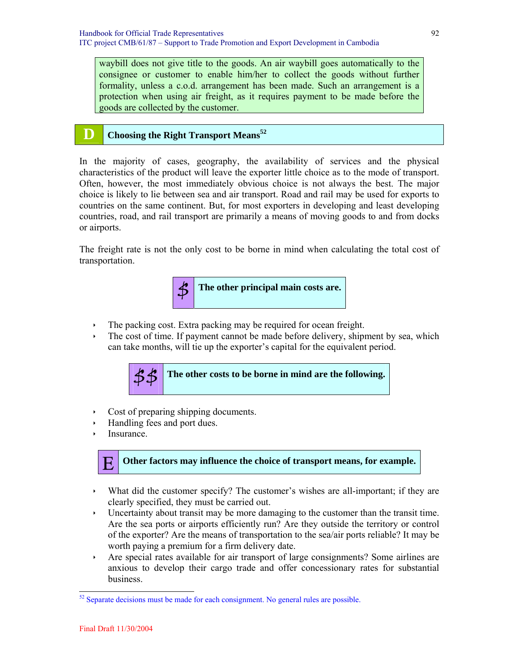waybill does not give title to the goods. An air waybill goes automatically to the consignee or customer to enable him/her to collect the goods without further formality, unless a c.o.d. arrangement has been made. Such an arrangement is a protection when using air freight, as it requires payment to be made before the goods are collected by the customer.

## **D Choosing the Right Transport Means**<sup>52</sup>

In the majority of cases, geography, the availability of services and the physical characteristics of the product will leave the exporter little choice as to the mode of transport. Often, however, the most immediately obvious choice is not always the best. The major choice is likely to lie between sea and air transport. Road and rail may be used for exports to countries on the same continent. But, for most exporters in developing and least developing countries, road, and rail transport are primarily a means of moving goods to and from docks or airports.

The freight rate is not the only cost to be borne in mind when calculating the total cost of transportation.



- $\cdot$  The packing cost. Extra packing may be required for ocean freight.
- $\cdot$  The cost of time. If payment cannot be made before delivery, shipment by sea, which can take months, will tie up the exporter's capital for the equivalent period.



- $\cdot$  Cost of preparing shipping documents.
- Handling fees and port dues.
- Insurance.

## **E** Other factors may influence the choice of transport means, for example.

- $\cdot$  What did the customer specify? The customer's wishes are all-important; if they are clearly specified, they must be carried out.
- $\cdot$  Uncertainty about transit may be more damaging to the customer than the transit time. Are the sea ports or airports efficiently run? Are they outside the territory or control of the exporter? Are the means of transportation to the sea/air ports reliable? It may be worth paying a premium for a firm delivery date.
- $\rightarrow$  Are special rates available for air transport of large consignments? Some airlines are anxious to develop their cargo trade and offer concessionary rates for substantial business.

<sup>&</sup>lt;sup>52</sup> Separate decisions must be made for each consignment. No general rules are possible.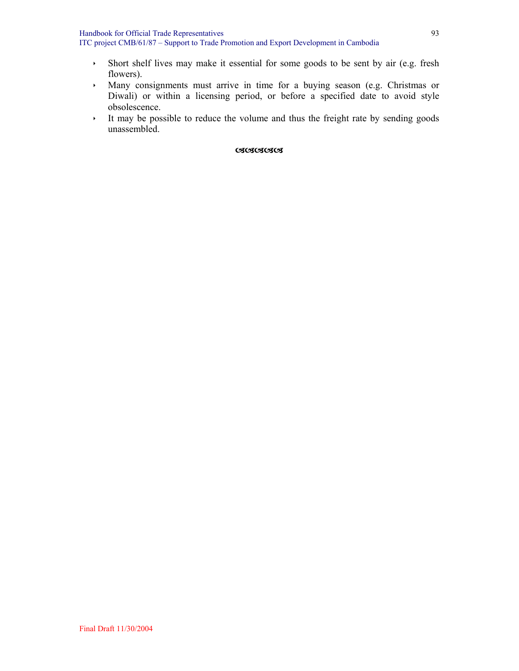- **Short shelf lives may make it essential for some goods to be sent by air (e.g. fresh** flowers).
- Ì Many consignments must arrive in time for a buying season (e.g. Christmas or Diwali) or within a licensing period, or before a specified date to avoid style obsolescence.
- $\cdot$  It may be possible to reduce the volume and thus the freight rate by sending goods unassembled.

#### **OSOSOSOS**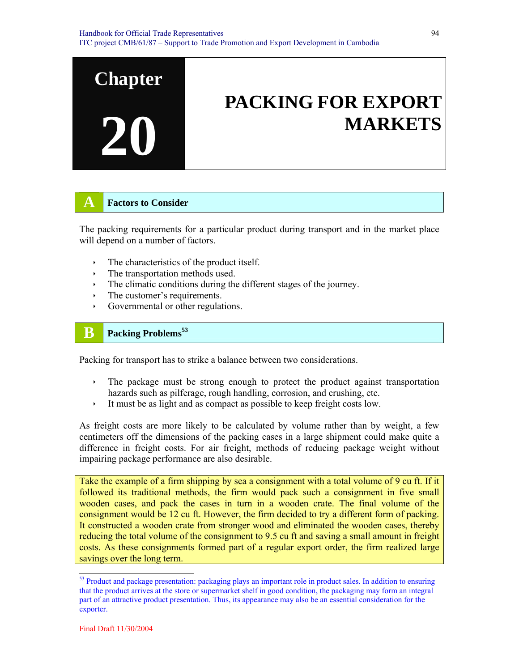

## **A Factors to Consider**

The packing requirements for a particular product during transport and in the market place will depend on a number of factors.

- The characteristics of the product itself.
- $\cdot$  The transportation methods used.
- The climatic conditions during the different stages of the journey.
- $\cdot$  The customer's requirements.
- $\rightarrow$  Governmental or other regulations.

## **B Packing Problems**<sup>53</sup>

Packing for transport has to strike a balance between two considerations.

- $\cdot$  The package must be strong enough to protect the product against transportation hazards such as pilferage, rough handling, corrosion, and crushing, etc.
- It must be as light and as compact as possible to keep freight costs low.

As freight costs are more likely to be calculated by volume rather than by weight, a few centimeters off the dimensions of the packing cases in a large shipment could make quite a difference in freight costs. For air freight, methods of reducing package weight without impairing package performance are also desirable.

Take the example of a firm shipping by sea a consignment with a total volume of 9 cu ft. If it followed its traditional methods, the firm would pack such a consignment in five small wooden cases, and pack the cases in turn in a wooden crate. The final volume of the consignment would be 12 cu ft. However, the firm decided to try a different form of packing. It constructed a wooden crate from stronger wood and eliminated the wooden cases, thereby reducing the total volume of the consignment to 9.5 cu ft and saving a small amount in freight costs. As these consignments formed part of a regular export order, the firm realized large savings over the long term.

<sup>&</sup>lt;sup>53</sup> Product and package presentation: packaging plays an important role in product sales. In addition to ensuring that the product arrives at the store or supermarket shelf in good condition, the packaging may form an integral part of an attractive product presentation. Thus, its appearance may also be an essential consideration for the exporter.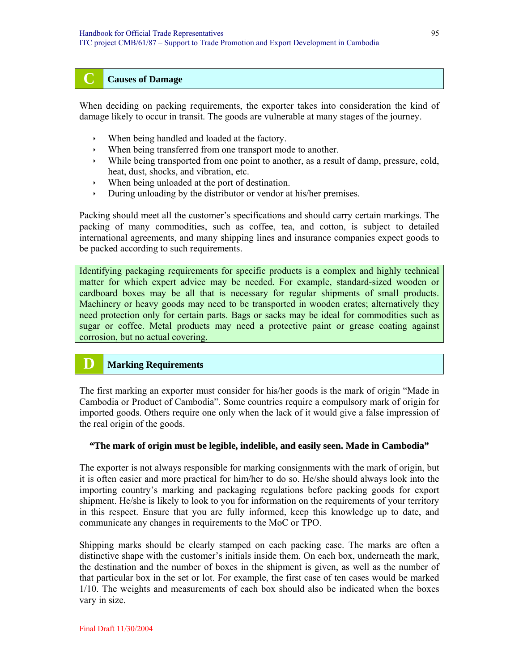## **C Causes of Damage**

When deciding on packing requirements, the exporter takes into consideration the kind of damage likely to occur in transit. The goods are vulnerable at many stages of the journey.

- When being handled and loaded at the factory.
- $\cdot$  When being transferred from one transport mode to another.
- $\cdot$  While being transported from one point to another, as a result of damp, pressure, cold, heat, dust, shocks, and vibration, etc.
- $\cdot$  When being unloaded at the port of destination.
- $\rightarrow$  During unloading by the distributor or vendor at his/her premises.

Packing should meet all the customer's specifications and should carry certain markings. The packing of many commodities, such as coffee, tea, and cotton, is subject to detailed international agreements, and many shipping lines and insurance companies expect goods to be packed according to such requirements.

Identifying packaging requirements for specific products is a complex and highly technical matter for which expert advice may be needed. For example, standard-sized wooden or cardboard boxes may be all that is necessary for regular shipments of small products. Machinery or heavy goods may need to be transported in wooden crates; alternatively they need protection only for certain parts. Bags or sacks may be ideal for commodities such as sugar or coffee. Metal products may need a protective paint or grease coating against corrosion, but no actual covering.

## **D Marking Requirements**

The first marking an exporter must consider for his/her goods is the mark of origin "Made in Cambodia or Product of Cambodia". Some countries require a compulsory mark of origin for imported goods. Others require one only when the lack of it would give a false impression of the real origin of the goods.

#### **"The mark of origin must be legible, indelible, and easily seen. Made in Cambodia"**

The exporter is not always responsible for marking consignments with the mark of origin, but it is often easier and more practical for him/her to do so. He/she should always look into the importing country's marking and packaging regulations before packing goods for export shipment. He/she is likely to look to you for information on the requirements of your territory in this respect. Ensure that you are fully informed, keep this knowledge up to date, and communicate any changes in requirements to the MoC or TPO.

Shipping marks should be clearly stamped on each packing case. The marks are often a distinctive shape with the customer's initials inside them. On each box, underneath the mark, the destination and the number of boxes in the shipment is given, as well as the number of that particular box in the set or lot. For example, the first case of ten cases would be marked 1/10. The weights and measurements of each box should also be indicated when the boxes vary in size.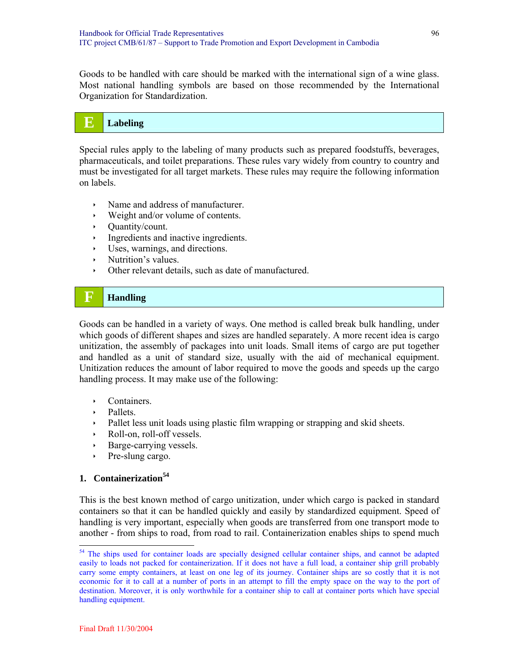Goods to be handled with care should be marked with the international sign of a wine glass. Most national handling symbols are based on those recommended by the International Organization for Standardization.

## **E** Labeling

Special rules apply to the labeling of many products such as prepared foodstuffs, beverages, pharmaceuticals, and toilet preparations. These rules vary widely from country to country and must be investigated for all target markets. These rules may require the following information on labels.

- $\lambda$  Name and address of manufacturer.
- $\rightarrow$  Weight and/or volume of contents.
- $\rightarrow$  Quantity/count.
- ingredients and inactive ingredients.
- Uses, warnings, and directions.
- $\cdot$  Nutrition's values.
- $\rightarrow$  Other relevant details, such as date of manufactured.

## **F Handling**

Goods can be handled in a variety of ways. One method is called break bulk handling, under which goods of different shapes and sizes are handled separately. A more recent idea is cargo unitization, the assembly of packages into unit loads. Small items of cargo are put together and handled as a unit of standard size, usually with the aid of mechanical equipment. Unitization reduces the amount of labor required to move the goods and speeds up the cargo handling process. It may make use of the following:

- $\cdot$  Containers.
- $\triangleright$  Pallets.
- ightharpoonup Pallet less unit loads using plastic film wrapping or strapping and skid sheets.
- $\triangleright$  Roll-on, roll-off vessels.
- Barge-carrying vessels.
- Pre-slung cargo.

## **1. Containerization<sup>54</sup>**

This is the best known method of cargo unitization, under which cargo is packed in standard containers so that it can be handled quickly and easily by standardized equipment. Speed of handling is very important, especially when goods are transferred from one transport mode to another - from ships to road, from road to rail. Containerization enables ships to spend much

 $\overline{a}$ 

<sup>&</sup>lt;sup>54</sup> The ships used for container loads are specially designed cellular container ships, and cannot be adapted easily to loads not packed for containerization. If it does not have a full load, a container ship grill probably carry some empty containers, at least on one leg of its journey. Container ships are so costly that it is not economic for it to call at a number of ports in an attempt to fill the empty space on the way to the port of destination. Moreover, it is only worthwhile for a container ship to call at container ports which have special handling equipment.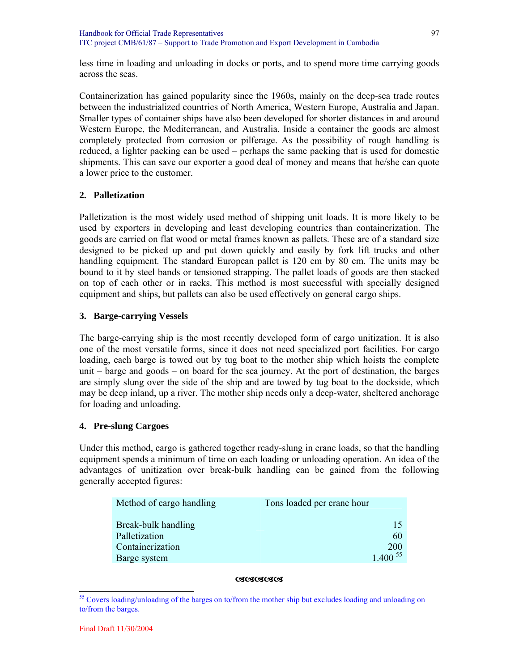less time in loading and unloading in docks or ports, and to spend more time carrying goods across the seas.

Containerization has gained popularity since the 1960s, mainly on the deep-sea trade routes between the industrialized countries of North America, Western Europe, Australia and Japan. Smaller types of container ships have also been developed for shorter distances in and around Western Europe, the Mediterranean, and Australia. Inside a container the goods are almost completely protected from corrosion or pilferage. As the possibility of rough handling is reduced, a lighter packing can be used – perhaps the same packing that is used for domestic shipments. This can save our exporter a good deal of money and means that he/she can quote a lower price to the customer.

## **2. Palletization**

Palletization is the most widely used method of shipping unit loads. It is more likely to be used by exporters in developing and least developing countries than containerization. The goods are carried on flat wood or metal frames known as pallets. These are of a standard size designed to be picked up and put down quickly and easily by fork lift trucks and other handling equipment. The standard European pallet is 120 cm by 80 cm. The units may be bound to it by steel bands or tensioned strapping. The pallet loads of goods are then stacked on top of each other or in racks. This method is most successful with specially designed equipment and ships, but pallets can also be used effectively on general cargo ships.

## **3. Barge-carrying Vessels**

The barge-carrying ship is the most recently developed form of cargo unitization. It is also one of the most versatile forms, since it does not need specialized port facilities. For cargo loading, each barge is towed out by tug boat to the mother ship which hoists the complete unit – barge and goods – on board for the sea journey. At the port of destination, the barges are simply slung over the side of the ship and are towed by tug boat to the dockside, which may be deep inland, up a river. The mother ship needs only a deep-water, sheltered anchorage for loading and unloading.

## **4. Pre-slung Cargoes**

Under this method, cargo is gathered together ready-slung in crane loads, so that the handling equipment spends a minimum of time on each loading or unloading operation. An idea of the advantages of unitization over break-bulk handling can be gained from the following generally accepted figures:

| Method of cargo handling | Tons loaded per crane hour |
|--------------------------|----------------------------|
| Break-bulk handling      | 15                         |
| Palletization            | 60                         |
| Containerization         | 200                        |
| Barge system             | $1,400^{55}$               |

#### DDDDD

<sup>&</sup>lt;sup>55</sup> Covers loading/unloading of the barges on to/from the mother ship but excludes loading and unloading on to/from the barges.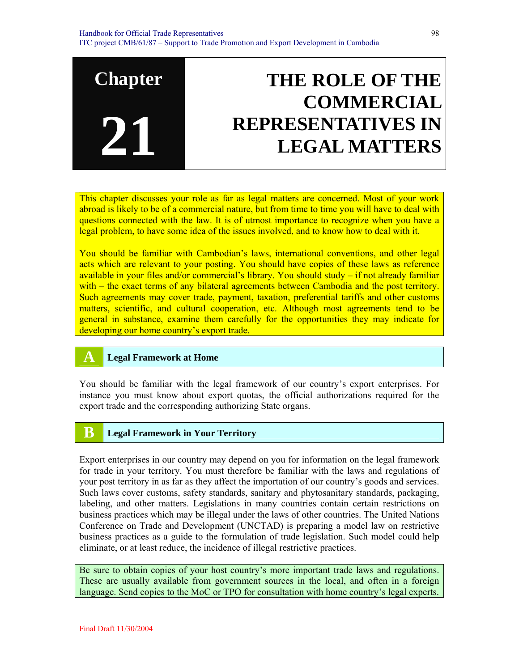## **Chapter 21 THE ROLE OF THE COMMERCIAL REPRESENTATIVES IN LEGAL MATTERS**

This chapter discusses your role as far as legal matters are concerned. Most of your work abroad is likely to be of a commercial nature, but from time to time you will have to deal with questions connected with the law. It is of utmost importance to recognize when you have a legal problem, to have some idea of the issues involved, and to know how to deal with it.

You should be familiar with Cambodian's laws, international conventions, and other legal acts which are relevant to your posting. You should have copies of these laws as reference available in your files and/or commercial's library. You should study – if not already familiar with – the exact terms of any bilateral agreements between Cambodia and the post territory. Such agreements may cover trade, payment, taxation, preferential tariffs and other customs matters, scientific, and cultural cooperation, etc. Although most agreements tend to be general in substance, examine them carefully for the opportunities they may indicate for developing our home country's export trade.

## **A Legal Framework at Home**

You should be familiar with the legal framework of our country's export enterprises. For instance you must know about export quotas, the official authorizations required for the export trade and the corresponding authorizing State organs.

## **B Legal Framework in Your Territory**

Export enterprises in our country may depend on you for information on the legal framework for trade in your territory. You must therefore be familiar with the laws and regulations of your post territory in as far as they affect the importation of our country's goods and services. Such laws cover customs, safety standards, sanitary and phytosanitary standards, packaging, labeling, and other matters. Legislations in many countries contain certain restrictions on business practices which may be illegal under the laws of other countries. The United Nations Conference on Trade and Development (UNCTAD) is preparing a model law on restrictive business practices as a guide to the formulation of trade legislation. Such model could help eliminate, or at least reduce, the incidence of illegal restrictive practices.

Be sure to obtain copies of your host country's more important trade laws and regulations. These are usually available from government sources in the local, and often in a foreign language. Send copies to the MoC or TPO for consultation with home country's legal experts.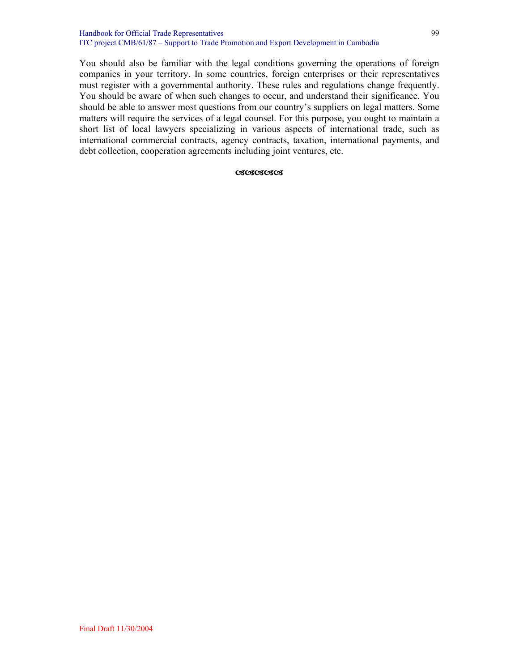#### Handbook for Official Trade Representatives ITC project CMB/61/87 – Support to Trade Promotion and Export Development in Cambodia

You should also be familiar with the legal conditions governing the operations of foreign companies in your territory. In some countries, foreign enterprises or their representatives must register with a governmental authority. These rules and regulations change frequently. You should be aware of when such changes to occur, and understand their significance. You should be able to answer most questions from our country's suppliers on legal matters. Some matters will require the services of a legal counsel. For this purpose, you ought to maintain a short list of local lawyers specializing in various aspects of international trade, such as international commercial contracts, agency contracts, taxation, international payments, and debt collection, cooperation agreements including joint ventures, etc.

#### **CSCSCSCSCS**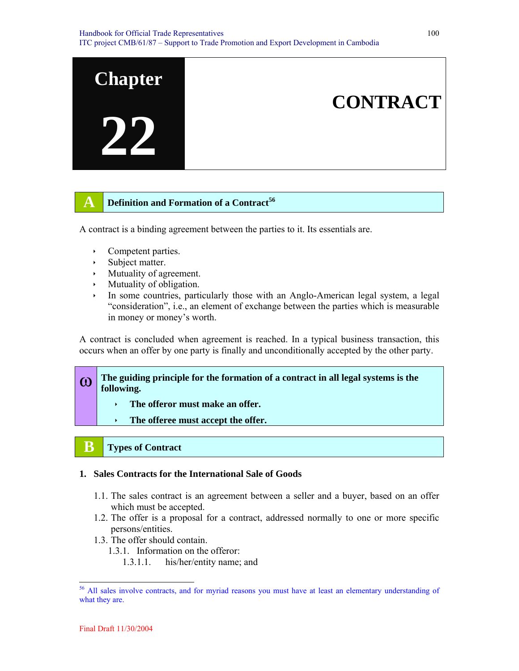

## **A Definition and Formation of a Contract**<sup>56</sup>

A contract is a binding agreement between the parties to it. Its essentials are.

- $\cdot$  Competent parties.
- $\rightarrow$  Subject matter.
- $\rightarrow$  Mutuality of agreement.
- $\cdot$  Mutuality of obligation.
- $\cdot$  In some countries, particularly those with an Anglo-American legal system, a legal "consideration", i.e., an element of exchange between the parties which is measurable in money or money's worth.

A contract is concluded when agreement is reached. In a typical business transaction, this occurs when an offer by one party is finally and unconditionally accepted by the other party.

**(0)** The guiding principle for the formation of a contract in all legal systems is the **following.** 

- $\cdot$  The offeror must make an offer.
- The offeree must accept the offer.

## **B Types of Contract**

## **1. Sales Contracts for the International Sale of Goods**

- 1.1. The sales contract is an agreement between a seller and a buyer, based on an offer which must be accepted.
- 1.2. The offer is a proposal for a contract, addressed normally to one or more specific persons/entities.
- 1.3. The offer should contain.
	- 1.3.1. Information on the offeror:
		- 1.3.1.1. his/her/entity name; and

<sup>&</sup>lt;sup>56</sup> All sales involve contracts, and for myriad reasons you must have at least an elementary understanding of what they are.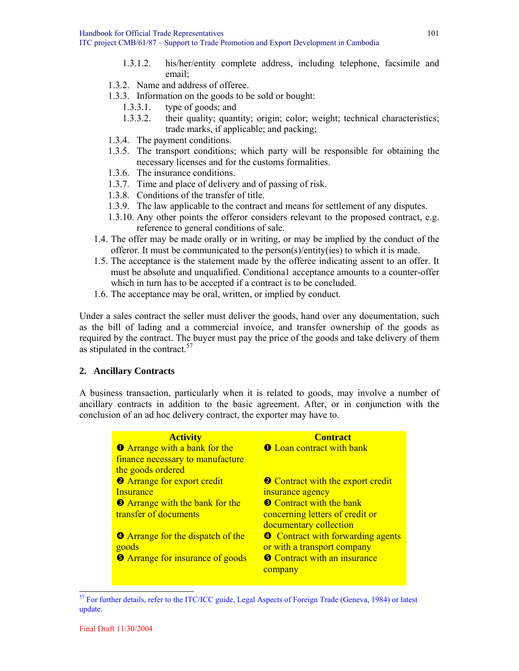- 1.3.1.2. his/her/entity complete address, including telephone, facsimile and email;
- 1.3.2. Name and address of offeree.
- 1.3.3. Information on the goods to be sold or bought:
	- 1.3.3.1. type of goods; and
	- 1.3.3.2. their quality; quantity; origin; color; weight; technical characteristics; trade marks, if applicable; and packing;
- 1.3.4. The payment conditions.
- 1.3.5. The transport conditions; which party will be responsible for obtaining the necessary licenses and for the customs formalities.
- 1.3.6. The insurance conditions.
- 1.3.7. Time and place of delivery and of passing of risk.
- 1.3.8. Conditions of the transfer of title.
- 1.3.9. The law applicable to the contract and means for settlement of any disputes.
- 1.3.10. Any other points the offeror considers relevant to the proposed contract, e.g. reference to general conditions of sale.
- 1.4. The offer may be made orally or in writing, or may be implied by the conduct of the offeror. It must be communicated to the person(s)/entity(ies) to which it is made.
- 1.5. The acceptance is the statement made by the offeree indicating assent to an offer. It must be absolute and unqualified. Conditiona1 acceptance amounts to a counter-offer which in turn has to be accepted if a contract is to be concluded.
- 1.6. The acceptance may be oral, written, or implied by conduct.

Under a sales contract the seller must deliver the goods, hand over any documentation, such as the bill of lading and a commercial invoice, and transfer ownership of the goods as required by the contract. The buyer must pay the price of the goods and take delivery of them as stipulated in the contract.<sup>57</sup>

## **2. Ancillary Contracts**

A business transaction, particularly when it is related to goods, may involve a number of ancillary contracts in addition to the basic agreement. After, or in conjunction with the conclusion of an ad hoc delivery contract, the exporter may have to.

| <b>Activity</b>                          | <b>Contract</b>                          |
|------------------------------------------|------------------------------------------|
| <b>O</b> Arrange with a bank for the     | <b>O</b> Loan contract with bank         |
| finance necessary to manufacture         |                                          |
| the goods ordered                        |                                          |
| <b>2</b> Arrange for export credit       | <b>O</b> Contract with the export credit |
| Insurance                                | insurance agency                         |
| <b>E</b> Arrange with the bank for the   | <b>O</b> Contract with the bank          |
| transfer of documents                    | concerning letters of credit or          |
|                                          | documentary collection                   |
| <b>• Arrange for the dispatch of the</b> | <b>O</b> Contract with forwarding agents |
| goods                                    | or with a transport company              |
| <b>O</b> Arrange for insurance of goods  | <b>O</b> Contract with an insurance      |
|                                          | company                                  |
|                                          |                                          |

<sup>&</sup>lt;sup>57</sup> For further details, refer to the ITC/ICC guide, Legal Aspects of Foreign Trade (Geneva, 1984) or latest update.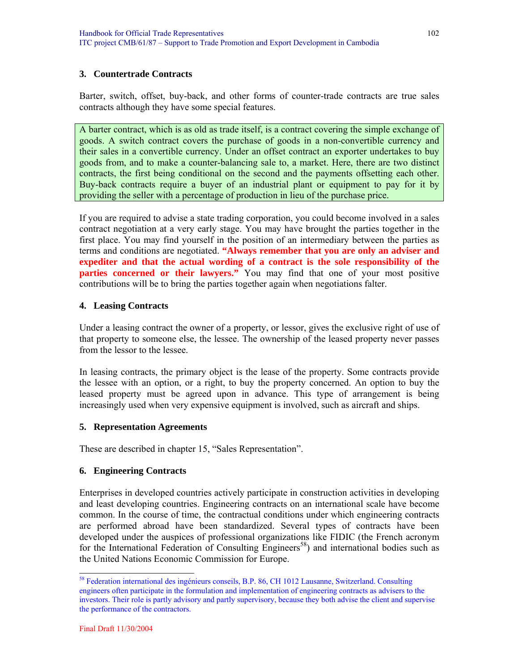#### **3. Countertrade Contracts**

Barter, switch, offset, buy-back, and other forms of counter-trade contracts are true sales contracts although they have some special features.

A barter contract, which is as old as trade itself, is a contract covering the simple exchange of goods. A switch contract covers the purchase of goods in a non-convertible currency and their sales in a convertible currency. Under an offset contract an exporter undertakes to buy goods from, and to make a counter-balancing sale to, a market. Here, there are two distinct contracts, the first being conditional on the second and the payments offsetting each other. Buy-back contracts require a buyer of an industrial plant or equipment to pay for it by providing the seller with a percentage of production in lieu of the purchase price.

If you are required to advise a state trading corporation, you could become involved in a sales contract negotiation at a very early stage. You may have brought the parties together in the first place. You may find yourself in the position of an intermediary between the parties as terms and conditions are negotiated. **"Always remember that you are only an adviser and expediter and that the actual wording of a contract is the sole responsibility of the parties concerned or their lawyers."** You may find that one of your most positive contributions will be to bring the parties together again when negotiations falter.

#### **4. Leasing Contracts**

Under a leasing contract the owner of a property, or lessor, gives the exclusive right of use of that property to someone else, the lessee. The ownership of the leased property never passes from the lessor to the lessee.

In leasing contracts, the primary object is the lease of the property. Some contracts provide the lessee with an option, or a right, to buy the property concerned. An option to buy the leased property must be agreed upon in advance. This type of arrangement is being increasingly used when very expensive equipment is involved, such as aircraft and ships.

#### **5. Representation Agreements**

These are described in chapter 15, "Sales Representation".

#### **6. Engineering Contracts**

Enterprises in developed countries actively participate in construction activities in developing and least developing countries. Engineering contracts on an international scale have become common. In the course of time, the contractual conditions under which engineering contracts are performed abroad have been standardized. Several types of contracts have been developed under the auspices of professional organizations like FIDIC (the French acronym for the International Federation of Consulting Engineers<sup>58</sup>) and international bodies such as the United Nations Economic Commission for Europe.

<sup>58</sup> Federation international des ingénieurs conseils, B.P. 86, CH 1012 Lausanne, Switzerland. Consulting engineers often participate in the formulation and implementation of engineering contracts as advisers to the investors. Their role is partly advisory and partly supervisory, because they both advise the client and supervise the performance of the contractors.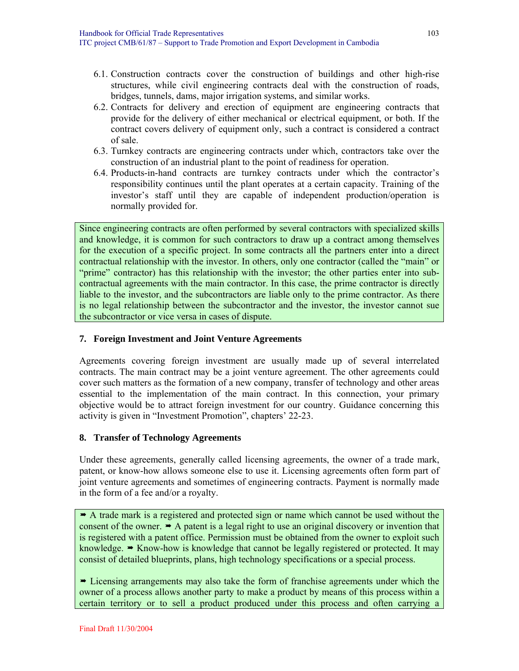- 6.1. Construction contracts cover the construction of buildings and other high-rise structures, while civil engineering contracts deal with the construction of roads, bridges, tunnels, dams, major irrigation systems, and similar works.
- 6.2. Contracts for delivery and erection of equipment are engineering contracts that provide for the delivery of either mechanical or electrical equipment, or both. If the contract covers delivery of equipment only, such a contract is considered a contract of sale.
- 6.3. Turnkey contracts are engineering contracts under which, contractors take over the construction of an industrial plant to the point of readiness for operation.
- 6.4. Products-in-hand contracts are turnkey contracts under which the contractor's responsibility continues until the plant operates at a certain capacity. Training of the investor's staff until they are capable of independent production/operation is normally provided for.

Since engineering contracts are often performed by several contractors with specialized skills and knowledge, it is common for such contractors to draw up a contract among themselves for the execution of a specific project. In some contracts all the partners enter into a direct contractual relationship with the investor. In others, only one contractor (called the "main" or "prime" contractor) has this relationship with the investor; the other parties enter into subcontractual agreements with the main contractor. In this case, the prime contractor is directly liable to the investor, and the subcontractors are liable only to the prime contractor. As there is no legal relationship between the subcontractor and the investor, the investor cannot sue the subcontractor or vice versa in cases of dispute.

#### **7. Foreign Investment and Joint Venture Agreements**

Agreements covering foreign investment are usually made up of several interrelated contracts. The main contract may be a joint venture agreement. The other agreements could cover such matters as the formation of a new company, transfer of technology and other areas essential to the implementation of the main contract. In this connection, your primary objective would be to attract foreign investment for our country. Guidance concerning this activity is given in "Investment Promotion", chapters' 22-23.

#### **8. Transfer of Technology Agreements**

Under these agreements, generally called licensing agreements, the owner of a trade mark, patent, or know-how allows someone else to use it. Licensing agreements often form part of joint venture agreements and sometimes of engineering contracts. Payment is normally made in the form of a fee and/or a royalty.

 $\rightarrow$  A trade mark is a registered and protected sign or name which cannot be used without the consent of the owner.  $\rightarrow$  A patent is a legal right to use an original discovery or invention that is registered with a patent office. Permission must be obtained from the owner to exploit such knowledge.  $\rightarrow$  Know-how is knowledge that cannot be legally registered or protected. It may consist of detailed blueprints, plans, high technology specifications or a special process.

 Licensing arrangements may also take the form of franchise agreements under which the owner of a process allows another party to make a product by means of this process within a certain territory or to sell a product produced under this process and often carrying a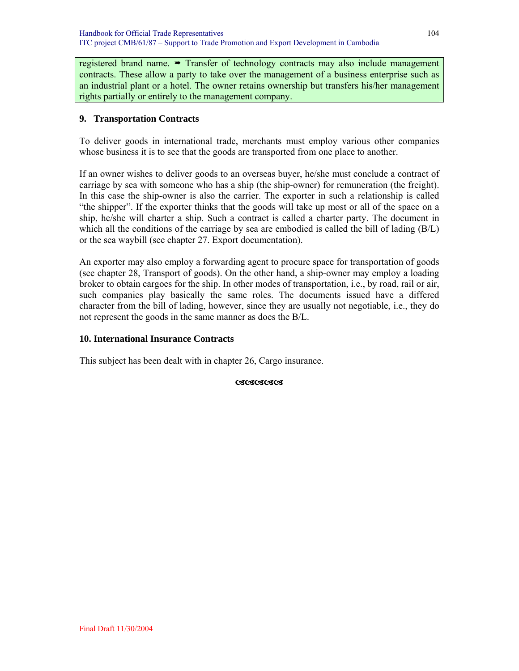registered brand name.  $\rightarrow$  Transfer of technology contracts may also include management contracts. These allow a party to take over the management of a business enterprise such as an industrial plant or a hotel. The owner retains ownership but transfers his/her management rights partially or entirely to the management company.

## **9. Transportation Contracts**

To deliver goods in international trade, merchants must employ various other companies whose business it is to see that the goods are transported from one place to another.

If an owner wishes to deliver goods to an overseas buyer, he/she must conclude a contract of carriage by sea with someone who has a ship (the ship-owner) for remuneration (the freight). In this case the ship-owner is also the carrier. The exporter in such a relationship is called "the shipper". If the exporter thinks that the goods will take up most or all of the space on a ship, he/she will charter a ship. Such a contract is called a charter party. The document in which all the conditions of the carriage by sea are embodied is called the bill of lading (B/L) or the sea waybill (see chapter 27. Export documentation).

An exporter may also employ a forwarding agent to procure space for transportation of goods (see chapter 28, Transport of goods). On the other hand, a ship-owner may employ a loading broker to obtain cargoes for the ship. In other modes of transportation, i.e., by road, rail or air, such companies play basically the same roles. The documents issued have a differed character from the bill of lading, however, since they are usually not negotiable, i.e., they do not represent the goods in the same manner as does the B/L.

#### **10. International Insurance Contracts**

This subject has been dealt with in chapter 26, Cargo insurance.

**OSOSOSOS**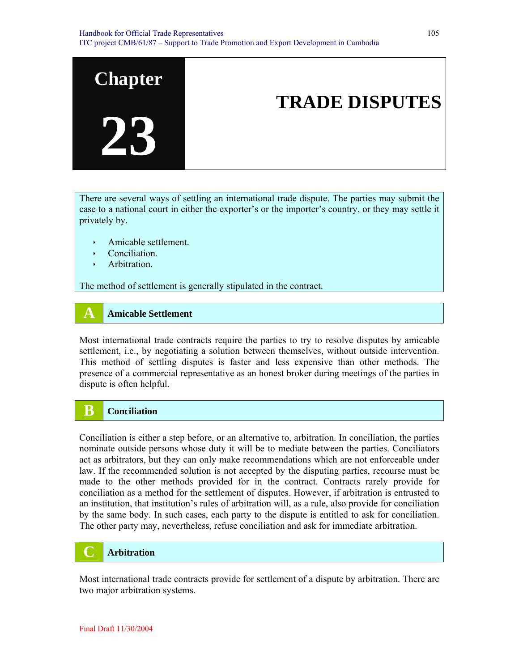

There are several ways of settling an international trade dispute. The parties may submit the case to a national court in either the exporter's or the importer's country, or they may settle it privately by.

- $\rightarrow$  Amicable settlement.
- Conciliation.
- $\rightarrow$  Arbitration.

The method of settlement is generally stipulated in the contract.

#### **A Amicable Settlement**

Most international trade contracts require the parties to try to resolve disputes by amicable settlement, i.e., by negotiating a solution between themselves, without outside intervention. This method of settling disputes is faster and less expensive than other methods. The presence of a commercial representative as an honest broker during meetings of the parties in dispute is often helpful.

## **B Conciliation**

Conciliation is either a step before, or an alternative to, arbitration. In conciliation, the parties nominate outside persons whose duty it will be to mediate between the parties. Conciliators act as arbitrators, but they can only make recommendations which are not enforceable under law. If the recommended solution is not accepted by the disputing parties, recourse must be made to the other methods provided for in the contract. Contracts rarely provide for conciliation as a method for the settlement of disputes. However, if arbitration is entrusted to an institution, that institution's rules of arbitration will, as a rule, also provide for conciliation by the same body. In such cases, each party to the dispute is entitled to ask for conciliation. The other party may, nevertheless, refuse conciliation and ask for immediate arbitration.

## **C Arbitration**

Most international trade contracts provide for settlement of a dispute by arbitration. There are two major arbitration systems.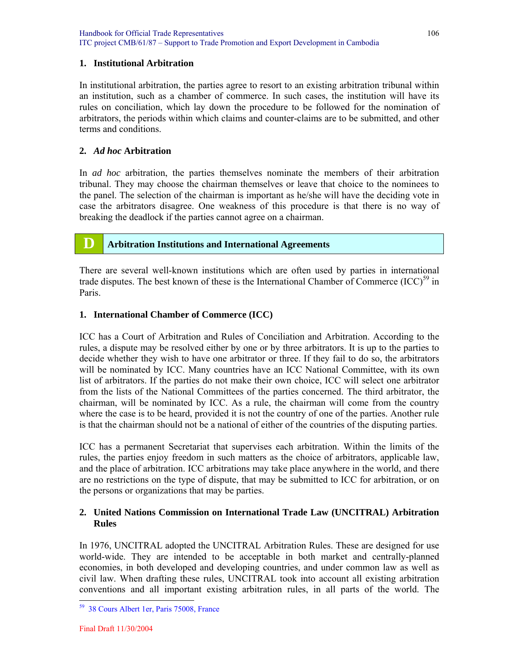#### **1. Institutional Arbitration**

In institutional arbitration, the parties agree to resort to an existing arbitration tribunal within an institution, such as a chamber of commerce. In such cases, the institution will have its rules on conciliation, which lay down the procedure to be followed for the nomination of arbitrators, the periods within which claims and counter-claims are to be submitted, and other terms and conditions.

#### **2.** *Ad hoc* **Arbitration**

In *ad hoc* arbitration, the parties themselves nominate the members of their arbitration tribunal. They may choose the chairman themselves or leave that choice to the nominees to the panel. The selection of the chairman is important as he/she will have the deciding vote in case the arbitrators disagree. One weakness of this procedure is that there is no way of breaking the deadlock if the parties cannot agree on a chairman.

## **D Arbitration Institutions and International Agreements**

There are several well-known institutions which are often used by parties in international trade disputes. The best known of these is the International Chamber of Commerce  $(ICC)^{59}$  in Paris.

#### **1. International Chamber of Commerce (ICC)**

ICC has a Court of Arbitration and Rules of Conciliation and Arbitration. According to the rules, a dispute may be resolved either by one or by three arbitrators. It is up to the parties to decide whether they wish to have one arbitrator or three. If they fail to do so, the arbitrators will be nominated by ICC. Many countries have an ICC National Committee, with its own list of arbitrators. If the parties do not make their own choice, ICC will select one arbitrator from the lists of the National Committees of the parties concerned. The third arbitrator, the chairman, will be nominated by ICC. As a rule, the chairman will come from the country where the case is to be heard, provided it is not the country of one of the parties. Another rule is that the chairman should not be a national of either of the countries of the disputing parties.

ICC has a permanent Secretariat that supervises each arbitration. Within the limits of the rules, the parties enjoy freedom in such matters as the choice of arbitrators, applicable law, and the place of arbitration. ICC arbitrations may take place anywhere in the world, and there are no restrictions on the type of dispute, that may be submitted to ICC for arbitration, or on the persons or organizations that may be parties.

### **2. United Nations Commission on International Trade Law (UNCITRAL) Arbitration Rules**

In 1976, UNCITRAL adopted the UNCITRAL Arbitration Rules. These are designed for use world-wide. They are intended to be acceptable in both market and centrally-planned economies, in both developed and developing countries, and under common law as well as civil law. When drafting these rules, UNCITRAL took into account all existing arbitration conventions and all important existing arbitration rules, in all parts of the world. The

<sup>59 38</sup> Cours Albert 1er, Paris 75008, France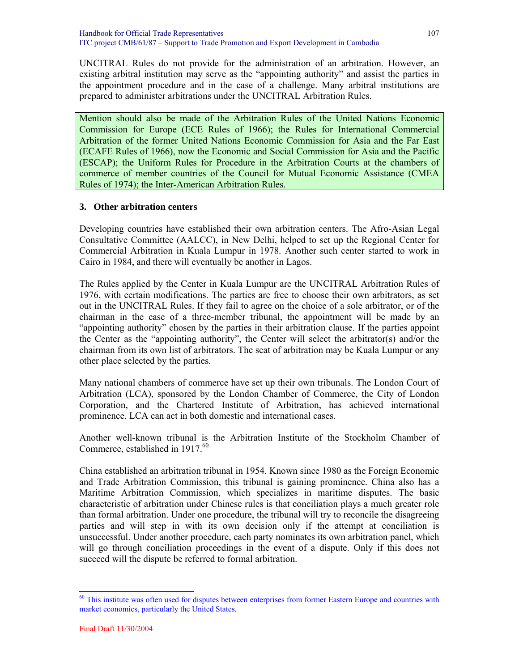UNCITRAL Rules do not provide for the administration of an arbitration. However, an existing arbitral institution may serve as the "appointing authority" and assist the parties in the appointment procedure and in the case of a challenge. Many arbitral institutions are prepared to administer arbitrations under the UNCITRAL Arbitration Rules.

Mention should also be made of the Arbitration Rules of the United Nations Economic Commission for Europe (ECE Rules of 1966); the Rules for International Commercial Arbitration of the former United Nations Economic Commission for Asia and the Far East (ECAFE Rules of 1966), now the Economic and Social Commission for Asia and the Pacific (ESCAP); the Uniform Rules for Procedure in the Arbitration Courts at the chambers of commerce of member countries of the Council for Mutual Economic Assistance (CMEA Rules of 1974); the Inter-American Arbitration Rules.

#### **3. Other arbitration centers**

Developing countries have established their own arbitration centers. The Afro-Asian Legal Consultative Committee (AALCC), in New Delhi, helped to set up the Regional Center for Commercial Arbitration in Kuala Lumpur in 1978. Another such center started to work in Cairo in 1984, and there will eventually be another in Lagos.

The Rules applied by the Center in Kuala Lumpur are the UNCITRAL Arbitration Rules of 1976, with certain modifications. The parties are free to choose their own arbitrators, as set out in the UNCITRAL Rules. If they fail to agree on the choice of a sole arbitrator, or of the chairman in the case of a three-member tribunal, the appointment will be made by an "appointing authority" chosen by the parties in their arbitration clause. If the parties appoint the Center as the "appointing authority", the Center will select the arbitrator(s) and/or the chairman from its own list of arbitrators. The seat of arbitration may be Kuala Lumpur or any other place selected by the parties.

Many national chambers of commerce have set up their own tribunals. The London Court of Arbitration (LCA), sponsored by the London Chamber of Commerce, the City of London Corporation, and the Chartered Institute of Arbitration, has achieved international prominence. LCA can act in both domestic and international cases.

Another well-known tribunal is the Arbitration Institute of the Stockholm Chamber of Commerce, established in 1917.<sup>60</sup>

China established an arbitration tribunal in 1954. Known since 1980 as the Foreign Economic and Trade Arbitration Commission, this tribunal is gaining prominence. China also has a Maritime Arbitration Commission, which specializes in maritime disputes. The basic characteristic of arbitration under Chinese rules is that conciliation plays a much greater role than formal arbitration. Under one procedure, the tribunal will try to reconcile the disagreeing parties and will step in with its own decision only if the attempt at conciliation is unsuccessful. Under another procedure, each party nominates its own arbitration panel, which will go through conciliation proceedings in the event of a dispute. Only if this does not succeed will the dispute be referred to formal arbitration.

<sup>&</sup>lt;sup>60</sup> This institute was often used for disputes between enterprises from former Eastern Europe and countries with market economies, particularly the United States.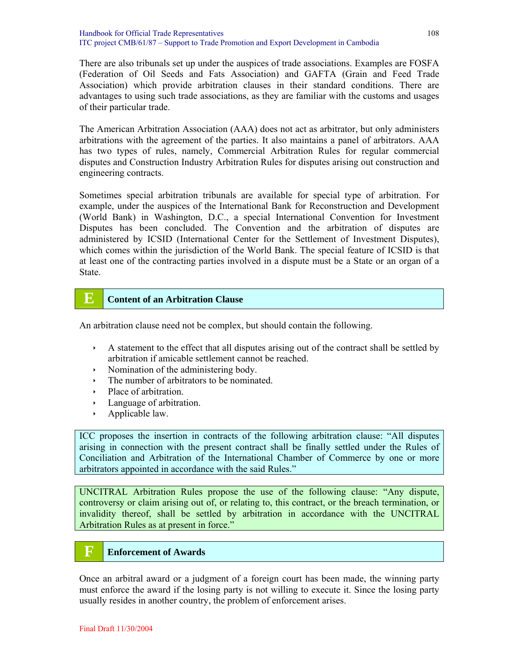There are also tribunals set up under the auspices of trade associations. Examples are FOSFA (Federation of Oil Seeds and Fats Association) and GAFTA (Grain and Feed Trade Association) which provide arbitration clauses in their standard conditions. There are advantages to using such trade associations, as they are familiar with the customs and usages of their particular trade.

The American Arbitration Association (AAA) does not act as arbitrator, but only administers arbitrations with the agreement of the parties. It also maintains a panel of arbitrators. AAA has two types of rules, namely, Commercial Arbitration Rules for regular commercial disputes and Construction Industry Arbitration Rules for disputes arising out construction and engineering contracts.

Sometimes special arbitration tribunals are available for special type of arbitration. For example, under the auspices of the International Bank for Reconstruction and Development (World Bank) in Washington, D.C., a special International Convention for Investment Disputes has been concluded. The Convention and the arbitration of disputes are administered by ICSID (International Center for the Settlement of Investment Disputes), which comes within the jurisdiction of the World Bank. The special feature of ICSID is that at least one of the contracting parties involved in a dispute must be a State or an organ of a State.

## **E Content of an Arbitration Clause**

An arbitration clause need not be complex, but should contain the following.

- $\lambda$  A statement to the effect that all disputes arising out of the contract shall be settled by arbitration if amicable settlement cannot be reached.
- $\cdot$  Nomination of the administering body.
- $\cdot$  The number of arbitrators to be nominated.
- Place of arbitration.
- $\cdot$  Language of arbitration.
- $\rightarrow$  Applicable law.

ICC proposes the insertion in contracts of the following arbitration clause: "All disputes arising in connection with the present contract shall be finally settled under the Rules of Conciliation and Arbitration of the International Chamber of Commerce by one or more arbitrators appointed in accordance with the said Rules."

UNCITRAL Arbitration Rules propose the use of the following clause: "Any dispute, controversy or claim arising out of, or relating to, this contract, or the breach termination, or invalidity thereof, shall be settled by arbitration in accordance with the UNCITRAL Arbitration Rules as at present in force."

## **F Enforcement of Awards**

Once an arbitral award or a judgment of a foreign court has been made, the winning party must enforce the award if the losing party is not willing to execute it. Since the losing party usually resides in another country, the problem of enforcement arises.

108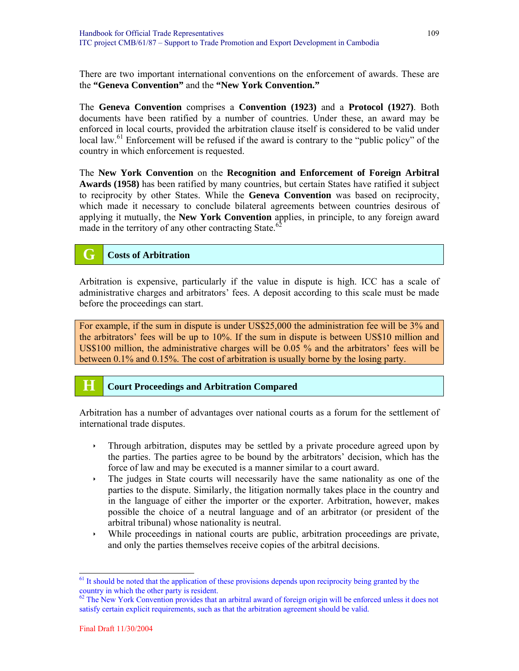There are two important international conventions on the enforcement of awards. These are the **"Geneva Convention"** and the **"New York Convention."**

The **Geneva Convention** comprises a **Convention (1923)** and a **Protocol (1927)**. Both documents have been ratified by a number of countries. Under these, an award may be enforced in local courts, provided the arbitration clause itself is considered to be valid under local law.<sup>61</sup> Enforcement will be refused if the award is contrary to the "public policy" of the country in which enforcement is requested.

The **New York Convention** on the **Recognition and Enforcement of Foreign Arbitral Awards (1958)** has been ratified by many countries, but certain States have ratified it subject to reciprocity by other States. While the **Geneva Convention** was based on reciprocity, which made it necessary to conclude bilateral agreements between countries desirous of applying it mutually, the **New York Convention** applies, in principle, to any foreign award made in the territory of any other contracting State.<sup>6</sup>

# **G Costs of Arbitration**

Arbitration is expensive, particularly if the value in dispute is high. ICC has a scale of administrative charges and arbitrators' fees. A deposit according to this scale must be made before the proceedings can start.

For example, if the sum in dispute is under US\$25,000 the administration fee will be 3% and the arbitrators' fees will be up to 10%. If the sum in dispute is between US\$10 million and US\$100 million, the administrative charges will be 0.05 % and the arbitrators' fees will be between 0.1% and 0.15%. The cost of arbitration is usually borne by the losing party.

#### **H Court Proceedings and Arbitration Compared**

Arbitration has a number of advantages over national courts as a forum for the settlement of international trade disputes.

- Internal arbitration, disputes may be settled by a private procedure agreed upon by the parties. The parties agree to be bound by the arbitrators' decision, which has the force of law and may be executed is a manner similar to a court award.
- $\cdot$  The judges in State courts will necessarily have the same nationality as one of the parties to the dispute. Similarly, the litigation normally takes place in the country and in the language of either the importer or the exporter. Arbitration, however, makes possible the choice of a neutral language and of an arbitrator (or president of the arbitral tribunal) whose nationality is neutral.
- $\cdot$  While proceedings in national courts are public, arbitration proceedings are private, and only the parties themselves receive copies of the arbitral decisions.

l

<sup>&</sup>lt;sup>61</sup> It should be noted that the application of these provisions depends upon reciprocity being granted by the country in which the other party is resident.

 $62$  The New York Convention provides that an arbitral award of foreign origin will be enforced unless it does not satisfy certain explicit requirements, such as that the arbitration agreement should be valid.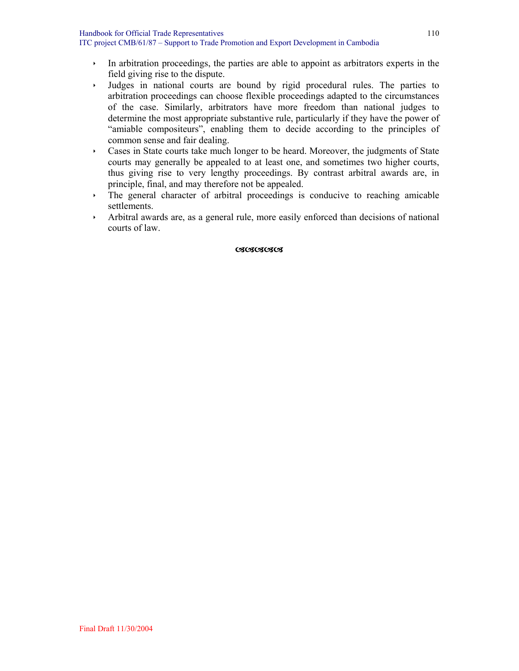- $\cdot$  In arbitration proceedings, the parties are able to appoint as arbitrators experts in the field giving rise to the dispute.
- Iudges in national courts are bound by rigid procedural rules. The parties to arbitration proceedings can choose flexible proceedings adapted to the circumstances of the case. Similarly, arbitrators have more freedom than national judges to determine the most appropriate substantive rule, particularly if they have the power of "amiable compositeurs", enabling them to decide according to the principles of common sense and fair dealing.
- is Cases in State courts take much longer to be heard. Moreover, the judgments of State courts may generally be appealed to at least one, and sometimes two higher courts, thus giving rise to very lengthy proceedings. By contrast arbitral awards are, in principle, final, and may therefore not be appealed.
- $\rightarrow$  The general character of arbitral proceedings is conducive to reaching amicable settlements.
- $\rightarrow$  Arbitral awards are, as a general rule, more easily enforced than decisions of national courts of law.

#### **CACACACACA**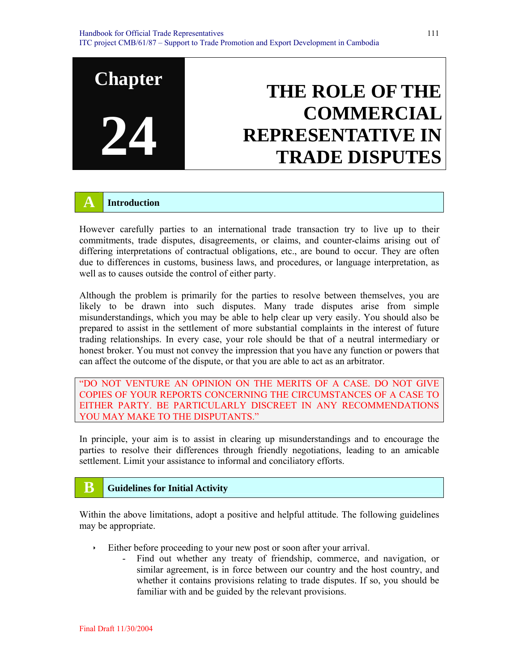# **Chapter 24 THE ROLE OF THE COMMERCIAL REPRESENTATIVE IN TRADE DISPUTES**

## **A Introduction**

However carefully parties to an international trade transaction try to live up to their commitments, trade disputes, disagreements, or claims, and counter-claims arising out of differing interpretations of contractual obligations, etc., are bound to occur. They are often due to differences in customs, business laws, and procedures, or language interpretation, as well as to causes outside the control of either party.

Although the problem is primarily for the parties to resolve between themselves, you are likely to be drawn into such disputes. Many trade disputes arise from simple misunderstandings, which you may be able to help clear up very easily. You should also be prepared to assist in the settlement of more substantial complaints in the interest of future trading relationships. In every case, your role should be that of a neutral intermediary or honest broker. You must not convey the impression that you have any function or powers that can affect the outcome of the dispute, or that you are able to act as an arbitrator.

"DO NOT VENTURE AN OPINION ON THE MERITS OF A CASE. DO NOT GIVE COPIES OF YOUR REPORTS CONCERNING THE CIRCUMSTANCES OF A CASE TO EITHER PARTY. BE PARTICULARLY DISCREET IN ANY RECOMMENDATIONS YOU MAY MAKE TO THE DISPUTANTS."

In principle, your aim is to assist in clearing up misunderstandings and to encourage the parties to resolve their differences through friendly negotiations, leading to an amicable settlement. Limit your assistance to informal and conciliatory efforts.

# **B Guidelines for Initial Activity**

Within the above limitations, adopt a positive and helpful attitude. The following guidelines may be appropriate.

- $\cdot$  Either before proceeding to your new post or soon after your arrival.
	- Find out whether any treaty of friendship, commerce, and navigation, or similar agreement, is in force between our country and the host country, and whether it contains provisions relating to trade disputes. If so, you should be familiar with and be guided by the relevant provisions.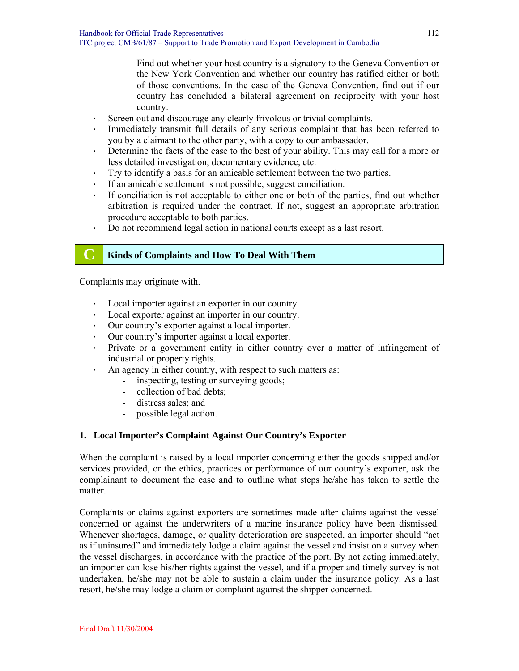Handbook for Official Trade Representatives ITC project CMB/61/87 – Support to Trade Promotion and Export Development in Cambodia

- Find out whether your host country is a signatory to the Geneva Convention or the New York Convention and whether our country has ratified either or both of those conventions. In the case of the Geneva Convention, find out if our country has concluded a bilateral agreement on reciprocity with your host country.
- $\triangleright$  Screen out and discourage any clearly frivolous or trivial complaints.
- Immediately transmit full details of any serious complaint that has been referred to you by a claimant to the other party, with a copy to our ambassador.
- $\rightarrow$  Determine the facts of the case to the best of your ability. This may call for a more or less detailed investigation, documentary evidence, etc.
- $\cdot$  Try to identify a basis for an amicable settlement between the two parties.
- $\cdot$  If an amicable settlement is not possible, suggest conciliation.
- If conciliation is not acceptable to either one or both of the parties, find out whether arbitration is required under the contract. If not, suggest an appropriate arbitration procedure acceptable to both parties.
- ightharpoonup Do not recommend legal action in national courts except as a last resort.

#### **C Kinds of Complaints and How To Deal With Them**

Complaints may originate with.

- $\rightarrow$  Local importer against an exporter in our country.
- $\rightarrow$  Local exporter against an importer in our country.
- Ì Our country's exporter against a local importer.
- Ì Our country's importer against a local exporter.
- Ì Private or a government entity in either country over a matter of infringement of industrial or property rights.
- $\lambda$  An agency in either country, with respect to such matters as:
	- inspecting, testing or surveying goods;
	- collection of bad debts;
	- distress sales; and
	- possible legal action.

#### **1. Local Importer's Complaint Against Our Country's Exporter**

When the complaint is raised by a local importer concerning either the goods shipped and/or services provided, or the ethics, practices or performance of our country's exporter, ask the complainant to document the case and to outline what steps he/she has taken to settle the matter.

Complaints or claims against exporters are sometimes made after claims against the vessel concerned or against the underwriters of a marine insurance policy have been dismissed. Whenever shortages, damage, or quality deterioration are suspected, an importer should "act as if uninsured" and immediately lodge a claim against the vessel and insist on a survey when the vessel discharges, in accordance with the practice of the port. By not acting immediately, an importer can lose his/her rights against the vessel, and if a proper and timely survey is not undertaken, he/she may not be able to sustain a claim under the insurance policy. As a last resort, he/she may lodge a claim or complaint against the shipper concerned.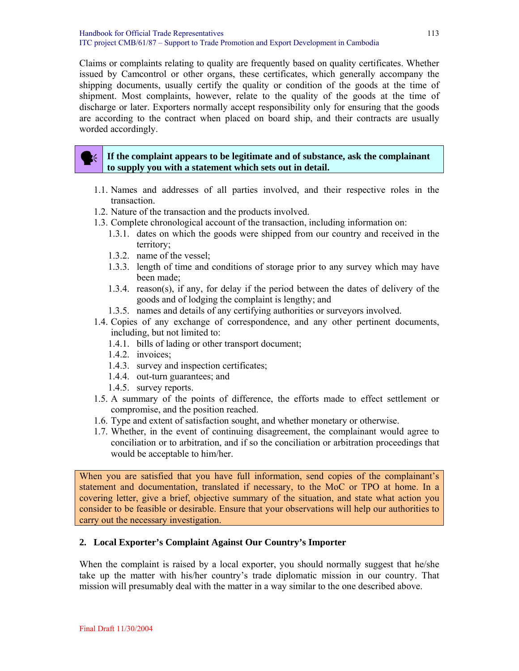Claims or complaints relating to quality are frequently based on quality certificates. Whether issued by Camcontrol or other organs, these certificates, which generally accompany the shipping documents, usually certify the quality or condition of the goods at the time of shipment. Most complaints, however, relate to the quality of the goods at the time of discharge or later. Exporters normally accept responsibility only for ensuring that the goods are according to the contract when placed on board ship, and their contracts are usually worded accordingly.

#### If the complaint appears to be legitimate and of substance, ask the complainant **to supply you with a statement which sets out in detail.**

- 1.1. Names and addresses of all parties involved, and their respective roles in the transaction.
- 1.2. Nature of the transaction and the products involved.
- 1.3. Complete chronological account of the transaction, including information on:
	- 1.3.1. dates on which the goods were shipped from our country and received in the territory;
	- 1.3.2. name of the vessel;
	- 1.3.3. length of time and conditions of storage prior to any survey which may have been made;
	- 1.3.4. reason(s), if any, for delay if the period between the dates of delivery of the goods and of lodging the complaint is lengthy; and
	- 1.3.5. names and details of any certifying authorities or surveyors involved.
- 1.4. Copies of any exchange of correspondence, and any other pertinent documents, including, but not limited to:
	- 1.4.1. bills of lading or other transport document;
	- 1.4.2. invoices;
	- 1.4.3. survey and inspection certificates;
	- 1.4.4. out-turn guarantees; and
	- 1.4.5. survey reports.
- 1.5. A summary of the points of difference, the efforts made to effect settlement or compromise, and the position reached.
- 1.6. Type and extent of satisfaction sought, and whether monetary or otherwise.
- 1.7. Whether, in the event of continuing disagreement, the complainant would agree to conciliation or to arbitration, and if so the conciliation or arbitration proceedings that would be acceptable to him/her.

When you are satisfied that you have full information, send copies of the complainant's statement and documentation, translated if necessary, to the MoC or TPO at home. In a covering letter, give a brief, objective summary of the situation, and state what action you consider to be feasible or desirable. Ensure that your observations will help our authorities to carry out the necessary investigation.

#### **2. Local Exporter's Complaint Against Our Country's Importer**

When the complaint is raised by a local exporter, you should normally suggest that he/she take up the matter with his/her country's trade diplomatic mission in our country. That mission will presumably deal with the matter in a way similar to the one described above.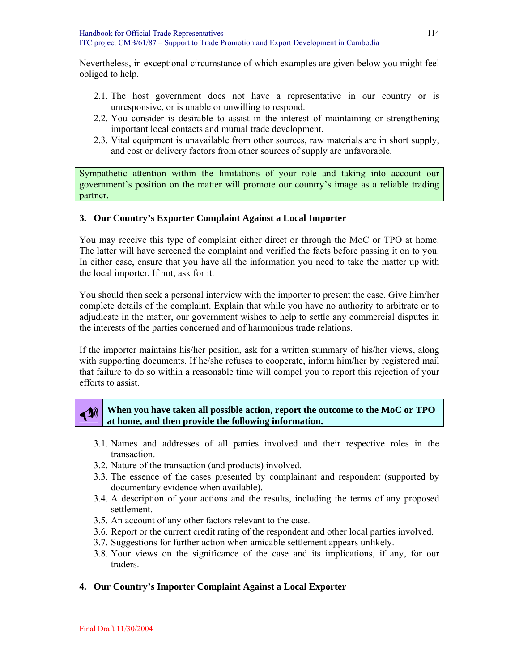Nevertheless, in exceptional circumstance of which examples are given below you might feel obliged to help.

- 2.1. The host government does not have a representative in our country or is unresponsive, or is unable or unwilling to respond.
- 2.2. You consider is desirable to assist in the interest of maintaining or strengthening important local contacts and mutual trade development.
- 2.3. Vital equipment is unavailable from other sources, raw materials are in short supply, and cost or delivery factors from other sources of supply are unfavorable.

Sympathetic attention within the limitations of your role and taking into account our government's position on the matter will promote our country's image as a reliable trading partner.

#### **3. Our Country's Exporter Complaint Against a Local Importer**

You may receive this type of complaint either direct or through the MoC or TPO at home. The latter will have screened the complaint and verified the facts before passing it on to you. In either case, ensure that you have all the information you need to take the matter up with the local importer. If not, ask for it.

You should then seek a personal interview with the importer to present the case. Give him/her complete details of the complaint. Explain that while you have no authority to arbitrate or to adjudicate in the matter, our government wishes to help to settle any commercial disputes in the interests of the parties concerned and of harmonious trade relations.

If the importer maintains his/her position, ask for a written summary of his/her views, along with supporting documents. If he/she refuses to cooperate, inform him/her by registered mail that failure to do so within a reasonable time will compel you to report this rejection of your efforts to assist.

#### When you have taken all possible action, report the outcome to the MoC or TPO **at home, and then provide the following information.**

- 3.1. Names and addresses of all parties involved and their respective roles in the transaction.
- 3.2. Nature of the transaction (and products) involved.
- 3.3. The essence of the cases presented by complainant and respondent (supported by documentary evidence when available).
- 3.4. A description of your actions and the results, including the terms of any proposed settlement.
- 3.5. An account of any other factors relevant to the case.
- 3.6. Report or the current credit rating of the respondent and other local parties involved.
- 3.7. Suggestions for further action when amicable settlement appears unlikely.
- 3.8. Your views on the significance of the case and its implications, if any, for our traders.

#### **4. Our Country's Importer Complaint Against a Local Exporter**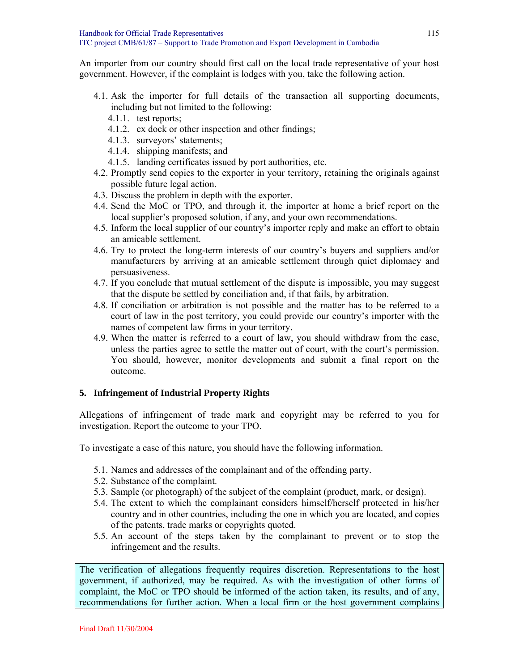An importer from our country should first call on the local trade representative of your host government. However, if the complaint is lodges with you, take the following action.

- 4.1. Ask the importer for full details of the transaction all supporting documents, including but not limited to the following:
	- 4.1.1. test reports;
	- 4.1.2. ex dock or other inspection and other findings;
	- 4.1.3. surveyors' statements;
	- 4.1.4. shipping manifests; and
	- 4.1.5. landing certificates issued by port authorities, etc.
- 4.2. Promptly send copies to the exporter in your territory, retaining the originals against possible future legal action.
- 4.3. Discuss the problem in depth with the exporter.
- 4.4. Send the MoC or TPO, and through it, the importer at home a brief report on the local supplier's proposed solution, if any, and your own recommendations.
- 4.5. Inform the local supplier of our country's importer reply and make an effort to obtain an amicable settlement.
- 4.6. Try to protect the long-term interests of our country's buyers and suppliers and/or manufacturers by arriving at an amicable settlement through quiet diplomacy and persuasiveness.
- 4.7. If you conclude that mutual settlement of the dispute is impossible, you may suggest that the dispute be settled by conciliation and, if that fails, by arbitration.
- 4.8. If conciliation or arbitration is not possible and the matter has to be referred to a court of law in the post territory, you could provide our country's importer with the names of competent law firms in your territory.
- 4.9. When the matter is referred to a court of law, you should withdraw from the case, unless the parties agree to settle the matter out of court, with the court's permission. You should, however, monitor developments and submit a final report on the outcome.

#### **5. Infringement of Industrial Property Rights**

Allegations of infringement of trade mark and copyright may be referred to you for investigation. Report the outcome to your TPO.

To investigate a case of this nature, you should have the following information.

- 5.1. Names and addresses of the complainant and of the offending party.
- 5.2. Substance of the complaint.
- 5.3. Sample (or photograph) of the subject of the complaint (product, mark, or design).
- 5.4. The extent to which the complainant considers himself/herself protected in his/her country and in other countries, including the one in which you are located, and copies of the patents, trade marks or copyrights quoted.
- 5.5. An account of the steps taken by the complainant to prevent or to stop the infringement and the results.

The verification of allegations frequently requires discretion. Representations to the host government, if authorized, may be required. As with the investigation of other forms of complaint, the MoC or TPO should be informed of the action taken, its results, and of any, recommendations for further action. When a local firm or the host government complains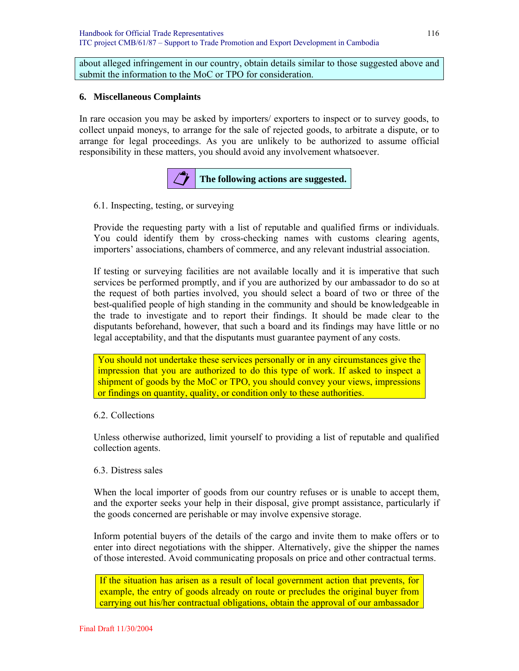about alleged infringement in our country, obtain details similar to those suggested above and submit the information to the MoC or TPO for consideration.

#### **6. Miscellaneous Complaints**

In rare occasion you may be asked by importers/ exporters to inspect or to survey goods, to collect unpaid moneys, to arrange for the sale of rejected goods, to arbitrate a dispute, or to arrange for legal proceedings. As you are unlikely to be authorized to assume official responsibility in these matters, you should avoid any involvement whatsoever.



6.1. Inspecting, testing, or surveying

Provide the requesting party with a list of reputable and qualified firms or individuals. You could identify them by cross-checking names with customs clearing agents, importers' associations, chambers of commerce, and any relevant industrial association.

If testing or surveying facilities are not available locally and it is imperative that such services be performed promptly, and if you are authorized by our ambassador to do so at the request of both parties involved, you should select a board of two or three of the best-qualified people of high standing in the community and should be knowledgeable in the trade to investigate and to report their findings. It should be made clear to the disputants beforehand, however, that such a board and its findings may have little or no legal acceptability, and that the disputants must guarantee payment of any costs.

You should not undertake these services personally or in any circumstances give the impression that you are authorized to do this type of work. If asked to inspect a shipment of goods by the MoC or TPO, you should convey your views, impressions or findings on quantity, quality, or condition only to these authorities.

#### 6.2. Collections

Unless otherwise authorized, limit yourself to providing a list of reputable and qualified collection agents.

#### 6.3. Distress sales

When the local importer of goods from our country refuses or is unable to accept them, and the exporter seeks your help in their disposal, give prompt assistance, particularly if the goods concerned are perishable or may involve expensive storage.

Inform potential buyers of the details of the cargo and invite them to make offers or to enter into direct negotiations with the shipper. Alternatively, give the shipper the names of those interested. Avoid communicating proposals on price and other contractual terms.

If the situation has arisen as a result of local government action that prevents, for example, the entry of goods already on route or precludes the original buyer from carrying out his/her contractual obligations, obtain the approval of our ambassador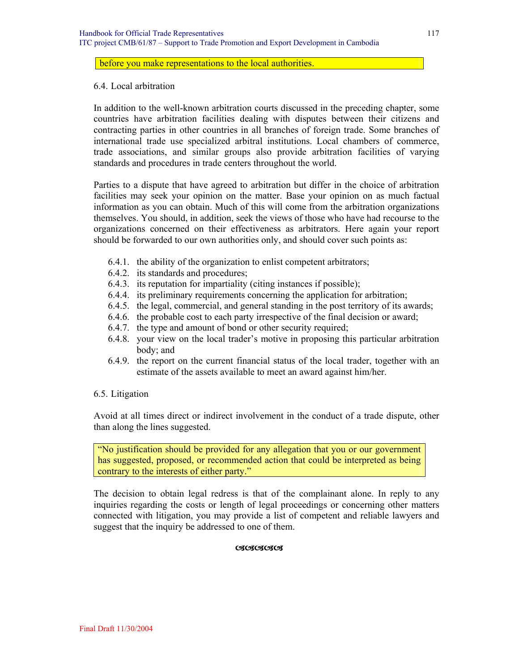#### before you make representations to the local authorities.

#### 6.4. Local arbitration

In addition to the well-known arbitration courts discussed in the preceding chapter, some countries have arbitration facilities dealing with disputes between their citizens and contracting parties in other countries in all branches of foreign trade. Some branches of international trade use specialized arbitral institutions. Local chambers of commerce, trade associations, and similar groups also provide arbitration facilities of varying standards and procedures in trade centers throughout the world.

Parties to a dispute that have agreed to arbitration but differ in the choice of arbitration facilities may seek your opinion on the matter. Base your opinion on as much factual information as you can obtain. Much of this will come from the arbitration organizations themselves. You should, in addition, seek the views of those who have had recourse to the organizations concerned on their effectiveness as arbitrators. Here again your report should be forwarded to our own authorities only, and should cover such points as:

- 6.4.1. the ability of the organization to enlist competent arbitrators;
- 6.4.2. its standards and procedures;
- 6.4.3. its reputation for impartiality (citing instances if possible);
- 6.4.4. its preliminary requirements concerning the application for arbitration;
- 6.4.5. the legal, commercial, and general standing in the post territory of its awards;
- 6.4.6. the probable cost to each party irrespective of the final decision or award;
- 6.4.7. the type and amount of bond or other security required;
- 6.4.8. your view on the local trader's motive in proposing this particular arbitration body; and
- 6.4.9. the report on the current financial status of the local trader, together with an estimate of the assets available to meet an award against him/her.

#### 6.5. Litigation

Avoid at all times direct or indirect involvement in the conduct of a trade dispute, other than along the lines suggested.

"No justification should be provided for any allegation that you or our government has suggested, proposed, or recommended action that could be interpreted as being contrary to the interests of either party."

The decision to obtain legal redress is that of the complainant alone. In reply to any inquiries regarding the costs or length of legal proceedings or concerning other matters connected with litigation, you may provide a list of competent and reliable lawyers and suggest that the inquiry be addressed to one of them.

#### **CACACACA**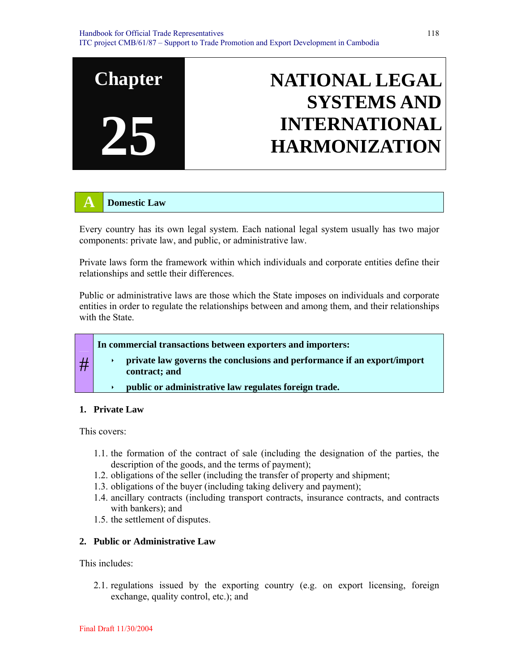

## **A Domestic Law**

Every country has its own legal system. Each national legal system usually has two major components: private law, and public, or administrative law.

Private laws form the framework within which individuals and corporate entities define their relationships and settle their differences.

Public or administrative laws are those which the State imposes on individuals and corporate entities in order to regulate the relationships between and among them, and their relationships with the State.

#### **In commercial transactions between exporters and importers:**

- private law governs the conclusions and performance if an export/import **contract; and** 
	- **public or administrative law regulates foreign trade.**

#### **1. Private Law**

This covers:

#

- 1.1. the formation of the contract of sale (including the designation of the parties, the description of the goods, and the terms of payment);
- 1.2. obligations of the seller (including the transfer of property and shipment;
- 1.3. obligations of the buyer (including taking delivery and payment);
- 1.4. ancillary contracts (including transport contracts, insurance contracts, and contracts with bankers); and
- 1.5. the settlement of disputes.

#### **2. Public or Administrative Law**

This includes:

2.1. regulations issued by the exporting country (e.g. on export licensing, foreign exchange, quality control, etc.); and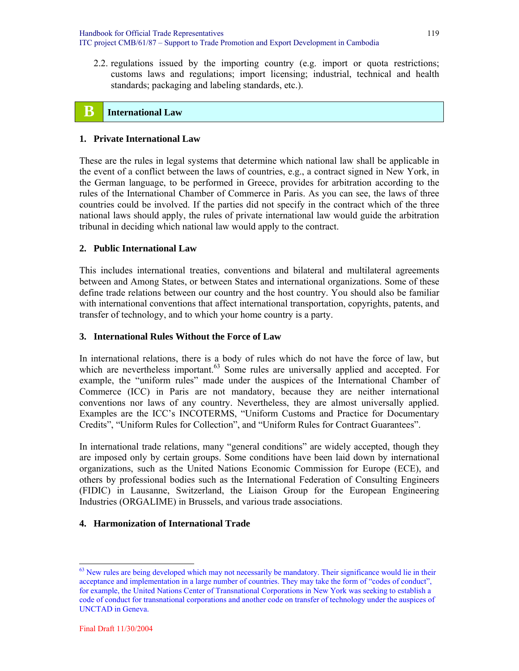Handbook for Official Trade Representatives ITC project CMB/61/87 – Support to Trade Promotion and Export Development in Cambodia

2.2. regulations issued by the importing country (e.g. import or quota restrictions; customs laws and regulations; import licensing; industrial, technical and health standards; packaging and labeling standards, etc.).

# **B** International Law

#### **1. Private International Law**

These are the rules in legal systems that determine which national law shall be applicable in the event of a conflict between the laws of countries, e.g., a contract signed in New York, in the German language, to be performed in Greece, provides for arbitration according to the rules of the International Chamber of Commerce in Paris. As you can see, the laws of three countries could be involved. If the parties did not specify in the contract which of the three national laws should apply, the rules of private international law would guide the arbitration tribunal in deciding which national law would apply to the contract.

#### **2. Public International Law**

This includes international treaties, conventions and bilateral and multilateral agreements between and Among States, or between States and international organizations. Some of these define trade relations between our country and the host country. You should also be familiar with international conventions that affect international transportation, copyrights, patents, and transfer of technology, and to which your home country is a party.

#### **3. International Rules Without the Force of Law**

In international relations, there is a body of rules which do not have the force of law, but which are nevertheless important.<sup>63</sup> Some rules are universally applied and accepted. For example, the "uniform rules" made under the auspices of the International Chamber of Commerce (ICC) in Paris are not mandatory, because they are neither international conventions nor laws of any country. Nevertheless, they are almost universally applied. Examples are the ICC's INCOTERMS, "Uniform Customs and Practice for Documentary Credits", "Uniform Rules for Collection", and "Uniform Rules for Contract Guarantees".

In international trade relations, many "general conditions" are widely accepted, though they are imposed only by certain groups. Some conditions have been laid down by international organizations, such as the United Nations Economic Commission for Europe (ECE), and others by professional bodies such as the International Federation of Consulting Engineers (FIDIC) in Lausanne, Switzerland, the Liaison Group for the European Engineering Industries (ORGALIME) in Brussels, and various trade associations.

#### **4. Harmonization of International Trade**

l

<sup>&</sup>lt;sup>63</sup> New rules are being developed which may not necessarily be mandatory. Their significance would lie in their acceptance and implementation in a large number of countries. They may take the form of "codes of conduct", for example, the United Nations Center of Transnational Corporations in New York was seeking to establish a code of conduct for transnational corporations and another code on transfer of technology under the auspices of UNCTAD in Geneva.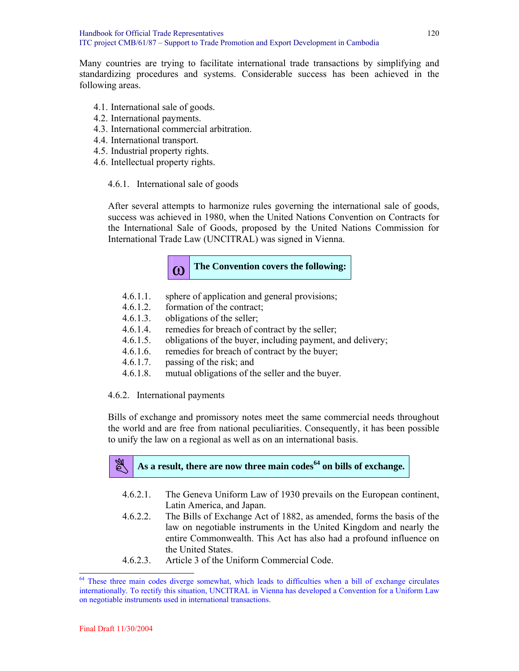Many countries are trying to facilitate international trade transactions by simplifying and standardizing procedures and systems. Considerable success has been achieved in the following areas.

- 4.1. International sale of goods.
- 4.2. International payments.
- 4.3. International commercial arbitration.
- 4.4. International transport.
- 4.5. Industrial property rights.
- 4.6. Intellectual property rights.

#### 4.6.1. International sale of goods

After several attempts to harmonize rules governing the international sale of goods, success was achieved in 1980, when the United Nations Convention on Contracts for the International Sale of Goods, proposed by the United Nations Commission for International Trade Law (UNCITRAL) was signed in Vienna.

# **(O)** The Convention covers the following:

- 4.6.1.1. sphere of application and general provisions;
- 4.6.1.2. formation of the contract;
- 4.6.1.3. obligations of the seller;
- 4.6.1.4. remedies for breach of contract by the seller;
- 4.6.1.5. obligations of the buyer, including payment, and delivery;
- 4.6.1.6. remedies for breach of contract by the buyer;
- 4.6.1.7. passing of the risk; and
- 4.6.1.8. mutual obligations of the seller and the buyer.

#### 4.6.2. International payments

Bills of exchange and promissory notes meet the same commercial needs throughout the world and are free from national peculiarities. Consequently, it has been possible to unify the law on a regional as well as on an international basis.

# As a result, there are now three main codes<sup>64</sup> on bills of exchange.

- 4.6.2.1. The Geneva Uniform Law of 1930 prevails on the European continent, Latin America, and Japan.
- 4.6.2.2. The Bills of Exchange Act of 1882, as amended, forms the basis of the law on negotiable instruments in the United Kingdom and nearly the entire Commonwealth. This Act has also had a profound influence on the United States.
- 4.6.2.3. Article 3 of the Uniform Commercial Code.

l

<sup>64</sup> These three main codes diverge somewhat, which leads to difficulties when a bill of exchange circulates internationally. To rectify this situation, UNCITRAL in Vienna has developed a Convention for a Uniform Law on negotiable instruments used in international transactions.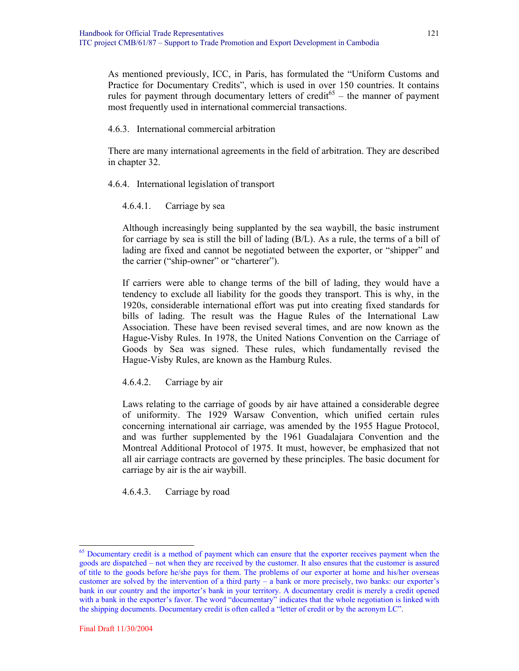As mentioned previously, ICC, in Paris, has formulated the "Uniform Customs and Practice for Documentary Credits", which is used in over 150 countries. It contains rules for payment through documentary letters of credit<sup>65</sup> – the manner of payment most frequently used in international commercial transactions.

4.6.3. International commercial arbitration

There are many international agreements in the field of arbitration. They are described in chapter 32.

4.6.4. International legislation of transport

4.6.4.1. Carriage by sea

Although increasingly being supplanted by the sea waybill, the basic instrument for carriage by sea is still the bill of lading (B/L). As a rule, the terms of a bill of lading are fixed and cannot be negotiated between the exporter, or "shipper" and the carrier ("ship-owner" or "charterer").

If carriers were able to change terms of the bill of lading, they would have a tendency to exclude all liability for the goods they transport. This is why, in the 1920s, considerable international effort was put into creating fixed standards for bills of lading. The result was the Hague Rules of the International Law Association. These have been revised several times, and are now known as the Hague-Visby Rules. In 1978, the United Nations Convention on the Carriage of Goods by Sea was signed. These rules, which fundamentally revised the Hague-Visby Rules, are known as the Hamburg Rules.

4.6.4.2. Carriage by air

Laws relating to the carriage of goods by air have attained a considerable degree of uniformity. The 1929 Warsaw Convention, which unified certain rules concerning international air carriage, was amended by the 1955 Hague Protocol, and was further supplemented by the 1961 Guadalajara Convention and the Montreal Additional Protocol of 1975. It must, however, be emphasized that not all air carriage contracts are governed by these principles. The basic document for carriage by air is the air waybill.

4.6.4.3. Carriage by road

 $\overline{a}$ 

<sup>65</sup> Documentary credit is a method of payment which can ensure that the exporter receives payment when the goods are dispatched – not when they are received by the customer. It also ensures that the customer is assured of title to the goods before he/she pays for them. The problems of our exporter at home and his/her overseas customer are solved by the intervention of a third party – a bank or more precisely, two banks: our exporter's bank in our country and the importer's bank in your territory. A documentary credit is merely a credit opened with a bank in the exporter's favor. The word "documentary" indicates that the whole negotiation is linked with the shipping documents. Documentary credit is often called a "letter of credit or by the acronym LC".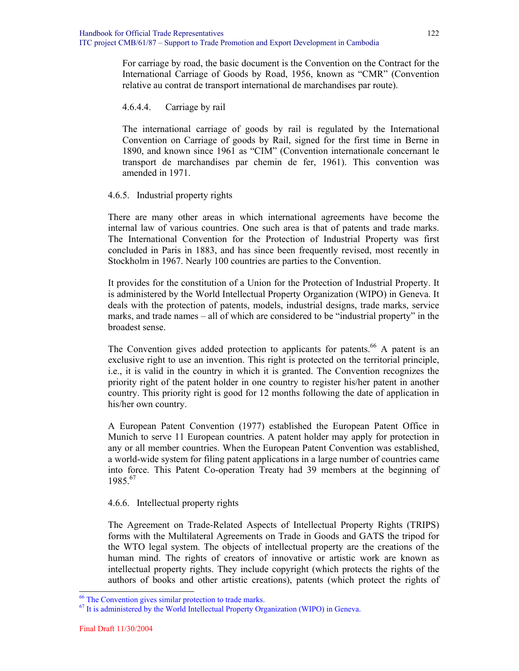For carriage by road, the basic document is the Convention on the Contract for the International Carriage of Goods by Road, 1956, known as "CMR" (Convention relative au contrat de transport international de marchandises par route).

#### 4.6.4.4. Carriage by rail

The international carriage of goods by rail is regulated by the International Convention on Carriage of goods by Rail, signed for the first time in Berne in 1890, and known since 1961 as "CIM" (Convention internationale concernant le transport de marchandises par chemin de fer, 1961). This convention was amended in 1971.

#### 4.6.5. Industrial property rights

There are many other areas in which international agreements have become the internal law of various countries. One such area is that of patents and trade marks. The International Convention for the Protection of Industrial Property was first concluded in Paris in 1883, and has since been frequently revised, most recently in Stockholm in 1967. Nearly 100 countries are parties to the Convention.

It provides for the constitution of a Union for the Protection of Industrial Property. It is administered by the World Intellectual Property Organization (WIPO) in Geneva. It deals with the protection of patents, models, industrial designs, trade marks, service marks, and trade names – all of which are considered to be "industrial property" in the broadest sense.

The Convention gives added protection to applicants for patents.<sup>66</sup> A patent is an exclusive right to use an invention. This right is protected on the territorial principle, i.e., it is valid in the country in which it is granted. The Convention recognizes the priority right of the patent holder in one country to register his/her patent in another country. This priority right is good for 12 months following the date of application in his/her own country.

A European Patent Convention (1977) established the European Patent Office in Munich to serve 11 European countries. A patent holder may apply for protection in any or all member countries. When the European Patent Convention was established, a world-wide system for filing patent applications in a large number of countries came into force. This Patent Co-operation Treaty had 39 members at the beginning of 1985.<sup>67</sup>

#### 4.6.6. Intellectual property rights

The Agreement on Trade-Related Aspects of Intellectual Property Rights (TRIPS) forms with the Multilateral Agreements on Trade in Goods and GATS the tripod for the WTO legal system. The objects of intellectual property are the creations of the human mind. The rights of creators of innovative or artistic work are known as intellectual property rights. They include copyright (which protects the rights of the authors of books and other artistic creations), patents (which protect the rights of

l

<sup>66</sup> The Convention gives similar protection to trade marks.

<sup>67</sup> It is administered by the World Intellectual Property Organization (WIPO) in Geneva.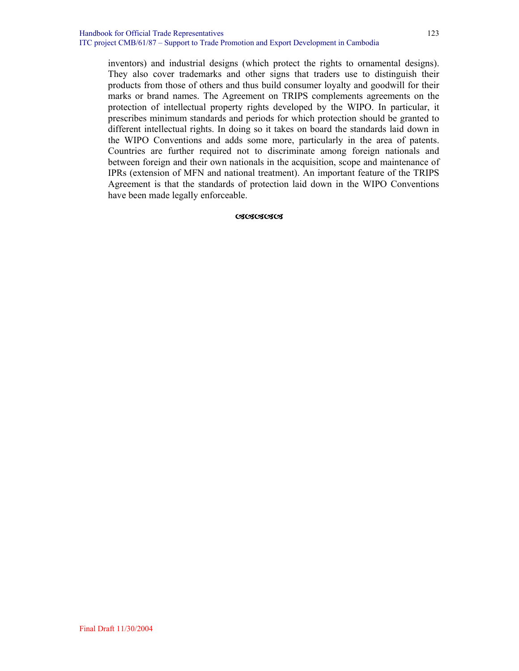inventors) and industrial designs (which protect the rights to ornamental designs). They also cover trademarks and other signs that traders use to distinguish their products from those of others and thus build consumer loyalty and goodwill for their marks or brand names. The Agreement on TRIPS complements agreements on the protection of intellectual property rights developed by the WIPO. In particular, it prescribes minimum standards and periods for which protection should be granted to different intellectual rights. In doing so it takes on board the standards laid down in the WIPO Conventions and adds some more, particularly in the area of patents. Countries are further required not to discriminate among foreign nationals and between foreign and their own nationals in the acquisition, scope and maintenance of IPRs (extension of MFN and national treatment). An important feature of the TRIPS Agreement is that the standards of protection laid down in the WIPO Conventions have been made legally enforceable.

#### **CSCSCSCS**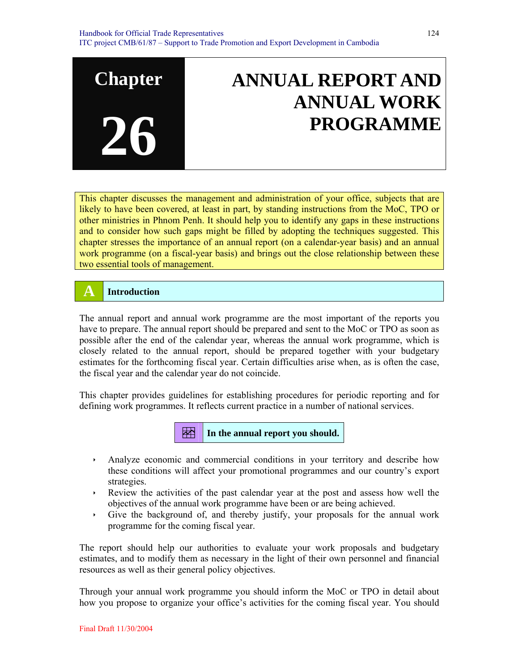# **ANNUAL REPORT AND ANNUAL WORK PROGRAMME**

This chapter discusses the management and administration of your office, subjects that are likely to have been covered, at least in part, by standing instructions from the MoC, TPO or other ministries in Phnom Penh. It should help you to identify any gaps in these instructions and to consider how such gaps might be filled by adopting the techniques suggested. This chapter stresses the importance of an annual report (on a calendar-year basis) and an annual work programme (on a fiscal-year basis) and brings out the close relationship between these two essential tools of management.

# **A Introduction**

**Chapter** 

**26**

The annual report and annual work programme are the most important of the reports you have to prepare. The annual report should be prepared and sent to the MoC or TPO as soon as possible after the end of the calendar year, whereas the annual work programme, which is closely related to the annual report, should be prepared together with your budgetary estimates for the forthcoming fiscal year. Certain difficulties arise when, as is often the case, the fiscal year and the calendar year do not coincide.

This chapter provides guidelines for establishing procedures for periodic reporting and for defining work programmes. It reflects current practice in a number of national services.



- Analyze economic and commercial conditions in your territory and describe how these conditions will affect your promotional programmes and our country's export strategies.
- $\rightarrow$  Review the activities of the past calendar year at the post and assess how well the objectives of the annual work programme have been or are being achieved.
- $\cdot$  Give the background of, and thereby justify, your proposals for the annual work programme for the coming fiscal year.

The report should help our authorities to evaluate your work proposals and budgetary estimates, and to modify them as necessary in the light of their own personnel and financial resources as well as their general policy objectives.

Through your annual work programme you should inform the MoC or TPO in detail about how you propose to organize your office's activities for the coming fiscal year. You should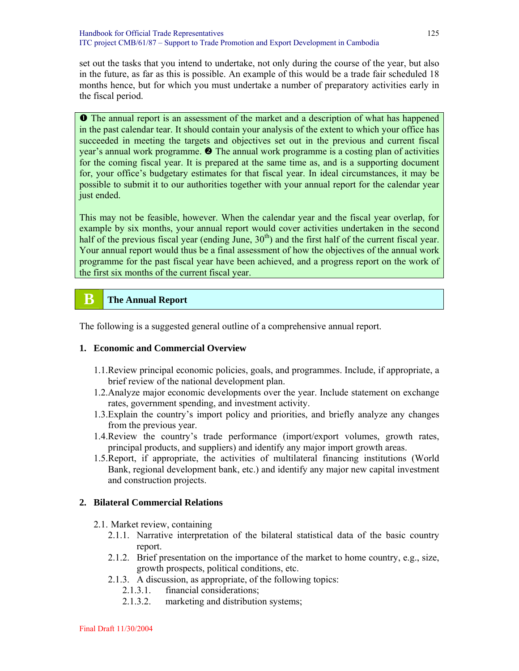set out the tasks that you intend to undertake, not only during the course of the year, but also in the future, as far as this is possible. An example of this would be a trade fair scheduled 18 months hence, but for which you must undertake a number of preparatory activities early in the fiscal period.

**O** The annual report is an assessment of the market and a description of what has happened in the past calendar tear. It should contain your analysis of the extent to which your office has succeeded in meeting the targets and objectives set out in the previous and current fiscal year's annual work programme.  $\bullet$  The annual work programme is a costing plan of activities for the coming fiscal year. It is prepared at the same time as, and is a supporting document for, your office's budgetary estimates for that fiscal year. In ideal circumstances, it may be possible to submit it to our authorities together with your annual report for the calendar year just ended.

This may not be feasible, however. When the calendar year and the fiscal year overlap, for example by six months, your annual report would cover activities undertaken in the second half of the previous fiscal year (ending June,  $30<sup>th</sup>$ ) and the first half of the current fiscal year. Your annual report would thus be a final assessment of how the objectives of the annual work programme for the past fiscal year have been achieved, and a progress report on the work of the first six months of the current fiscal year.

# **B** The Annual Report

The following is a suggested general outline of a comprehensive annual report.

#### **1. Economic and Commercial Overview**

- 1.1.Review principal economic policies, goals, and programmes. Include, if appropriate, a brief review of the national development plan.
- 1.2.Analyze major economic developments over the year. Include statement on exchange rates, government spending, and investment activity.
- 1.3.Explain the country's import policy and priorities, and briefly analyze any changes from the previous year.
- 1.4.Review the country's trade performance (import/export volumes, growth rates, principal products, and suppliers) and identify any major import growth areas.
- 1.5.Report, if appropriate, the activities of multilateral financing institutions (World Bank, regional development bank, etc.) and identify any major new capital investment and construction projects.

#### **2. Bilateral Commercial Relations**

- 2.1. Market review, containing
	- 2.1.1. Narrative interpretation of the bilateral statistical data of the basic country report.
	- 2.1.2. Brief presentation on the importance of the market to home country, e.g., size, growth prospects, political conditions, etc.
	- 2.1.3. A discussion, as appropriate, of the following topics:
		- 2.1.3.1. financial considerations;
		- 2.1.3.2. marketing and distribution systems;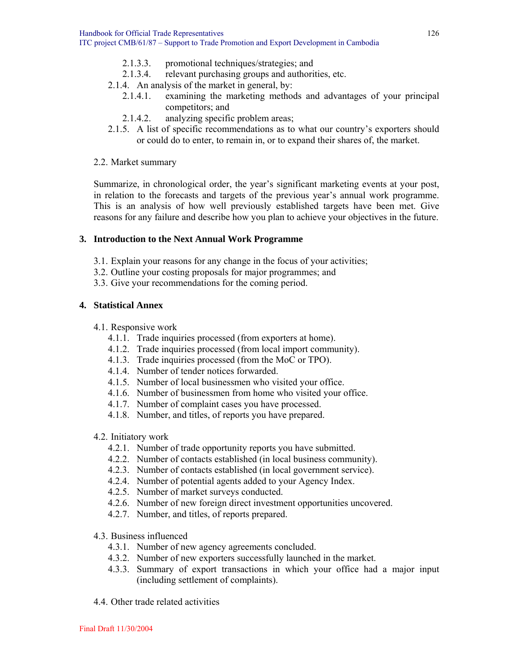- 2.1.3.3. promotional techniques/strategies; and
- 2.1.3.4. relevant purchasing groups and authorities, etc.
- 2.1.4. An analysis of the market in general, by:
	- 2.1.4.1. examining the marketing methods and advantages of your principal competitors; and
	- 2.1.4.2. analyzing specific problem areas;
- 2.1.5. A list of specific recommendations as to what our country's exporters should or could do to enter, to remain in, or to expand their shares of, the market.

#### 2.2. Market summary

Summarize, in chronological order, the year's significant marketing events at your post, in relation to the forecasts and targets of the previous year's annual work programme. This is an analysis of how well previously established targets have been met. Give reasons for any failure and describe how you plan to achieve your objectives in the future.

#### **3. Introduction to the Next Annual Work Programme**

- 3.1. Explain your reasons for any change in the focus of your activities;
- 3.2. Outline your costing proposals for major programmes; and
- 3.3. Give your recommendations for the coming period.

#### **4. Statistical Annex**

#### 4.1. Responsive work

- 4.1.1. Trade inquiries processed (from exporters at home).
- 4.1.2. Trade inquiries processed (from local import community).
- 4.1.3. Trade inquiries processed (from the MoC or TPO).
- 4.1.4. Number of tender notices forwarded.
- 4.1.5. Number of local businessmen who visited your office.
- 4.1.6. Number of businessmen from home who visited your office.
- 4.1.7. Number of complaint cases you have processed.
- 4.1.8. Number, and titles, of reports you have prepared.

#### 4.2. Initiatory work

- 4.2.1. Number of trade opportunity reports you have submitted.
- 4.2.2. Number of contacts established (in local business community).
- 4.2.3. Number of contacts established (in local government service).
- 4.2.4. Number of potential agents added to your Agency Index.
- 4.2.5. Number of market surveys conducted.
- 4.2.6. Number of new foreign direct investment opportunities uncovered.
- 4.2.7. Number, and titles, of reports prepared.
- 4.3. Business influenced
	- 4.3.1. Number of new agency agreements concluded.
	- 4.3.2. Number of new exporters successfully launched in the market.
	- 4.3.3. Summary of export transactions in which your office had a major input (including settlement of complaints).
- 4.4. Other trade related activities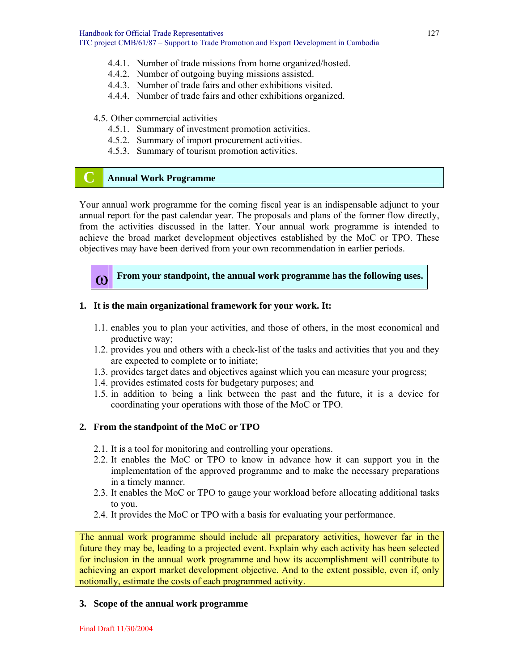- 4.4.1. Number of trade missions from home organized/hosted.
- 4.4.2. Number of outgoing buying missions assisted.
- 4.4.3. Number of trade fairs and other exhibitions visited.
- 4.4.4. Number of trade fairs and other exhibitions organized.

#### 4.5. Other commercial activities

- 4.5.1. Summary of investment promotion activities.
- 4.5.2. Summary of import procurement activities.
- 4.5.3. Summary of tourism promotion activities.

# **C Annual Work Programme**

Your annual work programme for the coming fiscal year is an indispensable adjunct to your annual report for the past calendar year. The proposals and plans of the former flow directly, from the activities discussed in the latter. Your annual work programme is intended to achieve the broad market development objectives established by the MoC or TPO. These objectives may have been derived from your own recommendation in earlier periods.



**(0)** From your standpoint, the annual work programme has the following uses.

#### **1. It is the main organizational framework for your work. It:**

- 1.1. enables you to plan your activities, and those of others, in the most economical and productive way;
- 1.2. provides you and others with a check-list of the tasks and activities that you and they are expected to complete or to initiate;
- 1.3. provides target dates and objectives against which you can measure your progress;
- 1.4. provides estimated costs for budgetary purposes; and
- 1.5. in addition to being a link between the past and the future, it is a device for coordinating your operations with those of the MoC or TPO.

#### **2. From the standpoint of the MoC or TPO**

- 2.1. It is a tool for monitoring and controlling your operations.
- 2.2. It enables the MoC or TPO to know in advance how it can support you in the implementation of the approved programme and to make the necessary preparations in a timely manner.
- 2.3. It enables the MoC or TPO to gauge your workload before allocating additional tasks to you.
- 2.4. It provides the MoC or TPO with a basis for evaluating your performance.

The annual work programme should include all preparatory activities, however far in the future they may be, leading to a projected event. Explain why each activity has been selected for inclusion in the annual work programme and how its accomplishment will contribute to achieving an export market development objective. And to the extent possible, even if, only notionally, estimate the costs of each programmed activity.

#### **3. Scope of the annual work programme**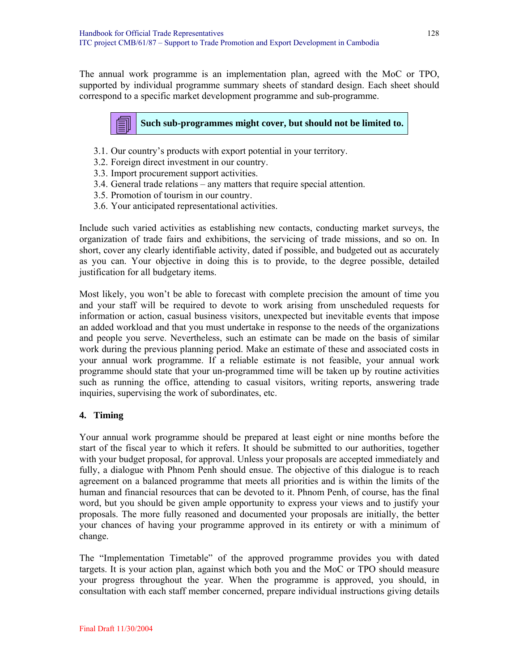The annual work programme is an implementation plan, agreed with the MoC or TPO, supported by individual programme summary sheets of standard design. Each sheet should correspond to a specific market development programme and sub-programme.

**Such sub-programmes might cover, but should not be limited to.** 

- 3.1. Our country's products with export potential in your territory.
- 3.2. Foreign direct investment in our country.
- 3.3. Import procurement support activities.
- 3.4. General trade relations any matters that require special attention.
- 3.5. Promotion of tourism in our country.
- 3.6. Your anticipated representational activities.

Include such varied activities as establishing new contacts, conducting market surveys, the organization of trade fairs and exhibitions, the servicing of trade missions, and so on. In short, cover any clearly identifiable activity, dated if possible, and budgeted out as accurately as you can. Your objective in doing this is to provide, to the degree possible, detailed justification for all budgetary items.

Most likely, you won't be able to forecast with complete precision the amount of time you and your staff will be required to devote to work arising from unscheduled requests for information or action, casual business visitors, unexpected but inevitable events that impose an added workload and that you must undertake in response to the needs of the organizations and people you serve. Nevertheless, such an estimate can be made on the basis of similar work during the previous planning period. Make an estimate of these and associated costs in your annual work programme. If a reliable estimate is not feasible, your annual work programme should state that your un-programmed time will be taken up by routine activities such as running the office, attending to casual visitors, writing reports, answering trade inquiries, supervising the work of subordinates, etc.

#### **4. Timing**

Your annual work programme should be prepared at least eight or nine months before the start of the fiscal year to which it refers. It should be submitted to our authorities, together with your budget proposal, for approval. Unless your proposals are accepted immediately and fully, a dialogue with Phnom Penh should ensue. The objective of this dialogue is to reach agreement on a balanced programme that meets all priorities and is within the limits of the human and financial resources that can be devoted to it. Phnom Penh, of course, has the final word, but you should be given ample opportunity to express your views and to justify your proposals. The more fully reasoned and documented your proposals are initially, the better your chances of having your programme approved in its entirety or with a minimum of change.

The "Implementation Timetable" of the approved programme provides you with dated targets. It is your action plan, against which both you and the MoC or TPO should measure your progress throughout the year. When the programme is approved, you should, in consultation with each staff member concerned, prepare individual instructions giving details